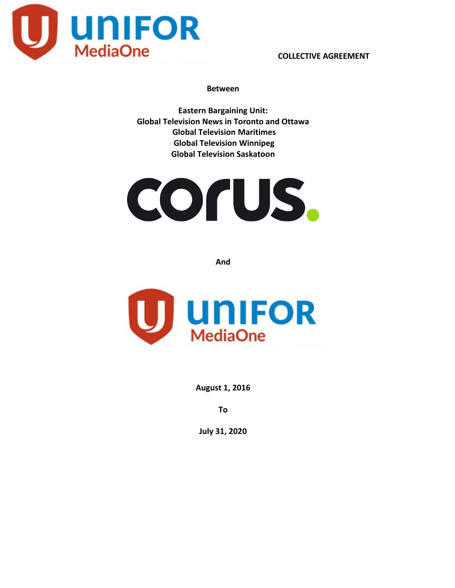

#### **Between**

**Eastern Bargaining Unit: Global Television News in Toronto and Ottawa Global Television Maritimes Global Television Winnipeg Global Television Saskatoon**

# COrUS.

**And**



**August 1, 2016**

**To**

**July 31, 2020**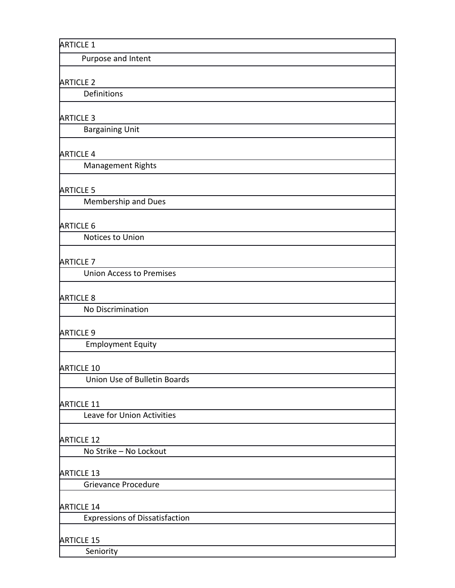Purpose and Intent

## ARTICLE 2

Definitions

## ARTICLE 3

Bargaining Unit

## ARTICLE 4

Management Rights

## ARTICLE 5

Membership and Dues

#### ARTICLE 6

Notices to Union

## ARTICLE 7

Union Access to Premises

#### ARTICLE 8

No Discrimination

#### ARTICLE 9

Employment Equity

#### ARTICLE 10

Union Use of Bulletin Boards

#### ARTICLE 11

Leave for Union Activities

#### ARTICLE 12

No Strike – No Lockout

## ARTICLE 13

Grievance Procedure

#### ARTICLE 14

Expressions of Dissatisfaction

#### ARTICLE 15

Seniority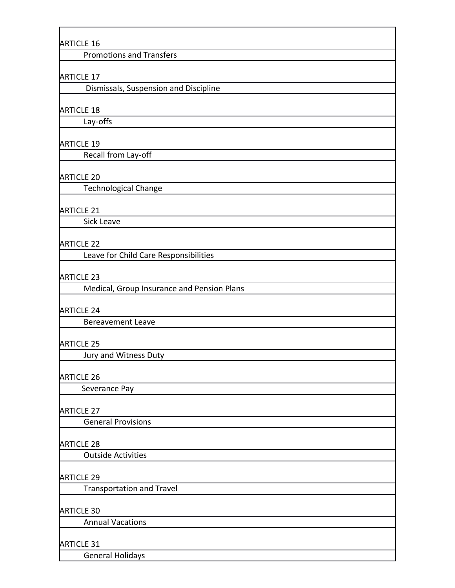Promotions and Transfers

#### ARTICLE 17

Dismissals, Suspension and Discipline

#### ARTICLE 18

Lay-offs

#### ARTICLE 19

Recall from Lay-off

## ARTICLE 20

Technological Change

## ARTICLE 21

Sick Leave

#### ARTICLE 22

Leave for Child Care Responsibilities

#### ARTICLE 23

Medical, Group Insurance and Pension Plans

#### ARTICLE 24

Bereavement Leave

#### ARTICLE 25

Jury and Witness Duty

## ARTICLE 26

Severance Pay

#### ARTICLE 27

General Provisions

#### ARTICLE 28

Outside Activities

#### ARTICLE 29

Transportation and Travel

#### ARTICLE 30

Annual Vacations

#### ARTICLE 31

General Holidays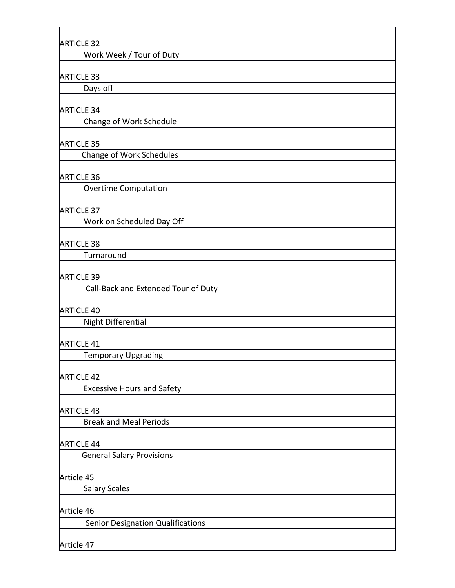Work Week / Tour of Duty

#### ARTICLE 33

Days off

#### ARTICLE 34

Change of Work Schedule

#### ARTICLE 35

Change of Work Schedules

## ARTICLE 36

Overtime Computation

#### ARTICLE 37

Work on Scheduled Day Off

#### ARTICLE 38

**Turnaround** 

#### ARTICLE 39

Call-Back and Extended Tour of Duty

#### ARTICLE 40

Night Differential

#### ARTICLE 41

Temporary Upgrading

#### ARTICLE 42

Excessive Hours and Safety

#### ARTICLE 43

Break and Meal Periods

#### ARTICLE 44

General Salary Provisions

#### Article 45

Salary Scales

#### Article 46

Senior Designation Qualifications

Article 47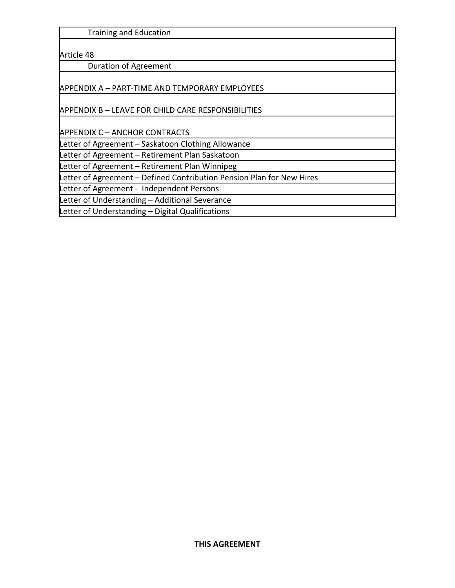Training and Education

Article 48

Duration of Agreement

APPENDIX A – PART-TIME AND TEMPORARY EMPLOYEES

APPENDIX B – LEAVE FOR CHILD CARE RESPONSIBILITIES

APPENDIX C – ANCHOR CONTRACTS

Letter of Agreement – Saskatoon Clothing Allowance

Letter of Agreement – Retirement Plan Saskatoon

Letter of Agreement – Retirement Plan Winnipeg

Letter of Agreement – Defined Contribution Pension Plan for New Hires

Letter of Agreement - Independent Persons

Letter of Understanding – Additional Severance

Letter of Understanding - Digital Qualifications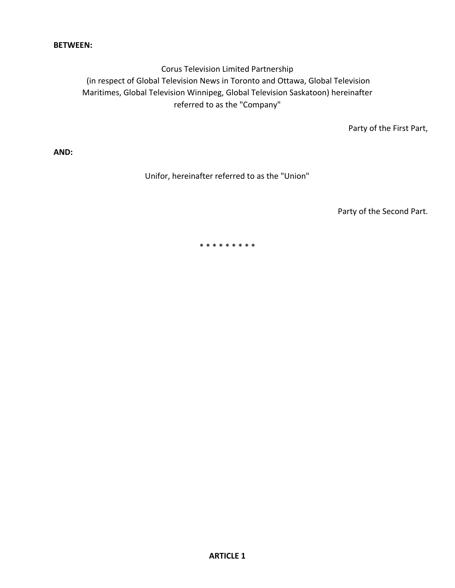## **BETWEEN:**

Corus Television Limited Partnership (in respect of Global Television News in Toronto and Ottawa, Global Television Maritimes, Global Television Winnipeg, Global Television Saskatoon) hereinafter referred to as the "Company"

Party of the First Part,

**AND:**

Unifor, hereinafter referred to as the "Union"

Party of the Second Part.

\* \* \* \* \* \* \* \* \*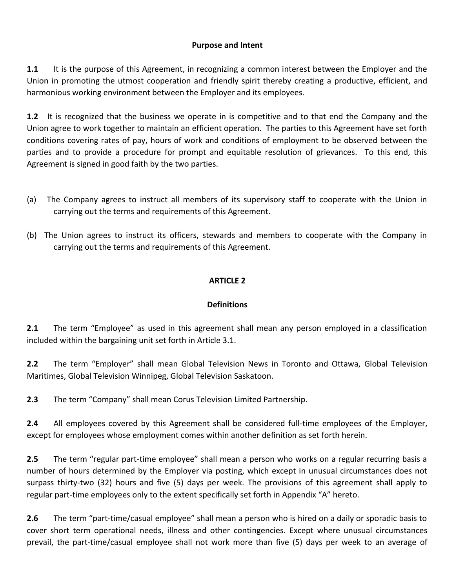# **Purpose and Intent**

**1.1** It is the purpose of this Agreement, in recognizing a common interest between the Employer and the Union in promoting the utmost cooperation and friendly spirit thereby creating a productive, efficient, and harmonious working environment between the Employer and its employees.

**1.2** It is recognized that the business we operate in is competitive and to that end the Company and the Union agree to work together to maintain an efficient operation. The parties to this Agreement have set forth conditions covering rates of pay, hours of work and conditions of employment to be observed between the parties and to provide a procedure for prompt and equitable resolution of grievances. To this end, this Agreement is signed in good faith by the two parties.

- (a) The Company agrees to instruct all members of its supervisory staff to cooperate with the Union in carrying out the terms and requirements of this Agreement.
- (b) The Union agrees to instruct its officers, stewards and members to cooperate with the Company in carrying out the terms and requirements of this Agreement.

# **ARTICLE 2**

# **Definitions**

**2.1** The term "Employee" as used in this agreement shall mean any person employed in a classification included within the bargaining unit set forth in Article 3.1.

**2.2** The term "Employer" shall mean Global Television News in Toronto and Ottawa, Global Television Maritimes, Global Television Winnipeg, Global Television Saskatoon.

**2.3** The term "Company" shall mean Corus Television Limited Partnership.

**2.4** All employees covered by this Agreement shall be considered full-time employees of the Employer, except for employees whose employment comes within another definition as set forth herein.

**2.5** The term "regular part-time employee" shall mean a person who works on a regular recurring basis a number of hours determined by the Employer via posting, which except in unusual circumstances does not surpass thirty-two (32) hours and five (5) days per week. The provisions of this agreement shall apply to regular part-time employees only to the extent specifically set forth in Appendix "A" hereto.

**2.6** The term "part-time/casual employee" shall mean a person who is hired on a daily or sporadic basis to cover short term operational needs, illness and other contingencies. Except where unusual circumstances prevail, the part-time/casual employee shall not work more than five (5) days per week to an average of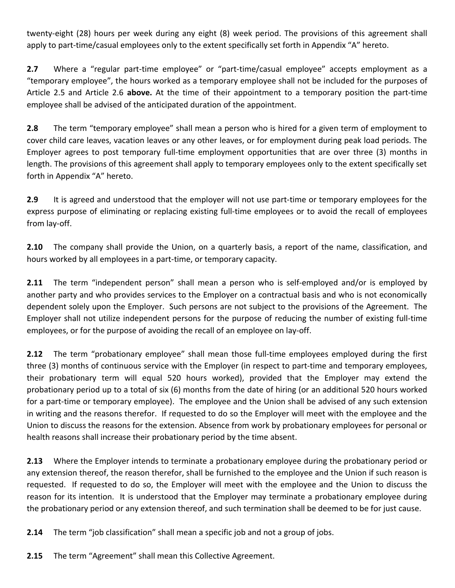twenty-eight (28) hours per week during any eight (8) week period. The provisions of this agreement shall apply to part-time/casual employees only to the extent specifically set forth in Appendix "A" hereto.

**2.7** Where a "regular part-time employee" or "part-time/casual employee" accepts employment as a "temporary employee", the hours worked as a temporary employee shall not be included for the purposes of Article 2.5 and Article 2.6 **above.** At the time of their appointment to a temporary position the part-time employee shall be advised of the anticipated duration of the appointment.

**2.8** The term "temporary employee" shall mean a person who is hired for a given term of employment to cover child care leaves, vacation leaves or any other leaves, or for employment during peak load periods. The Employer agrees to post temporary full-time employment opportunities that are over three (3) months in length. The provisions of this agreement shall apply to temporary employees only to the extent specifically set forth in Appendix "A" hereto.

**2.9** It is agreed and understood that the employer will not use part-time or temporary employees for the express purpose of eliminating or replacing existing full-time employees or to avoid the recall of employees from lay-off.

**2.10** The company shall provide the Union, on a quarterly basis, a report of the name, classification, and hours worked by all employees in a part-time, or temporary capacity.

**2.11** The term "independent person" shall mean a person who is self-employed and/or is employed by another party and who provides services to the Employer on a contractual basis and who is not economically dependent solely upon the Employer. Such persons are not subject to the provisions of the Agreement. The Employer shall not utilize independent persons for the purpose of reducing the number of existing full-time employees, or for the purpose of avoiding the recall of an employee on lay-off.

**2.12** The term "probationary employee" shall mean those full-time employees employed during the first three (3) months of continuous service with the Employer (in respect to part-time and temporary employees, their probationary term will equal 520 hours worked), provided that the Employer may extend the probationary period up to a total of six (6) months from the date of hiring (or an additional 520 hours worked for a part-time or temporary employee). The employee and the Union shall be advised of any such extension in writing and the reasons therefor. If requested to do so the Employer will meet with the employee and the Union to discuss the reasons for the extension. Absence from work by probationary employees for personal or health reasons shall increase their probationary period by the time absent.

**2.13** Where the Employer intends to terminate a probationary employee during the probationary period or any extension thereof, the reason therefor, shall be furnished to the employee and the Union if such reason is requested. If requested to do so, the Employer will meet with the employee and the Union to discuss the reason for its intention. It is understood that the Employer may terminate a probationary employee during the probationary period or any extension thereof, and such termination shall be deemed to be for just cause.

**2.14** The term "job classification" shall mean a specific job and not a group of jobs.

**2.15** The term "Agreement" shall mean this Collective Agreement.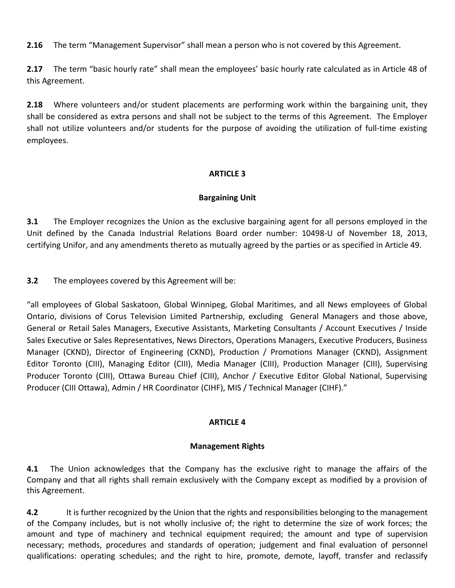**2.16** The term "Management Supervisor" shall mean a person who is not covered by this Agreement.

**2.17** The term "basic hourly rate" shall mean the employees' basic hourly rate calculated as in Article 48 of this Agreement.

**2.18** Where volunteers and/or student placements are performing work within the bargaining unit, they shall be considered as extra persons and shall not be subject to the terms of this Agreement. The Employer shall not utilize volunteers and/or students for the purpose of avoiding the utilization of full-time existing employees.

# **ARTICLE 3**

# **Bargaining Unit**

**3.1** The Employer recognizes the Union as the exclusive bargaining agent for all persons employed in the Unit defined by the Canada Industrial Relations Board order number: 10498-U of November 18, 2013, certifying Unifor, and any amendments thereto as mutually agreed by the parties or as specified in Article 49.

**3.2** The employees covered by this Agreement will be:

"all employees of Global Saskatoon, Global Winnipeg, Global Maritimes, and all News employees of Global Ontario, divisions of Corus Television Limited Partnership, excluding General Managers and those above, General or Retail Sales Managers, Executive Assistants, Marketing Consultants / Account Executives / Inside Sales Executive or Sales Representatives, News Directors, Operations Managers, Executive Producers, Business Manager (CKND), Director of Engineering (CKND), Production / Promotions Manager (CKND), Assignment Editor Toronto (CIII), Managing Editor (CIII), Media Manager (CIII), Production Manager (CIII), Supervising Producer Toronto (CIII), Ottawa Bureau Chief (CIII), Anchor / Executive Editor Global National, Supervising Producer (CIII Ottawa), Admin / HR Coordinator (CIHF), MIS / Technical Manager (CIHF)."

# **ARTICLE 4**

# **Management Rights**

**4.1** The Union acknowledges that the Company has the exclusive right to manage the affairs of the Company and that all rights shall remain exclusively with the Company except as modified by a provision of this Agreement.

**4.2** It is further recognized by the Union that the rights and responsibilities belonging to the management of the Company includes, but is not wholly inclusive of; the right to determine the size of work forces; the amount and type of machinery and technical equipment required; the amount and type of supervision necessary; methods, procedures and standards of operation; judgement and final evaluation of personnel qualifications: operating schedules; and the right to hire, promote, demote, layoff, transfer and reclassify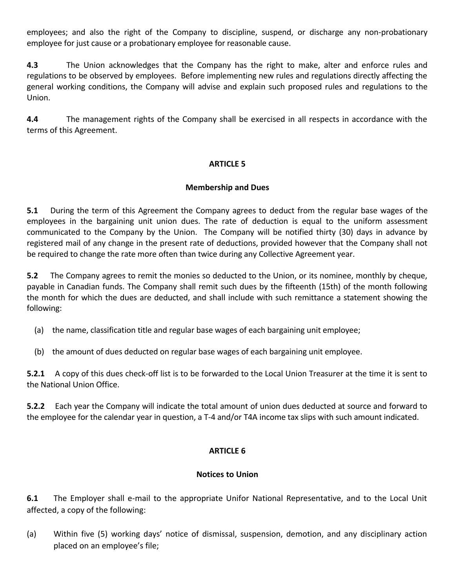employees; and also the right of the Company to discipline, suspend, or discharge any non-probationary employee for just cause or a probationary employee for reasonable cause.

**4.3** The Union acknowledges that the Company has the right to make, alter and enforce rules and regulations to be observed by employees. Before implementing new rules and regulations directly affecting the general working conditions, the Company will advise and explain such proposed rules and regulations to the Union.

**4.4** The management rights of the Company shall be exercised in all respects in accordance with the terms of this Agreement.

# **ARTICLE 5**

## **Membership and Dues**

**5.1** During the term of this Agreement the Company agrees to deduct from the regular base wages of the employees in the bargaining unit union dues. The rate of deduction is equal to the uniform assessment communicated to the Company by the Union. The Company will be notified thirty (30) days in advance by registered mail of any change in the present rate of deductions, provided however that the Company shall not be required to change the rate more often than twice during any Collective Agreement year.

**5.2** The Company agrees to remit the monies so deducted to the Union, or its nominee, monthly by cheque, payable in Canadian funds. The Company shall remit such dues by the fifteenth (15th) of the month following the month for which the dues are deducted, and shall include with such remittance a statement showing the following:

- (a) the name, classification title and regular base wages of each bargaining unit employee;
- (b) the amount of dues deducted on regular base wages of each bargaining unit employee.

**5.2.1** A copy of this dues check-off list is to be forwarded to the Local Union Treasurer at the time it is sent to the National Union Office.

**5.2.2** Each year the Company will indicate the total amount of union dues deducted at source and forward to the employee for the calendar year in question, a T-4 and/or T4A income tax slips with such amount indicated.

# **ARTICLE 6**

## **Notices to Union**

**6.1** The Employer shall e-mail to the appropriate Unifor National Representative, and to the Local Unit affected, a copy of the following:

(a) Within five (5) working days' notice of dismissal, suspension, demotion, and any disciplinary action placed on an employee's file;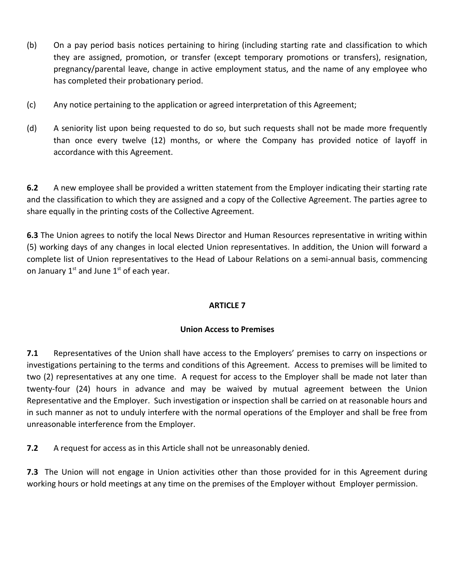- (b) On a pay period basis notices pertaining to hiring (including starting rate and classification to which they are assigned, promotion, or transfer (except temporary promotions or transfers), resignation, pregnancy/parental leave, change in active employment status, and the name of any employee who has completed their probationary period.
- (c) Any notice pertaining to the application or agreed interpretation of this Agreement;
- (d) A seniority list upon being requested to do so, but such requests shall not be made more frequently than once every twelve (12) months, or where the Company has provided notice of layoff in accordance with this Agreement.

**6.2** A new employee shall be provided a written statement from the Employer indicating their starting rate and the classification to which they are assigned and a copy of the Collective Agreement. The parties agree to share equally in the printing costs of the Collective Agreement.

**6.3** The Union agrees to notify the local News Director and Human Resources representative in writing within (5) working days of any changes in local elected Union representatives. In addition, the Union will forward a complete list of Union representatives to the Head of Labour Relations on a semi-annual basis, commencing on January  $1<sup>st</sup>$  and June  $1<sup>st</sup>$  of each year.

# **ARTICLE 7**

# **Union Access to Premises**

**7.1** Representatives of the Union shall have access to the Employers' premises to carry on inspections or investigations pertaining to the terms and conditions of this Agreement. Access to premises will be limited to two (2) representatives at any one time. A request for access to the Employer shall be made not later than twenty-four (24) hours in advance and may be waived by mutual agreement between the Union Representative and the Employer. Such investigation or inspection shall be carried on at reasonable hours and in such manner as not to unduly interfere with the normal operations of the Employer and shall be free from unreasonable interference from the Employer.

**7.2** A request for access as in this Article shall not be unreasonably denied.

**7.3** The Union will not engage in Union activities other than those provided for in this Agreement during working hours or hold meetings at any time on the premises of the Employer without Employer permission.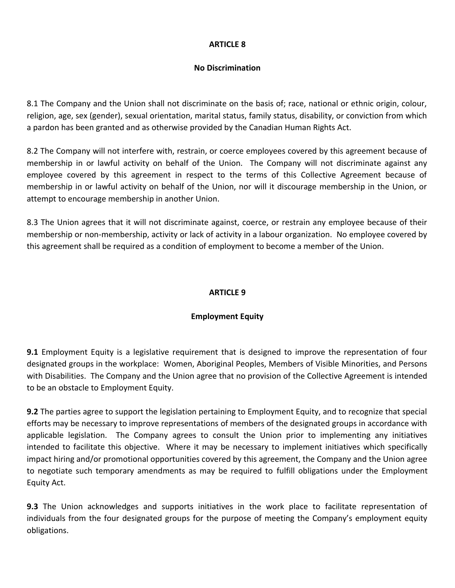# **No Discrimination**

8.1 The Company and the Union shall not discriminate on the basis of; race, national or ethnic origin, colour, religion, age, sex (gender), sexual orientation, marital status, family status, disability, or conviction from which a pardon has been granted and as otherwise provided by the Canadian Human Rights Act.

8.2 The Company will not interfere with, restrain, or coerce employees covered by this agreement because of membership in or lawful activity on behalf of the Union. The Company will not discriminate against any employee covered by this agreement in respect to the terms of this Collective Agreement because of membership in or lawful activity on behalf of the Union, nor will it discourage membership in the Union, or attempt to encourage membership in another Union.

8.3 The Union agrees that it will not discriminate against, coerce, or restrain any employee because of their membership or non-membership, activity or lack of activity in a labour organization. No employee covered by this agreement shall be required as a condition of employment to become a member of the Union.

## **ARTICLE 9**

# **Employment Equity**

**9.1** Employment Equity is a legislative requirement that is designed to improve the representation of four designated groups in the workplace: Women, Aboriginal Peoples, Members of Visible Minorities, and Persons with Disabilities. The Company and the Union agree that no provision of the Collective Agreement is intended to be an obstacle to Employment Equity.

**9.2** The parties agree to support the legislation pertaining to Employment Equity, and to recognize that special efforts may be necessary to improve representations of members of the designated groups in accordance with applicable legislation. The Company agrees to consult the Union prior to implementing any initiatives intended to facilitate this objective. Where it may be necessary to implement initiatives which specifically impact hiring and/or promotional opportunities covered by this agreement, the Company and the Union agree to negotiate such temporary amendments as may be required to fulfill obligations under the Employment Equity Act.

**9.3** The Union acknowledges and supports initiatives in the work place to facilitate representation of individuals from the four designated groups for the purpose of meeting the Company's employment equity obligations.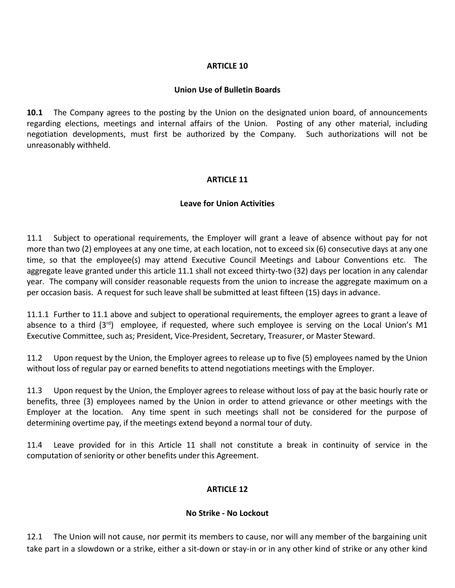#### **Union Use of Bulletin Boards**

**10.1** The Company agrees to the posting by the Union on the designated union board, of announcements regarding elections, meetings and internal affairs of the Union. Posting of any other material, including negotiation developments, must first be authorized by the Company. Such authorizations will not be unreasonably withheld.

## **ARTICLE 11**

#### **Leave for Union Activities**

11.1 Subject to operational requirements, the Employer will grant a leave of absence without pay for not more than two (2) employees at any one time, at each location, not to exceed six (6) consecutive days at any one time, so that the employee(s) may attend Executive Council Meetings and Labour Conventions etc. The aggregate leave granted under this article 11.1 shall not exceed thirty-two (32) days per location in any calendar year. The company will consider reasonable requests from the union to increase the aggregate maximum on a per occasion basis. A request for such leave shall be submitted at least fifteen (15) days in advance.

11.1.1 Further to 11.1 above and subject to operational requirements, the employer agrees to grant a leave of absence to a third (3<sup>rd</sup>) employee, if requested, where such employee is serving on the Local Union's M1 Executive Committee, such as; President, Vice-President, Secretary, Treasurer, or Master Steward.

11.2 Upon request by the Union, the Employer agrees to release up to five (5) employees named by the Union without loss of regular pay or earned benefits to attend negotiations meetings with the Employer.

11.3 Upon request by the Union, the Employer agrees to release without loss of pay at the basic hourly rate or benefits, three (3) employees named by the Union in order to attend grievance or other meetings with the Employer at the location. Any time spent in such meetings shall not be considered for the purpose of determining overtime pay, if the meetings extend beyond a normal tour of duty.

11.4 Leave provided for in this Article 11 shall not constitute a break in continuity of service in the computation of seniority or other benefits under this Agreement.

## **ARTICLE 12**

#### **No Strike - No Lockout**

12.1 The Union will not cause, nor permit its members to cause, nor will any member of the bargaining unit take part in a slowdown or a strike, either a sit-down or stay-in or in any other kind of strike or any other kind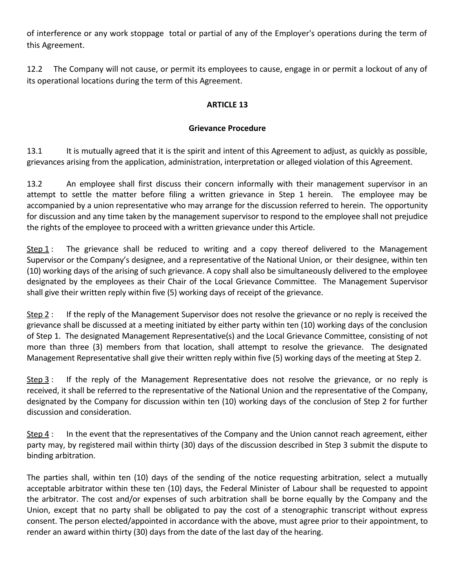of interference or any work stoppage total or partial of any of the Employer's operations during the term of this Agreement.

12.2 The Company will not cause, or permit its employees to cause, engage in or permit a lockout of any of its operational locations during the term of this Agreement.

# **ARTICLE 13**

## **Grievance Procedure**

13.1 It is mutually agreed that it is the spirit and intent of this Agreement to adjust, as quickly as possible, grievances arising from the application, administration, interpretation or alleged violation of this Agreement.

13.2 An employee shall first discuss their concern informally with their management supervisor in an attempt to settle the matter before filing a written grievance in Step 1 herein. The employee may be accompanied by a union representative who may arrange for the discussion referred to herein. The opportunity for discussion and any time taken by the management supervisor to respond to the employee shall not prejudice the rights of the employee to proceed with a written grievance under this Article.

Step  $1$ : The grievance shall be reduced to writing and a copy thereof delivered to the Management Supervisor or the Company's designee, and a representative of the National Union, or their designee, within ten (10) working days of the arising of such grievance. A copy shall also be simultaneously delivered to the employee designated by the employees as their Chair of the Local Grievance Committee. The Management Supervisor shall give their written reply within five (5) working days of receipt of the grievance.

Step 2 : If the reply of the Management Supervisor does not resolve the grievance or no reply is received the grievance shall be discussed at a meeting initiated by either party within ten (10) working days of the conclusion of Step 1. The designated Management Representative(s) and the Local Grievance Committee, consisting of not more than three (3) members from that location, shall attempt to resolve the grievance. The designated Management Representative shall give their written reply within five (5) working days of the meeting at Step 2.

Step 3 : If the reply of the Management Representative does not resolve the grievance, or no reply is received, it shall be referred to the representative of the National Union and the representative of the Company, designated by the Company for discussion within ten (10) working days of the conclusion of Step 2 for further discussion and consideration.

Step 4 : In the event that the representatives of the Company and the Union cannot reach agreement, either party may, by registered mail within thirty (30) days of the discussion described in Step 3 submit the dispute to binding arbitration.

The parties shall, within ten (10) days of the sending of the notice requesting arbitration, select a mutually acceptable arbitrator within these ten (10) days, the Federal Minister of Labour shall be requested to appoint the arbitrator. The cost and/or expenses of such arbitration shall be borne equally by the Company and the Union, except that no party shall be obligated to pay the cost of a stenographic transcript without express consent. The person elected/appointed in accordance with the above, must agree prior to their appointment, to render an award within thirty (30) days from the date of the last day of the hearing.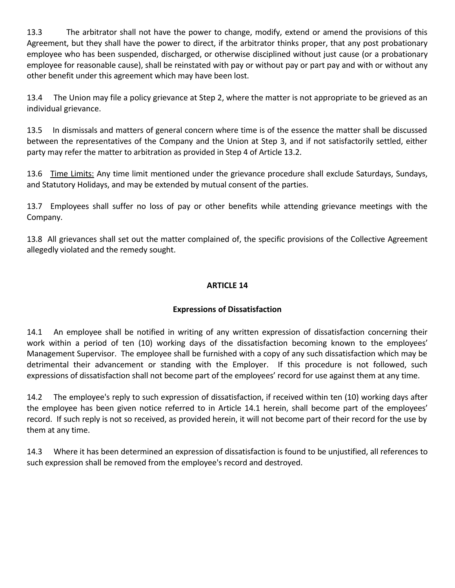13.3 The arbitrator shall not have the power to change, modify, extend or amend the provisions of this Agreement, but they shall have the power to direct, if the arbitrator thinks proper, that any post probationary employee who has been suspended, discharged, or otherwise disciplined without just cause (or a probationary employee for reasonable cause), shall be reinstated with pay or without pay or part pay and with or without any other benefit under this agreement which may have been lost.

13.4 The Union may file a policy grievance at Step 2, where the matter is not appropriate to be grieved as an individual grievance.

13.5 In dismissals and matters of general concern where time is of the essence the matter shall be discussed between the representatives of the Company and the Union at Step 3, and if not satisfactorily settled, either party may refer the matter to arbitration as provided in Step 4 of Article 13.2.

13.6 Time Limits: Any time limit mentioned under the grievance procedure shall exclude Saturdays, Sundays, and Statutory Holidays, and may be extended by mutual consent of the parties.

13.7 Employees shall suffer no loss of pay or other benefits while attending grievance meetings with the Company.

13.8 All grievances shall set out the matter complained of, the specific provisions of the Collective Agreement allegedly violated and the remedy sought.

# **ARTICLE 14**

# **Expressions of Dissatisfaction**

14.1 An employee shall be notified in writing of any written expression of dissatisfaction concerning their work within a period of ten (10) working days of the dissatisfaction becoming known to the employees' Management Supervisor. The employee shall be furnished with a copy of any such dissatisfaction which may be detrimental their advancement or standing with the Employer. If this procedure is not followed, such expressions of dissatisfaction shall not become part of the employees' record for use against them at any time.

14.2 The employee's reply to such expression of dissatisfaction, if received within ten (10) working days after the employee has been given notice referred to in Article 14.1 herein, shall become part of the employees' record. If such reply is not so received, as provided herein, it will not become part of their record for the use by them at any time.

14.3 Where it has been determined an expression of dissatisfaction is found to be unjustified, all references to such expression shall be removed from the employee's record and destroyed.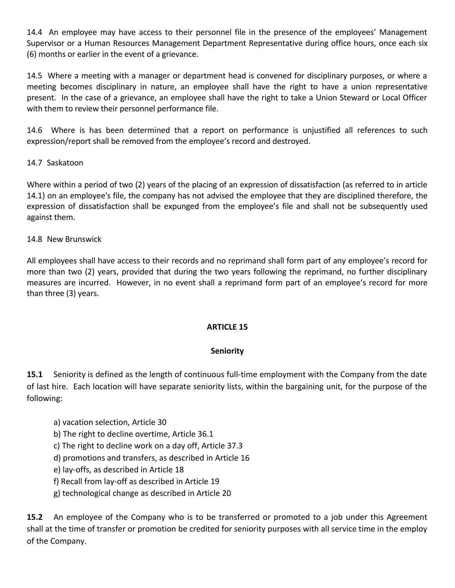14.4 An employee may have access to their personnel file in the presence of the employees' Management Supervisor or a Human Resources Management Department Representative during office hours, once each six (6) months or earlier in the event of a grievance.

14.5 Where a meeting with a manager or department head is convened for disciplinary purposes, or where a meeting becomes disciplinary in nature, an employee shall have the right to have a union representative present. In the case of a grievance, an employee shall have the right to take a Union Steward or Local Officer with them to review their personnel performance file.

14.6 Where is has been determined that a report on performance is unjustified all references to such expression/report shall be removed from the employee's record and destroyed.

# 14.7 Saskatoon

Where within a period of two (2) years of the placing of an expression of dissatisfaction (as referred to in article 14.1) on an employee's file, the company has not advised the employee that they are disciplined therefore, the expression of dissatisfaction shall be expunged from the employee's file and shall not be subsequently used against them.

## 14.8 New Brunswick

All employees shall have access to their records and no reprimand shall form part of any employee's record for more than two (2) years, provided that during the two years following the reprimand, no further disciplinary measures are incurred. However, in no event shall a reprimand form part of an employee's record for more than three (3) years.

## **ARTICLE 15**

## **Seniority**

**15.1** Seniority is defined as the length of continuous full-time employment with the Company from the date of last hire. Each location will have separate seniority lists, within the bargaining unit, for the purpose of the following:

- a) vacation selection, Article 30
- b) The right to decline overtime, Article 36.1
- c) The right to decline work on a day off, Article 37.3
- d) promotions and transfers, as described in Article 16
- e) lay-offs, as described in Article 18
- f) Recall from lay-off as described in Article 19
- g) technological change as described in Article 20

**15.2** An employee of the Company who is to be transferred or promoted to a job under this Agreement shall at the time of transfer or promotion be credited for seniority purposes with all service time in the employ of the Company.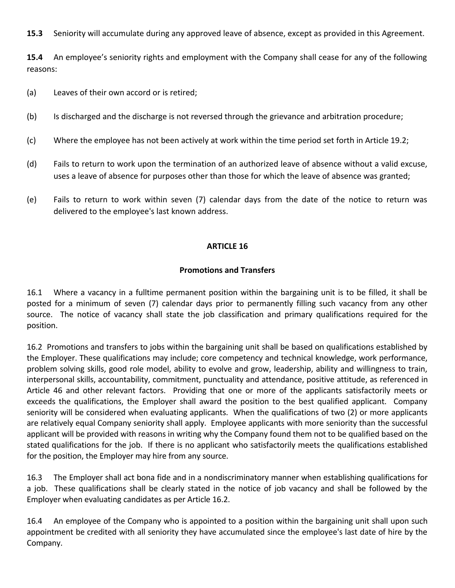**15.3** Seniority will accumulate during any approved leave of absence, except as provided in this Agreement.

**15.4** An employee's seniority rights and employment with the Company shall cease for any of the following reasons:

- (a) Leaves of their own accord or is retired;
- (b) Is discharged and the discharge is not reversed through the grievance and arbitration procedure;
- (c) Where the employee has not been actively at work within the time period set forth in Article 19.2;
- (d) Fails to return to work upon the termination of an authorized leave of absence without a valid excuse, uses a leave of absence for purposes other than those for which the leave of absence was granted;
- (e) Fails to return to work within seven (7) calendar days from the date of the notice to return was delivered to the employee's last known address.

## **ARTICLE 16**

#### **Promotions and Transfers**

16.1 Where a vacancy in a fulltime permanent position within the bargaining unit is to be filled, it shall be posted for a minimum of seven (7) calendar days prior to permanently filling such vacancy from any other source. The notice of vacancy shall state the job classification and primary qualifications required for the position.

16.2 Promotions and transfers to jobs within the bargaining unit shall be based on qualifications established by the Employer. These qualifications may include; core competency and technical knowledge, work performance, problem solving skills, good role model, ability to evolve and grow, leadership, ability and willingness to train, interpersonal skills, accountability, commitment, punctuality and attendance, positive attitude, as referenced in Article 46 and other relevant factors. Providing that one or more of the applicants satisfactorily meets or exceeds the qualifications, the Employer shall award the position to the best qualified applicant. Company seniority will be considered when evaluating applicants. When the qualifications of two (2) or more applicants are relatively equal Company seniority shall apply. Employee applicants with more seniority than the successful applicant will be provided with reasons in writing why the Company found them not to be qualified based on the stated qualifications for the job. If there is no applicant who satisfactorily meets the qualifications established for the position, the Employer may hire from any source.

16.3 The Employer shall act bona fide and in a nondiscriminatory manner when establishing qualifications for a job. These qualifications shall be clearly stated in the notice of job vacancy and shall be followed by the Employer when evaluating candidates as per Article 16.2.

16.4 An employee of the Company who is appointed to a position within the bargaining unit shall upon such appointment be credited with all seniority they have accumulated since the employee's last date of hire by the Company.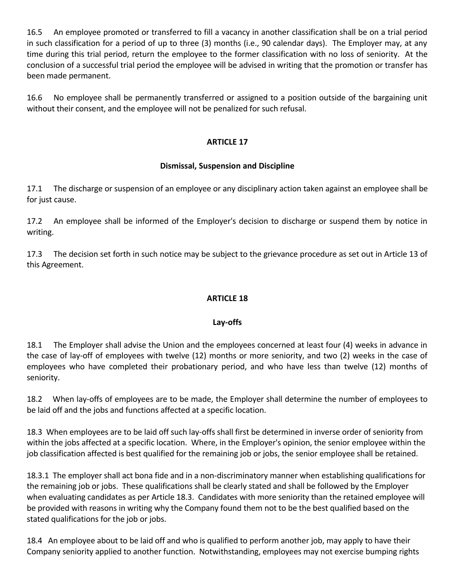16.5 An employee promoted or transferred to fill a vacancy in another classification shall be on a trial period in such classification for a period of up to three (3) months (i.e., 90 calendar days). The Employer may, at any time during this trial period, return the employee to the former classification with no loss of seniority. At the conclusion of a successful trial period the employee will be advised in writing that the promotion or transfer has been made permanent.

16.6 No employee shall be permanently transferred or assigned to a position outside of the bargaining unit without their consent, and the employee will not be penalized for such refusal.

## **ARTICLE 17**

## **Dismissal, Suspension and Discipline**

17.1 The discharge or suspension of an employee or any disciplinary action taken against an employee shall be for just cause.

17.2 An employee shall be informed of the Employer's decision to discharge or suspend them by notice in writing.

17.3 The decision set forth in such notice may be subject to the grievance procedure as set out in Article 13 of this Agreement.

# **ARTICLE 18**

## **Lay-offs**

18.1 The Employer shall advise the Union and the employees concerned at least four (4) weeks in advance in the case of lay-off of employees with twelve (12) months or more seniority, and two (2) weeks in the case of employees who have completed their probationary period, and who have less than twelve (12) months of seniority.

18.2 When lay-offs of employees are to be made, the Employer shall determine the number of employees to be laid off and the jobs and functions affected at a specific location.

18.3 When employees are to be laid off such lay-offs shall first be determined in inverse order of seniority from within the jobs affected at a specific location. Where, in the Employer's opinion, the senior employee within the job classification affected is best qualified for the remaining job or jobs, the senior employee shall be retained.

18.3.1 The employer shall act bona fide and in a non-discriminatory manner when establishing qualifications for the remaining job or jobs. These qualifications shall be clearly stated and shall be followed by the Employer when evaluating candidates as per Article 18.3. Candidates with more seniority than the retained employee will be provided with reasons in writing why the Company found them not to be the best qualified based on the stated qualifications for the job or jobs.

18.4 An employee about to be laid off and who is qualified to perform another job, may apply to have their Company seniority applied to another function. Notwithstanding, employees may not exercise bumping rights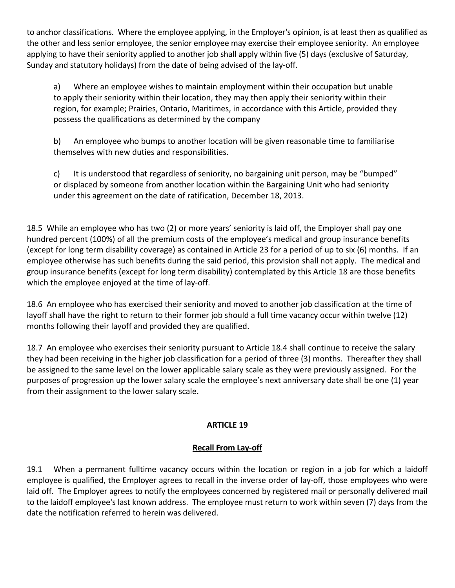to anchor classifications. Where the employee applying, in the Employer's opinion, is at least then as qualified as the other and less senior employee, the senior employee may exercise their employee seniority. An employee applying to have their seniority applied to another job shall apply within five (5) days (exclusive of Saturday, Sunday and statutory holidays) from the date of being advised of the lay-off.

a) Where an employee wishes to maintain employment within their occupation but unable to apply their seniority within their location, they may then apply their seniority within their region, for example; Prairies, Ontario, Maritimes, in accordance with this Article, provided they possess the qualifications as determined by the company

b) An employee who bumps to another location will be given reasonable time to familiarise themselves with new duties and responsibilities.

c) It is understood that regardless of seniority, no bargaining unit person, may be "bumped" or displaced by someone from another location within the Bargaining Unit who had seniority under this agreement on the date of ratification, December 18, 2013.

18.5 While an employee who has two (2) or more years' seniority is laid off, the Employer shall pay one hundred percent (100%) of all the premium costs of the employee's medical and group insurance benefits (except for long term disability coverage) as contained in Article 23 for a period of up to six (6) months. If an employee otherwise has such benefits during the said period, this provision shall not apply. The medical and group insurance benefits (except for long term disability) contemplated by this Article 18 are those benefits which the employee enjoyed at the time of lay-off.

18.6 An employee who has exercised their seniority and moved to another job classification at the time of layoff shall have the right to return to their former job should a full time vacancy occur within twelve (12) months following their layoff and provided they are qualified.

18.7 An employee who exercises their seniority pursuant to Article 18.4 shall continue to receive the salary they had been receiving in the higher job classification for a period of three (3) months. Thereafter they shall be assigned to the same level on the lower applicable salary scale as they were previously assigned. For the purposes of progression up the lower salary scale the employee's next anniversary date shall be one (1) year from their assignment to the lower salary scale.

# **ARTICLE 19**

# **Recall From Lay-off**

19.1 When a permanent fulltime vacancy occurs within the location or region in a job for which a laidoff employee is qualified, the Employer agrees to recall in the inverse order of lay-off, those employees who were laid off. The Employer agrees to notify the employees concerned by registered mail or personally delivered mail to the laidoff employee's last known address. The employee must return to work within seven (7) days from the date the notification referred to herein was delivered.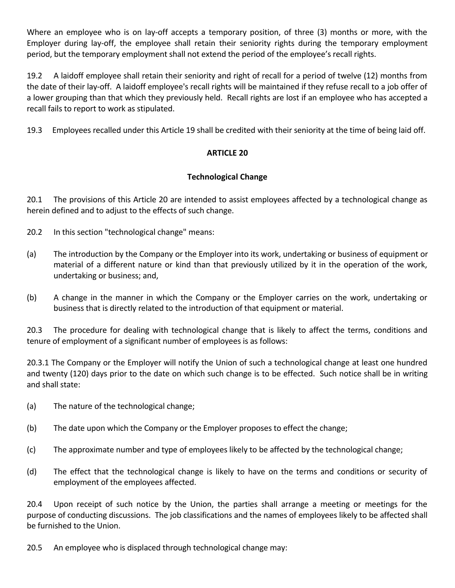Where an employee who is on lay-off accepts a temporary position, of three (3) months or more, with the Employer during lay-off, the employee shall retain their seniority rights during the temporary employment period, but the temporary employment shall not extend the period of the employee's recall rights.

19.2 A laidoff employee shall retain their seniority and right of recall for a period of twelve (12) months from the date of their lay-off. A laidoff employee's recall rights will be maintained if they refuse recall to a job offer of a lower grouping than that which they previously held. Recall rights are lost if an employee who has accepted a recall fails to report to work as stipulated.

19.3 Employees recalled under this Article 19 shall be credited with their seniority at the time of being laid off.

# **ARTICLE 20**

# **Technological Change**

20.1 The provisions of this Article 20 are intended to assist employees affected by a technological change as herein defined and to adjust to the effects of such change.

- 20.2 In this section "technological change" means:
- (a) The introduction by the Company or the Employer into its work, undertaking or business of equipment or material of a different nature or kind than that previously utilized by it in the operation of the work, undertaking or business; and,
- (b) A change in the manner in which the Company or the Employer carries on the work, undertaking or business that is directly related to the introduction of that equipment or material.

20.3 The procedure for dealing with technological change that is likely to affect the terms, conditions and tenure of employment of a significant number of employees is as follows:

20.3.1 The Company or the Employer will notify the Union of such a technological change at least one hundred and twenty (120) days prior to the date on which such change is to be effected. Such notice shall be in writing and shall state:

- (a) The nature of the technological change;
- (b) The date upon which the Company or the Employer proposes to effect the change;
- (c) The approximate number and type of employees likely to be affected by the technological change;
- (d) The effect that the technological change is likely to have on the terms and conditions or security of employment of the employees affected.

20.4 Upon receipt of such notice by the Union, the parties shall arrange a meeting or meetings for the purpose of conducting discussions. The job classifications and the names of employees likely to be affected shall be furnished to the Union.

20.5 An employee who is displaced through technological change may: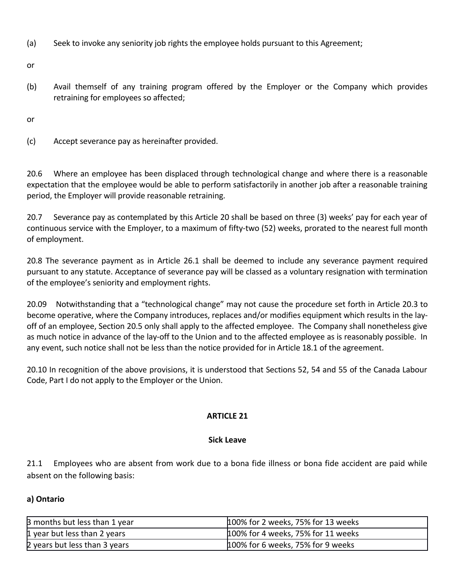(a) Seek to invoke any seniority job rights the employee holds pursuant to this Agreement;

or

(b) Avail themself of any training program offered by the Employer or the Company which provides retraining for employees so affected;

or

(c) Accept severance pay as hereinafter provided.

20.6 Where an employee has been displaced through technological change and where there is a reasonable expectation that the employee would be able to perform satisfactorily in another job after a reasonable training period, the Employer will provide reasonable retraining.

20.7 Severance pay as contemplated by this Article 20 shall be based on three (3) weeks' pay for each year of continuous service with the Employer, to a maximum of fifty-two (52) weeks, prorated to the nearest full month of employment.

20.8 The severance payment as in Article 26.1 shall be deemed to include any severance payment required pursuant to any statute. Acceptance of severance pay will be classed as a voluntary resignation with termination of the employee's seniority and employment rights.

20.09 Notwithstanding that a "technological change" may not cause the procedure set forth in Article 20.3 to become operative, where the Company introduces, replaces and/or modifies equipment which results in the layoff of an employee, Section 20.5 only shall apply to the affected employee. The Company shall nonetheless give as much notice in advance of the lay-off to the Union and to the affected employee as is reasonably possible. In any event, such notice shall not be less than the notice provided for in Article 18.1 of the agreement.

20.10 In recognition of the above provisions, it is understood that Sections 52, 54 and 55 of the Canada Labour Code, Part I do not apply to the Employer or the Union.

# **ARTICLE 21**

# **Sick Leave**

21.1 Employees who are absent from work due to a bona fide illness or bona fide accident are paid while absent on the following basis:

# **a) Ontario**

| 3 months but less than 1 year | 100% for 2 weeks, 75% for 13 weeks |
|-------------------------------|------------------------------------|
| 1 year but less than 2 years  | 100% for 4 weeks, 75% for 11 weeks |
| 2 years but less than 3 years | 100% for 6 weeks, 75% for 9 weeks  |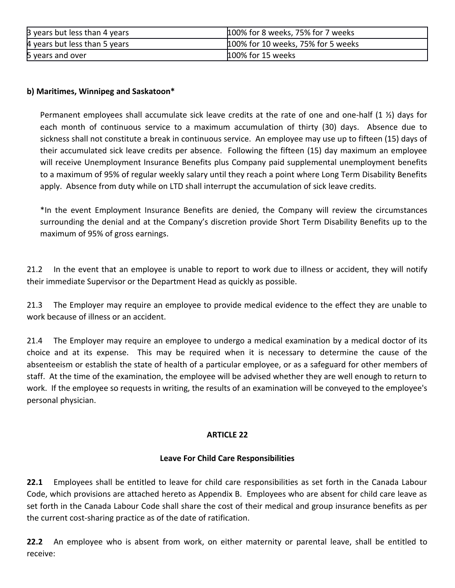| 3 years but less than 4 years | 100% for 8 weeks, 75% for 7 weeks  |
|-------------------------------|------------------------------------|
| 4 years but less than 5 years | 100% for 10 weeks, 75% for 5 weeks |
| 5 years and over              | 100% for 15 weeks                  |

## **b) Maritimes, Winnipeg and Saskatoon\***

Permanent employees shall accumulate sick leave credits at the rate of one and one-half  $(1 \frac{1}{2})$  days for each month of continuous service to a maximum accumulation of thirty (30) days. Absence due to sickness shall not constitute a break in continuous service. An employee may use up to fifteen (15) days of their accumulated sick leave credits per absence. Following the fifteen (15) day maximum an employee will receive Unemployment Insurance Benefits plus Company paid supplemental unemployment benefits to a maximum of 95% of regular weekly salary until they reach a point where Long Term Disability Benefits apply. Absence from duty while on LTD shall interrupt the accumulation of sick leave credits.

\*In the event Employment Insurance Benefits are denied, the Company will review the circumstances surrounding the denial and at the Company's discretion provide Short Term Disability Benefits up to the maximum of 95% of gross earnings.

21.2 In the event that an employee is unable to report to work due to illness or accident, they will notify their immediate Supervisor or the Department Head as quickly as possible.

21.3 The Employer may require an employee to provide medical evidence to the effect they are unable to work because of illness or an accident.

21.4 The Employer may require an employee to undergo a medical examination by a medical doctor of its choice and at its expense. This may be required when it is necessary to determine the cause of the absenteeism or establish the state of health of a particular employee, or as a safeguard for other members of staff. At the time of the examination, the employee will be advised whether they are well enough to return to work. If the employee so requests in writing, the results of an examination will be conveyed to the employee's personal physician.

## **ARTICLE 22**

## **Leave For Child Care Responsibilities**

**22.1** Employees shall be entitled to leave for child care responsibilities as set forth in the Canada Labour Code, which provisions are attached hereto as Appendix B. Employees who are absent for child care leave as set forth in the Canada Labour Code shall share the cost of their medical and group insurance benefits as per the current cost-sharing practice as of the date of ratification.

**22.2** An employee who is absent from work, on either maternity or parental leave, shall be entitled to receive: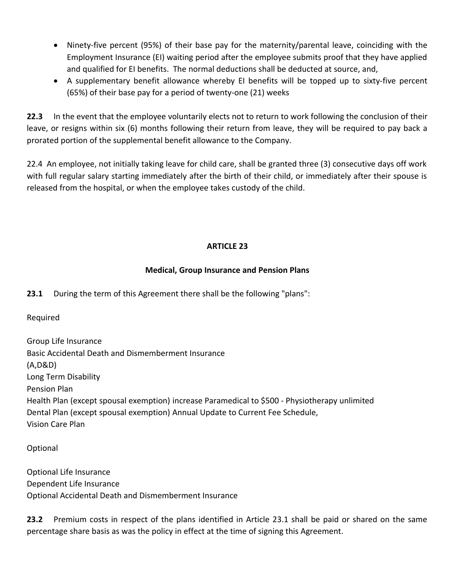- Ninety-five percent (95%) of their base pay for the maternity/parental leave, coinciding with the Employment Insurance (EI) waiting period after the employee submits proof that they have applied and qualified for EI benefits. The normal deductions shall be deducted at source, and,
- A supplementary benefit allowance whereby EI benefits will be topped up to sixty-five percent (65%) of their base pay for a period of twenty-one (21) weeks

**22.3** In the event that the employee voluntarily elects not to return to work following the conclusion of their leave, or resigns within six (6) months following their return from leave, they will be required to pay back a prorated portion of the supplemental benefit allowance to the Company.

22.4 An employee, not initially taking leave for child care, shall be granted three (3) consecutive days off work with full regular salary starting immediately after the birth of their child, or immediately after their spouse is released from the hospital, or when the employee takes custody of the child.

# **ARTICLE 23**

# **Medical, Group Insurance and Pension Plans**

**23.1** During the term of this Agreement there shall be the following "plans":

Required

Group Life Insurance Basic Accidental Death and Dismemberment Insurance (A,D&D) Long Term Disability Pension Plan Health Plan (except spousal exemption) increase Paramedical to \$500 - Physiotherapy unlimited Dental Plan (except spousal exemption) Annual Update to Current Fee Schedule, Vision Care Plan

Optional

Optional Life Insurance Dependent Life Insurance Optional Accidental Death and Dismemberment Insurance

**23.2** Premium costs in respect of the plans identified in Article 23.1 shall be paid or shared on the same percentage share basis as was the policy in effect at the time of signing this Agreement.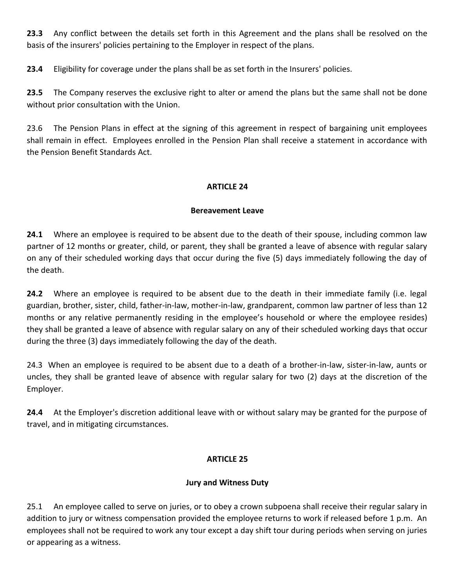**23.3** Any conflict between the details set forth in this Agreement and the plans shall be resolved on the basis of the insurers' policies pertaining to the Employer in respect of the plans.

**23.4** Eligibility for coverage under the plans shall be as set forth in the Insurers' policies.

**23.5** The Company reserves the exclusive right to alter or amend the plans but the same shall not be done without prior consultation with the Union.

23.6 The Pension Plans in effect at the signing of this agreement in respect of bargaining unit employees shall remain in effect. Employees enrolled in the Pension Plan shall receive a statement in accordance with the Pension Benefit Standards Act.

## **ARTICLE 24**

## **Bereavement Leave**

**24.1** Where an employee is required to be absent due to the death of their spouse, including common law partner of 12 months or greater, child, or parent, they shall be granted a leave of absence with regular salary on any of their scheduled working days that occur during the five (5) days immediately following the day of the death.

**24.2** Where an employee is required to be absent due to the death in their immediate family (i.e. legal guardian, brother, sister, child, father-in-law, mother-in-law, grandparent, common law partner of less than 12 months or any relative permanently residing in the employee's household or where the employee resides) they shall be granted a leave of absence with regular salary on any of their scheduled working days that occur during the three (3) days immediately following the day of the death.

24.3 When an employee is required to be absent due to a death of a brother-in-law, sister-in-law, aunts or uncles, they shall be granted leave of absence with regular salary for two (2) days at the discretion of the Employer.

**24.4** At the Employer's discretion additional leave with or without salary may be granted for the purpose of travel, and in mitigating circumstances.

## **ARTICLE 25**

# **Jury and Witness Duty**

25.1 An employee called to serve on juries, or to obey a crown subpoena shall receive their regular salary in addition to jury or witness compensation provided the employee returns to work if released before 1 p.m. An employees shall not be required to work any tour except a day shift tour during periods when serving on juries or appearing as a witness.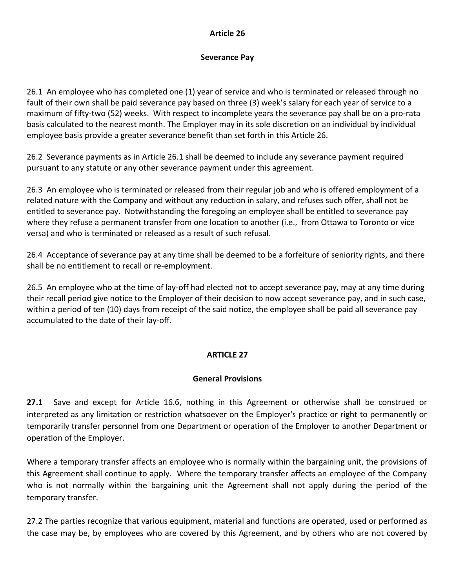## **Article 26**

## **Severance Pay**

26.1 An employee who has completed one (1) year of service and who is terminated or released through no fault of their own shall be paid severance pay based on three (3) week's salary for each year of service to a maximum of fifty-two (52) weeks. With respect to incomplete years the severance pay shall be on a pro-rata basis calculated to the nearest month. The Employer may in its sole discretion on an individual by individual employee basis provide a greater severance benefit than set forth in this Article 26.

26.2 Severance payments as in Article 26.1 shall be deemed to include any severance payment required pursuant to any statute or any other severance payment under this agreement.

26.3 An employee who is terminated or released from their regular job and who is offered employment of a related nature with the Company and without any reduction in salary, and refuses such offer, shall not be entitled to severance pay. Notwithstanding the foregoing an employee shall be entitled to severance pay where they refuse a permanent transfer from one location to another (i.e., from Ottawa to Toronto or vice versa) and who is terminated or released as a result of such refusal.

26.4 Acceptance of severance pay at any time shall be deemed to be a forfeiture of seniority rights, and there shall be no entitlement to recall or re-employment.

26.5 An employee who at the time of lay-off had elected not to accept severance pay, may at any time during their recall period give notice to the Employer of their decision to now accept severance pay, and in such case, within a period of ten (10) days from receipt of the said notice, the employee shall be paid all severance pay accumulated to the date of their lay-off.

# **ARTICLE 27**

# **General Provisions**

**27.1** Save and except for Article 16.6, nothing in this Agreement or otherwise shall be construed or interpreted as any limitation or restriction whatsoever on the Employer's practice or right to permanently or temporarily transfer personnel from one Department or operation of the Employer to another Department or operation of the Employer.

Where a temporary transfer affects an employee who is normally within the bargaining unit, the provisions of this Agreement shall continue to apply. Where the temporary transfer affects an employee of the Company who is not normally within the bargaining unit the Agreement shall not apply during the period of the temporary transfer.

27.2 The parties recognize that various equipment, material and functions are operated, used or performed as the case may be, by employees who are covered by this Agreement, and by others who are not covered by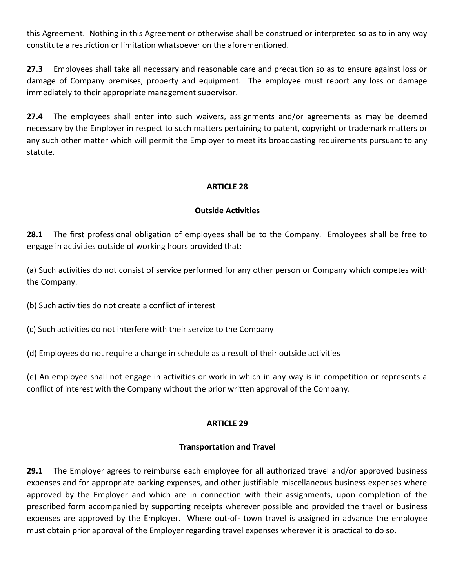this Agreement. Nothing in this Agreement or otherwise shall be construed or interpreted so as to in any way constitute a restriction or limitation whatsoever on the aforementioned.

**27.3** Employees shall take all necessary and reasonable care and precaution so as to ensure against loss or damage of Company premises, property and equipment. The employee must report any loss or damage immediately to their appropriate management supervisor.

**27.4** The employees shall enter into such waivers, assignments and/or agreements as may be deemed necessary by the Employer in respect to such matters pertaining to patent, copyright or trademark matters or any such other matter which will permit the Employer to meet its broadcasting requirements pursuant to any statute.

## **ARTICLE 28**

#### **Outside Activities**

**28.1** The first professional obligation of employees shall be to the Company. Employees shall be free to engage in activities outside of working hours provided that:

(a) Such activities do not consist of service performed for any other person or Company which competes with the Company.

(b) Such activities do not create a conflict of interest

(c) Such activities do not interfere with their service to the Company

(d) Employees do not require a change in schedule as a result of their outside activities

(e) An employee shall not engage in activities or work in which in any way is in competition or represents a conflict of interest with the Company without the prior written approval of the Company.

## **ARTICLE 29**

## **Transportation and Travel**

**29.1** The Employer agrees to reimburse each employee for all authorized travel and/or approved business expenses and for appropriate parking expenses, and other justifiable miscellaneous business expenses where approved by the Employer and which are in connection with their assignments, upon completion of the prescribed form accompanied by supporting receipts wherever possible and provided the travel or business expenses are approved by the Employer. Where out-of- town travel is assigned in advance the employee must obtain prior approval of the Employer regarding travel expenses wherever it is practical to do so.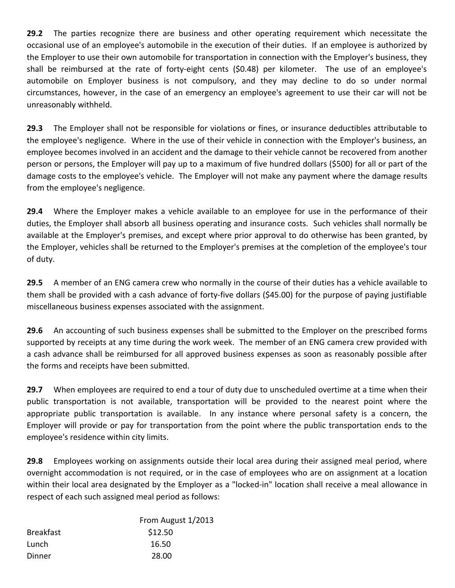**29.2** The parties recognize there are business and other operating requirement which necessitate the occasional use of an employee's automobile in the execution of their duties. If an employee is authorized by the Employer to use their own automobile for transportation in connection with the Employer's business, they shall be reimbursed at the rate of forty-eight cents (\$0.48) per kilometer. The use of an employee's automobile on Employer business is not compulsory, and they may decline to do so under normal circumstances, however, in the case of an emergency an employee's agreement to use their car will not be unreasonably withheld.

**29.3** The Employer shall not be responsible for violations or fines, or insurance deductibles attributable to the employee's negligence. Where in the use of their vehicle in connection with the Employer's business, an employee becomes involved in an accident and the damage to their vehicle cannot be recovered from another person or persons, the Employer will pay up to a maximum of five hundred dollars (\$500) for all or part of the damage costs to the employee's vehicle. The Employer will not make any payment where the damage results from the employee's negligence.

**29.4** Where the Employer makes a vehicle available to an employee for use in the performance of their duties, the Employer shall absorb all business operating and insurance costs. Such vehicles shall normally be available at the Employer's premises, and except where prior approval to do otherwise has been granted, by the Employer, vehicles shall be returned to the Employer's premises at the completion of the employee's tour of duty.

**29.5** A member of an ENG camera crew who normally in the course of their duties has a vehicle available to them shall be provided with a cash advance of forty-five dollars (\$45.00) for the purpose of paying justifiable miscellaneous business expenses associated with the assignment.

**29.6** An accounting of such business expenses shall be submitted to the Employer on the prescribed forms supported by receipts at any time during the work week. The member of an ENG camera crew provided with a cash advance shall be reimbursed for all approved business expenses as soon as reasonably possible after the forms and receipts have been submitted.

**29.7** When employees are required to end a tour of duty due to unscheduled overtime at a time when their public transportation is not available, transportation will be provided to the nearest point where the appropriate public transportation is available. In any instance where personal safety is a concern, the Employer will provide or pay for transportation from the point where the public transportation ends to the employee's residence within city limits.

**29.8** Employees working on assignments outside their local area during their assigned meal period, where overnight accommodation is not required, or in the case of employees who are on assignment at a location within their local area designated by the Employer as a "locked-in" location shall receive a meal allowance in respect of each such assigned meal period as follows:

|                  | From August 1/2013 |
|------------------|--------------------|
| <b>Breakfast</b> | \$12.50            |
| Lunch            | 16.50              |
| Dinner           | 28.00              |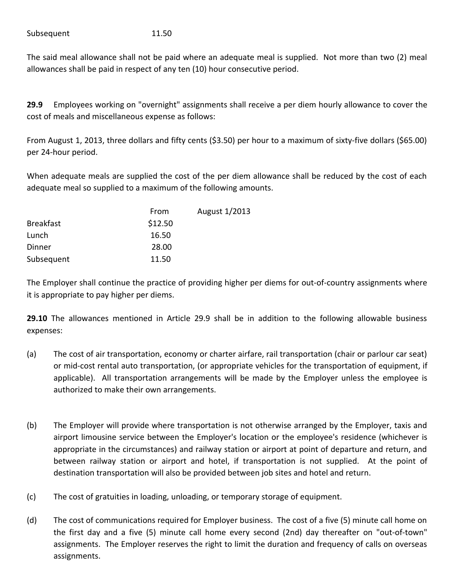Subsequent 11.50

The said meal allowance shall not be paid where an adequate meal is supplied. Not more than two (2) meal allowances shall be paid in respect of any ten (10) hour consecutive period.

**29.9** Employees working on "overnight" assignments shall receive a per diem hourly allowance to cover the cost of meals and miscellaneous expense as follows:

From August 1, 2013, three dollars and fifty cents (\$3.50) per hour to a maximum of sixty-five dollars (\$65.00) per 24-hour period.

When adequate meals are supplied the cost of the per diem allowance shall be reduced by the cost of each adequate meal so supplied to a maximum of the following amounts.

|                  | From    | August 1/2013 |
|------------------|---------|---------------|
| <b>Breakfast</b> | \$12.50 |               |
| Lunch            | 16.50   |               |
| Dinner           | 28.00   |               |
| Subsequent       | 11.50   |               |

The Employer shall continue the practice of providing higher per diems for out-of-country assignments where it is appropriate to pay higher per diems.

**29.10** The allowances mentioned in Article 29.9 shall be in addition to the following allowable business expenses:

- (a) The cost of air transportation, economy or charter airfare, rail transportation (chair or parlour car seat) or mid-cost rental auto transportation, (or appropriate vehicles for the transportation of equipment, if applicable). All transportation arrangements will be made by the Employer unless the employee is authorized to make their own arrangements.
- (b) The Employer will provide where transportation is not otherwise arranged by the Employer, taxis and airport limousine service between the Employer's location or the employee's residence (whichever is appropriate in the circumstances) and railway station or airport at point of departure and return, and between railway station or airport and hotel, if transportation is not supplied. At the point of destination transportation will also be provided between job sites and hotel and return.
- (c) The cost of gratuities in loading, unloading, or temporary storage of equipment.
- (d) The cost of communications required for Employer business. The cost of a five (5) minute call home on the first day and a five (5) minute call home every second (2nd) day thereafter on "out-of-town" assignments. The Employer reserves the right to limit the duration and frequency of calls on overseas assignments.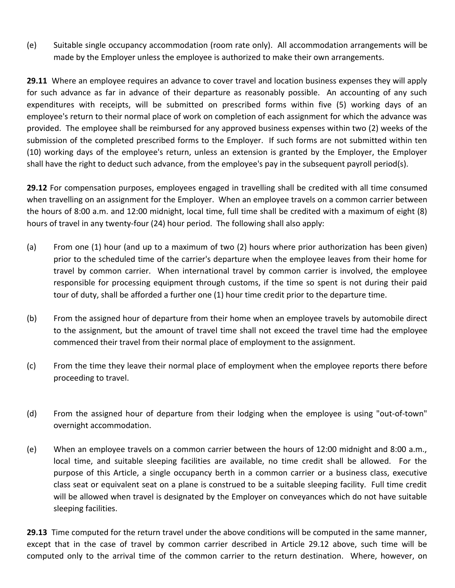(e) Suitable single occupancy accommodation (room rate only). All accommodation arrangements will be made by the Employer unless the employee is authorized to make their own arrangements.

**29.11** Where an employee requires an advance to cover travel and location business expenses they will apply for such advance as far in advance of their departure as reasonably possible. An accounting of any such expenditures with receipts, will be submitted on prescribed forms within five (5) working days of an employee's return to their normal place of work on completion of each assignment for which the advance was provided. The employee shall be reimbursed for any approved business expenses within two (2) weeks of the submission of the completed prescribed forms to the Employer. If such forms are not submitted within ten (10) working days of the employee's return, unless an extension is granted by the Employer, the Employer shall have the right to deduct such advance, from the employee's pay in the subsequent payroll period(s).

**29.12** For compensation purposes, employees engaged in travelling shall be credited with all time consumed when travelling on an assignment for the Employer. When an employee travels on a common carrier between the hours of 8:00 a.m. and 12:00 midnight, local time, full time shall be credited with a maximum of eight (8) hours of travel in any twenty-four (24) hour period. The following shall also apply:

- (a) From one (1) hour (and up to a maximum of two (2) hours where prior authorization has been given) prior to the scheduled time of the carrier's departure when the employee leaves from their home for travel by common carrier. When international travel by common carrier is involved, the employee responsible for processing equipment through customs, if the time so spent is not during their paid tour of duty, shall be afforded a further one (1) hour time credit prior to the departure time.
- (b) From the assigned hour of departure from their home when an employee travels by automobile direct to the assignment, but the amount of travel time shall not exceed the travel time had the employee commenced their travel from their normal place of employment to the assignment.
- (c) From the time they leave their normal place of employment when the employee reports there before proceeding to travel.
- (d) From the assigned hour of departure from their lodging when the employee is using "out-of-town" overnight accommodation.
- (e) When an employee travels on a common carrier between the hours of 12:00 midnight and 8:00 a.m., local time, and suitable sleeping facilities are available, no time credit shall be allowed. For the purpose of this Article, a single occupancy berth in a common carrier or a business class, executive class seat or equivalent seat on a plane is construed to be a suitable sleeping facility. Full time credit will be allowed when travel is designated by the Employer on conveyances which do not have suitable sleeping facilities.

**29.13** Time computed for the return travel under the above conditions will be computed in the same manner, except that in the case of travel by common carrier described in Article 29.12 above, such time will be computed only to the arrival time of the common carrier to the return destination. Where, however, on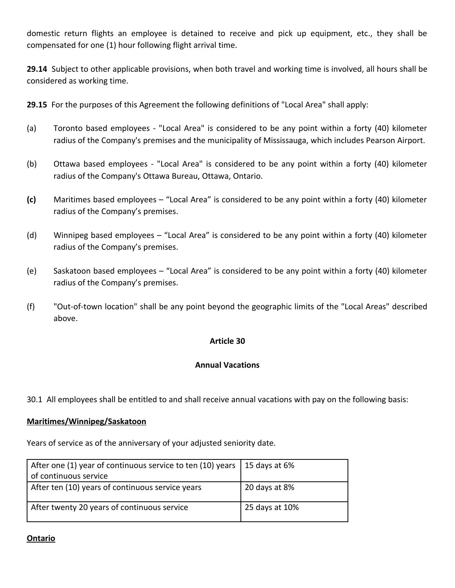domestic return flights an employee is detained to receive and pick up equipment, etc., they shall be compensated for one (1) hour following flight arrival time.

**29.14** Subject to other applicable provisions, when both travel and working time is involved, all hours shall be considered as working time.

**29.15** For the purposes of this Agreement the following definitions of "Local Area" shall apply:

- (a) Toronto based employees "Local Area" is considered to be any point within a forty (40) kilometer radius of the Company's premises and the municipality of Mississauga, which includes Pearson Airport.
- (b) Ottawa based employees "Local Area" is considered to be any point within a forty (40) kilometer radius of the Company's Ottawa Bureau, Ottawa, Ontario.
- **(c)** Maritimes based employees "Local Area" is considered to be any point within a forty (40) kilometer radius of the Company's premises.
- (d) Winnipeg based employees "Local Area" is considered to be any point within a forty (40) kilometer radius of the Company's premises.
- (e) Saskatoon based employees "Local Area" is considered to be any point within a forty (40) kilometer radius of the Company's premises.
- (f) "Out-of-town location" shall be any point beyond the geographic limits of the "Local Areas" described above.

## **Article 30**

## **Annual Vacations**

30.1 All employees shall be entitled to and shall receive annual vacations with pay on the following basis:

#### **Maritimes/Winnipeg/Saskatoon**

Years of service as of the anniversary of your adjusted seniority date.

| After one (1) year of continuous service to ten (10) years | 15 days at $6\%$ |
|------------------------------------------------------------|------------------|
| of continuous service                                      |                  |
| After ten (10) years of continuous service years           | 20 days at 8%    |
| After twenty 20 years of continuous service                | 25 days at 10%   |

#### **Ontario**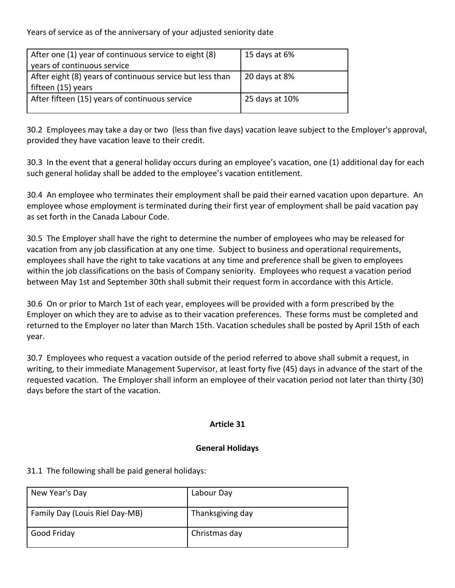Years of service as of the anniversary of your adjusted seniority date

| After one (1) year of continuous service to eight (8)     | 15 days at 6%  |
|-----------------------------------------------------------|----------------|
| years of continuous service                               |                |
| After eight (8) years of continuous service but less than | 20 days at 8%  |
| fifteen (15) years                                        |                |
| After fifteen (15) years of continuous service            | 25 days at 10% |
|                                                           |                |

30.2 Employees may take a day or two (less than five days) vacation leave subject to the Employer's approval, provided they have vacation leave to their credit.

30.3 In the event that a general holiday occurs during an employee's vacation, one (1) additional day for each such general holiday shall be added to the employee's vacation entitlement.

30.4 An employee who terminates their employment shall be paid their earned vacation upon departure. An employee whose employment is terminated during their first year of employment shall be paid vacation pay as set forth in the Canada Labour Code.

30.5 The Employer shall have the right to determine the number of employees who may be released for vacation from any job classification at any one time. Subject to business and operational requirements, employees shall have the right to take vacations at any time and preference shall be given to employees within the job classifications on the basis of Company seniority. Employees who request a vacation period between May 1st and September 30th shall submit their request form in accordance with this Article.

30.6 On or prior to March 1st of each year, employees will be provided with a form prescribed by the Employer on which they are to advise as to their vacation preferences. These forms must be completed and returned to the Employer no later than March 15th. Vacation schedules shall be posted by April 15th of each year.

30.7 Employees who request a vacation outside of the period referred to above shall submit a request, in writing, to their immediate Management Supervisor, at least forty five (45) days in advance of the start of the requested vacation. The Employer shall inform an employee of their vacation period not later than thirty (30) days before the start of the vacation.

# **Article 31**

## **General Holidays**

31.1 The following shall be paid general holidays:

| New Year's Day                 | Labour Day       |
|--------------------------------|------------------|
| Family Day (Louis Riel Day-MB) | Thanksgiving day |
| Good Friday                    | Christmas day    |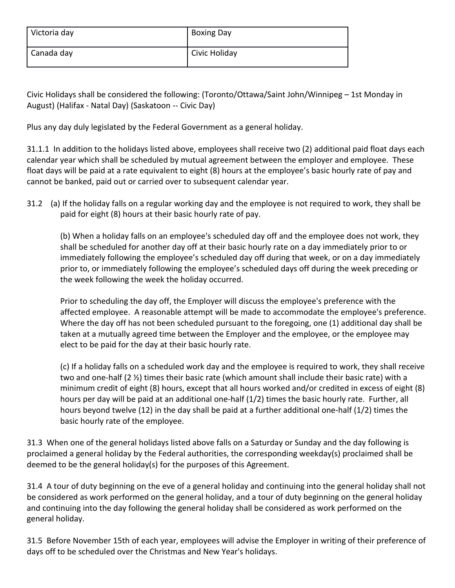| Victoria day | <b>Boxing Day</b> |
|--------------|-------------------|
| Canada day   | Civic Holiday     |

Civic Holidays shall be considered the following: (Toronto/Ottawa/Saint John/Winnipeg – 1st Monday in August) (Halifax - Natal Day) (Saskatoon -- Civic Day)

Plus any day duly legislated by the Federal Government as a general holiday.

31.1.1 In addition to the holidays listed above, employees shall receive two (2) additional paid float days each calendar year which shall be scheduled by mutual agreement between the employer and employee. These float days will be paid at a rate equivalent to eight (8) hours at the employee's basic hourly rate of pay and cannot be banked, paid out or carried over to subsequent calendar year.

31.2 (a) If the holiday falls on a regular working day and the employee is not required to work, they shall be paid for eight (8) hours at their basic hourly rate of pay.

(b) When a holiday falls on an employee's scheduled day off and the employee does not work, they shall be scheduled for another day off at their basic hourly rate on a day immediately prior to or immediately following the employee's scheduled day off during that week, or on a day immediately prior to, or immediately following the employee's scheduled days off during the week preceding or the week following the week the holiday occurred.

Prior to scheduling the day off, the Employer will discuss the employee's preference with the affected employee. A reasonable attempt will be made to accommodate the employee's preference. Where the day off has not been scheduled pursuant to the foregoing, one (1) additional day shall be taken at a mutually agreed time between the Employer and the employee, or the employee may elect to be paid for the day at their basic hourly rate.

(c) If a holiday falls on a scheduled work day and the employee is required to work, they shall receive two and one-half (2 ½) times their basic rate (which amount shall include their basic rate) with a minimum credit of eight (8) hours, except that all hours worked and/or credited in excess of eight (8) hours per day will be paid at an additional one-half (1/2) times the basic hourly rate. Further, all hours beyond twelve (12) in the day shall be paid at a further additional one-half (1/2) times the basic hourly rate of the employee.

31.3 When one of the general holidays listed above falls on a Saturday or Sunday and the day following is proclaimed a general holiday by the Federal authorities, the corresponding weekday(s) proclaimed shall be deemed to be the general holiday(s) for the purposes of this Agreement.

31.4 A tour of duty beginning on the eve of a general holiday and continuing into the general holiday shall not be considered as work performed on the general holiday, and a tour of duty beginning on the general holiday and continuing into the day following the general holiday shall be considered as work performed on the general holiday.

31.5 Before November 15th of each year, employees will advise the Employer in writing of their preference of days off to be scheduled over the Christmas and New Year's holidays.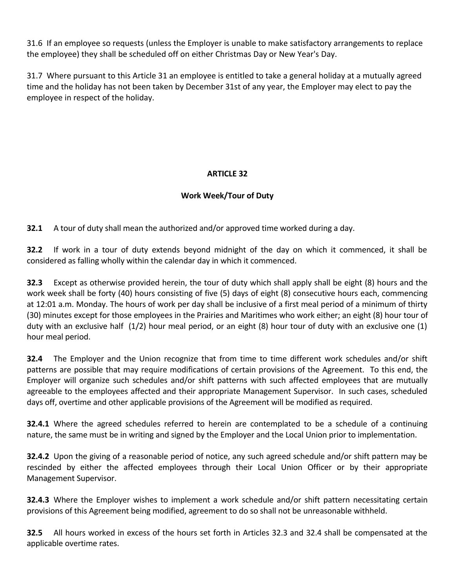31.6 If an employee so requests (unless the Employer is unable to make satisfactory arrangements to replace the employee) they shall be scheduled off on either Christmas Day or New Year's Day.

31.7 Where pursuant to this Article 31 an employee is entitled to take a general holiday at a mutually agreed time and the holiday has not been taken by December 31st of any year, the Employer may elect to pay the employee in respect of the holiday.

# **ARTICLE 32**

# **Work Week/Tour of Duty**

**32.1** A tour of duty shall mean the authorized and/or approved time worked during a day.

**32.2** If work in a tour of duty extends beyond midnight of the day on which it commenced, it shall be considered as falling wholly within the calendar day in which it commenced.

**32.3** Except as otherwise provided herein, the tour of duty which shall apply shall be eight (8) hours and the work week shall be forty (40) hours consisting of five (5) days of eight (8) consecutive hours each, commencing at 12:01 a.m. Monday. The hours of work per day shall be inclusive of a first meal period of a minimum of thirty (30) minutes except for those employees in the Prairies and Maritimes who work either; an eight (8) hour tour of duty with an exclusive half (1/2) hour meal period, or an eight (8) hour tour of duty with an exclusive one (1) hour meal period.

**32.4** The Employer and the Union recognize that from time to time different work schedules and/or shift patterns are possible that may require modifications of certain provisions of the Agreement. To this end, the Employer will organize such schedules and/or shift patterns with such affected employees that are mutually agreeable to the employees affected and their appropriate Management Supervisor. In such cases, scheduled days off, overtime and other applicable provisions of the Agreement will be modified as required.

**32.4.1** Where the agreed schedules referred to herein are contemplated to be a schedule of a continuing nature, the same must be in writing and signed by the Employer and the Local Union prior to implementation.

**32.4.2** Upon the giving of a reasonable period of notice, any such agreed schedule and/or shift pattern may be rescinded by either the affected employees through their Local Union Officer or by their appropriate Management Supervisor.

**32.4.3** Where the Employer wishes to implement a work schedule and/or shift pattern necessitating certain provisions of this Agreement being modified, agreement to do so shall not be unreasonable withheld.

**32.5** All hours worked in excess of the hours set forth in Articles 32.3 and 32.4 shall be compensated at the applicable overtime rates.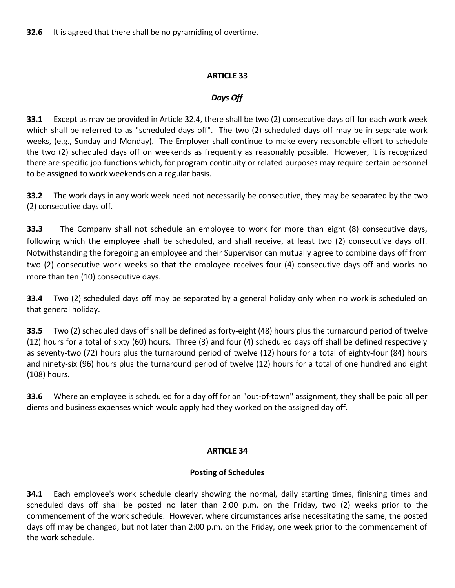# *Days Off*

**33.1** Except as may be provided in Article 32.4, there shall be two (2) consecutive days off for each work week which shall be referred to as "scheduled days off". The two (2) scheduled days off may be in separate work weeks, (e.g., Sunday and Monday). The Employer shall continue to make every reasonable effort to schedule the two (2) scheduled days off on weekends as frequently as reasonably possible. However, it is recognized there are specific job functions which, for program continuity or related purposes may require certain personnel to be assigned to work weekends on a regular basis.

**33.2** The work days in any work week need not necessarily be consecutive, they may be separated by the two (2) consecutive days off.

**33.3** The Company shall not schedule an employee to work for more than eight (8) consecutive days, following which the employee shall be scheduled, and shall receive, at least two (2) consecutive days off. Notwithstanding the foregoing an employee and their Supervisor can mutually agree to combine days off from two (2) consecutive work weeks so that the employee receives four (4) consecutive days off and works no more than ten (10) consecutive days.

**33.4** Two (2) scheduled days off may be separated by a general holiday only when no work is scheduled on that general holiday.

**33.5** Two (2) scheduled days off shall be defined as forty-eight (48) hours plus the turnaround period of twelve (12) hours for a total of sixty (60) hours. Three (3) and four (4) scheduled days off shall be defined respectively as seventy-two (72) hours plus the turnaround period of twelve (12) hours for a total of eighty-four (84) hours and ninety-six (96) hours plus the turnaround period of twelve (12) hours for a total of one hundred and eight (108) hours.

**33.6** Where an employee is scheduled for a day off for an "out-of-town" assignment, they shall be paid all per diems and business expenses which would apply had they worked on the assigned day off.

# **ARTICLE 34**

# **Posting of Schedules**

**34.1** Each employee's work schedule clearly showing the normal, daily starting times, finishing times and scheduled days off shall be posted no later than 2:00 p.m. on the Friday, two (2) weeks prior to the commencement of the work schedule. However, where circumstances arise necessitating the same, the posted days off may be changed, but not later than 2:00 p.m. on the Friday, one week prior to the commencement of the work schedule.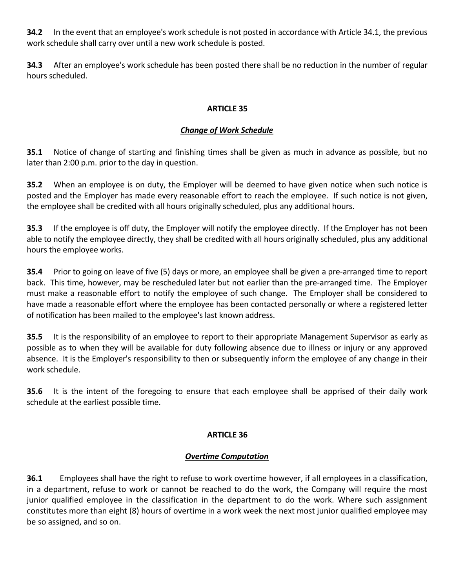**34.2** In the event that an employee's work schedule is not posted in accordance with Article 34.1, the previous work schedule shall carry over until a new work schedule is posted.

**34.3** After an employee's work schedule has been posted there shall be no reduction in the number of regular hours scheduled.

## **ARTICLE 35**

## *Change of Work Schedule*

**35.1** Notice of change of starting and finishing times shall be given as much in advance as possible, but no later than 2:00 p.m. prior to the day in question.

**35.2** When an employee is on duty, the Employer will be deemed to have given notice when such notice is posted and the Employer has made every reasonable effort to reach the employee. If such notice is not given, the employee shall be credited with all hours originally scheduled, plus any additional hours.

**35.3** If the employee is off duty, the Employer will notify the employee directly. If the Employer has not been able to notify the employee directly, they shall be credited with all hours originally scheduled, plus any additional hours the employee works.

**35.4** Prior to going on leave of five (5) days or more, an employee shall be given a pre-arranged time to report back. This time, however, may be rescheduled later but not earlier than the pre-arranged time. The Employer must make a reasonable effort to notify the employee of such change. The Employer shall be considered to have made a reasonable effort where the employee has been contacted personally or where a registered letter of notification has been mailed to the employee's last known address.

**35.5** It is the responsibility of an employee to report to their appropriate Management Supervisor as early as possible as to when they will be available for duty following absence due to illness or injury or any approved absence. It is the Employer's responsibility to then or subsequently inform the employee of any change in their work schedule.

**35.6** It is the intent of the foregoing to ensure that each employee shall be apprised of their daily work schedule at the earliest possible time.

## **ARTICLE 36**

## *Overtime Computation*

**36.1** Employees shall have the right to refuse to work overtime however, if all employees in a classification, in a department, refuse to work or cannot be reached to do the work, the Company will require the most junior qualified employee in the classification in the department to do the work. Where such assignment constitutes more than eight (8) hours of overtime in a work week the next most junior qualified employee may be so assigned, and so on.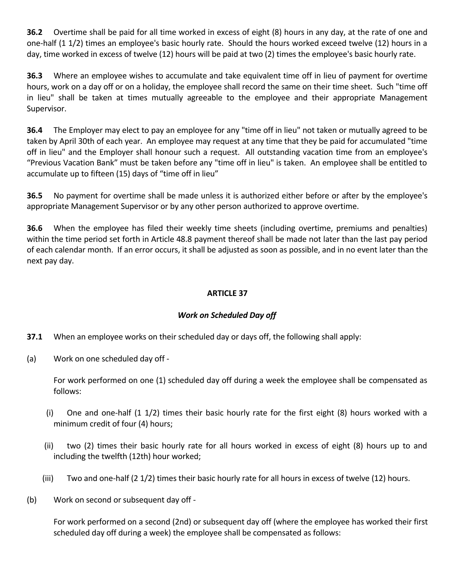**36.2** Overtime shall be paid for all time worked in excess of eight (8) hours in any day, at the rate of one and one-half (1 1/2) times an employee's basic hourly rate. Should the hours worked exceed twelve (12) hours in a day, time worked in excess of twelve (12) hours will be paid at two (2) times the employee's basic hourly rate.

**36.3** Where an employee wishes to accumulate and take equivalent time off in lieu of payment for overtime hours, work on a day off or on a holiday, the employee shall record the same on their time sheet. Such "time off in lieu" shall be taken at times mutually agreeable to the employee and their appropriate Management Supervisor.

**36.4** The Employer may elect to pay an employee for any "time off in lieu" not taken or mutually agreed to be taken by April 30th of each year. An employee may request at any time that they be paid for accumulated "time off in lieu" and the Employer shall honour such a request. All outstanding vacation time from an employee's "Previous Vacation Bank" must be taken before any "time off in lieu" is taken. An employee shall be entitled to accumulate up to fifteen (15) days of "time off in lieu"

**36.5** No payment for overtime shall be made unless it is authorized either before or after by the employee's appropriate Management Supervisor or by any other person authorized to approve overtime.

**36.6** When the employee has filed their weekly time sheets (including overtime, premiums and penalties) within the time period set forth in Article 48.8 payment thereof shall be made not later than the last pay period of each calendar month. If an error occurs, it shall be adjusted as soon as possible, and in no event later than the next pay day.

# **ARTICLE 37**

# *Work on Scheduled Day off*

- **37.1** When an employee works on their scheduled day or days off, the following shall apply:
- (a) Work on one scheduled day off -

For work performed on one (1) scheduled day off during a week the employee shall be compensated as follows:

- (i) One and one-half (1 1/2) times their basic hourly rate for the first eight (8) hours worked with a minimum credit of four (4) hours;
- (ii) two (2) times their basic hourly rate for all hours worked in excess of eight (8) hours up to and including the twelfth (12th) hour worked;
- (iii) Two and one-half (2 1/2) times their basic hourly rate for all hours in excess of twelve (12) hours.
- (b) Work on second or subsequent day off -

For work performed on a second (2nd) or subsequent day off (where the employee has worked their first scheduled day off during a week) the employee shall be compensated as follows: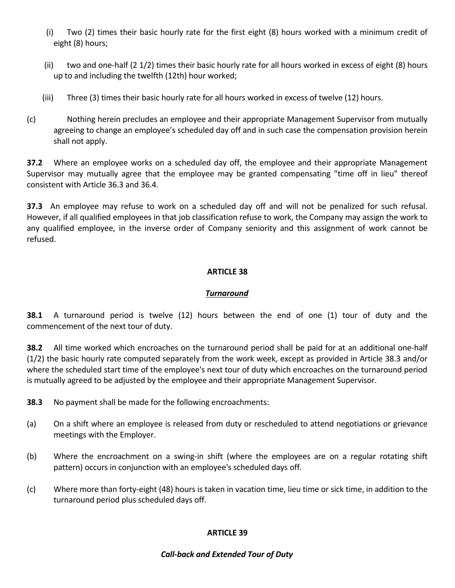- (i) Two (2) times their basic hourly rate for the first eight (8) hours worked with a minimum credit of eight (8) hours;
- (ii) two and one-half (2 1/2) times their basic hourly rate for all hours worked in excess of eight (8) hours up to and including the twelfth (12th) hour worked;
- (iii) Three (3) times their basic hourly rate for all hours worked in excess of twelve (12) hours.
- (c) Nothing herein precludes an employee and their appropriate Management Supervisor from mutually agreeing to change an employee's scheduled day off and in such case the compensation provision herein shall not apply.

**37.2** Where an employee works on a scheduled day off, the employee and their appropriate Management Supervisor may mutually agree that the employee may be granted compensating "time off in lieu" thereof consistent with Article 36.3 and 36.4.

**37.3** An employee may refuse to work on a scheduled day off and will not be penalized for such refusal. However, if all qualified employees in that job classification refuse to work, the Company may assign the work to any qualified employee, in the inverse order of Company seniority and this assignment of work cannot be refused.

### **ARTICLE 38**

#### *Turnaround*

**38.1** A turnaround period is twelve (12) hours between the end of one (1) tour of duty and the commencement of the next tour of duty.

**38.2** All time worked which encroaches on the turnaround period shall be paid for at an additional one-half (1/2) the basic hourly rate computed separately from the work week, except as provided in Article 38.3 and/or where the scheduled start time of the employee's next tour of duty which encroaches on the turnaround period is mutually agreed to be adjusted by the employee and their appropriate Management Supervisor.

**38.3** No payment shall be made for the following encroachments:

- (a) On a shift where an employee is released from duty or rescheduled to attend negotiations or grievance meetings with the Employer.
- (b) Where the encroachment on a swing-in shift (where the employees are on a regular rotating shift pattern) occurs in conjunction with an employee's scheduled days off.
- (c) Where more than forty-eight (48) hours is taken in vacation time, lieu time or sick time, in addition to the turnaround period plus scheduled days off.

### **ARTICLE 39**

#### *Call-back and Extended Tour of Duty*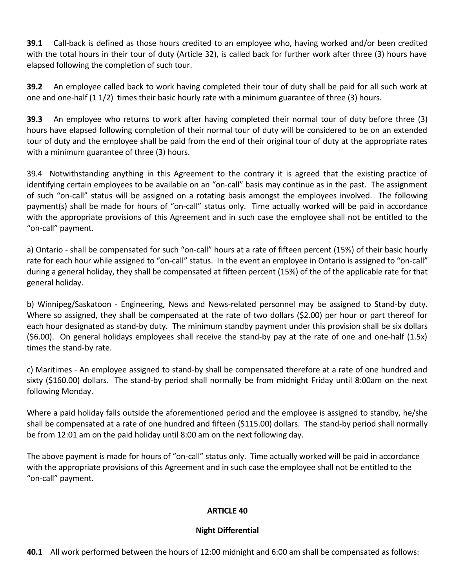**39.1** Call-back is defined as those hours credited to an employee who, having worked and/or been credited with the total hours in their tour of duty (Article 32), is called back for further work after three (3) hours have elapsed following the completion of such tour.

**39.2** An employee called back to work having completed their tour of duty shall be paid for all such work at one and one-half (1 1/2) times their basic hourly rate with a minimum guarantee of three (3) hours.

**39.3** An employee who returns to work after having completed their normal tour of duty before three (3) hours have elapsed following completion of their normal tour of duty will be considered to be on an extended tour of duty and the employee shall be paid from the end of their original tour of duty at the appropriate rates with a minimum guarantee of three (3) hours.

39.4 Notwithstanding anything in this Agreement to the contrary it is agreed that the existing practice of identifying certain employees to be available on an "on-call" basis may continue as in the past. The assignment of such "on-call" status will be assigned on a rotating basis amongst the employees involved. The following payment(s) shall be made for hours of "on-call" status only. Time actually worked will be paid in accordance with the appropriate provisions of this Agreement and in such case the employee shall not be entitled to the "on-call" payment.

a) Ontario - shall be compensated for such "on-call" hours at a rate of fifteen percent (15%) of their basic hourly rate for each hour while assigned to "on-call" status. In the event an employee in Ontario is assigned to "on-call" during a general holiday, they shall be compensated at fifteen percent (15%) of the of the applicable rate for that general holiday.

b) Winnipeg/Saskatoon - Engineering, News and News-related personnel may be assigned to Stand-by duty. Where so assigned, they shall be compensated at the rate of two dollars (\$2.00) per hour or part thereof for each hour designated as stand-by duty. The minimum standby payment under this provision shall be six dollars (\$6.00). On general holidays employees shall receive the stand-by pay at the rate of one and one-half (1.5x) times the stand-by rate.

c) Maritimes - An employee assigned to stand-by shall be compensated therefore at a rate of one hundred and sixty (\$160.00) dollars. The stand-by period shall normally be from midnight Friday until 8:00am on the next following Monday.

Where a paid holiday falls outside the aforementioned period and the employee is assigned to standby, he/she shall be compensated at a rate of one hundred and fifteen (\$115.00) dollars. The stand-by period shall normally be from 12:01 am on the paid holiday until 8:00 am on the next following day.

The above payment is made for hours of "on-call" status only. Time actually worked will be paid in accordance with the appropriate provisions of this Agreement and in such case the employee shall not be entitled to the "on-call" payment.

### **ARTICLE 40**

#### **Night Differential**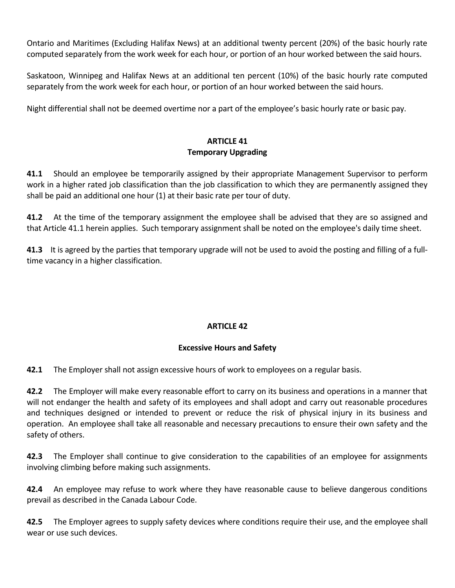Ontario and Maritimes (Excluding Halifax News) at an additional twenty percent (20%) of the basic hourly rate computed separately from the work week for each hour, or portion of an hour worked between the said hours.

Saskatoon, Winnipeg and Halifax News at an additional ten percent (10%) of the basic hourly rate computed separately from the work week for each hour, or portion of an hour worked between the said hours.

Night differential shall not be deemed overtime nor a part of the employee's basic hourly rate or basic pay.

# **ARTICLE 41 Temporary Upgrading**

**41.1** Should an employee be temporarily assigned by their appropriate Management Supervisor to perform work in a higher rated job classification than the job classification to which they are permanently assigned they shall be paid an additional one hour (1) at their basic rate per tour of duty.

**41.2** At the time of the temporary assignment the employee shall be advised that they are so assigned and that Article 41.1 herein applies. Such temporary assignment shall be noted on the employee's daily time sheet.

**41.3** It is agreed by the parties that temporary upgrade will not be used to avoid the posting and filling of a fulltime vacancy in a higher classification.

# **ARTICLE 42**

### **Excessive Hours and Safety**

**42.1** The Employer shall not assign excessive hours of work to employees on a regular basis.

**42.2** The Employer will make every reasonable effort to carry on its business and operations in a manner that will not endanger the health and safety of its employees and shall adopt and carry out reasonable procedures and techniques designed or intended to prevent or reduce the risk of physical injury in its business and operation. An employee shall take all reasonable and necessary precautions to ensure their own safety and the safety of others.

**42.3** The Employer shall continue to give consideration to the capabilities of an employee for assignments involving climbing before making such assignments.

**42.4** An employee may refuse to work where they have reasonable cause to believe dangerous conditions prevail as described in the Canada Labour Code.

**42.5** The Employer agrees to supply safety devices where conditions require their use, and the employee shall wear or use such devices.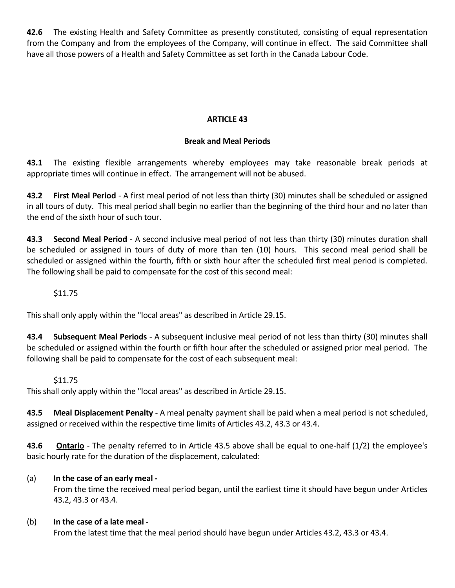**42.6** The existing Health and Safety Committee as presently constituted, consisting of equal representation from the Company and from the employees of the Company, will continue in effect. The said Committee shall have all those powers of a Health and Safety Committee as set forth in the Canada Labour Code.

### **ARTICLE 43**

### **Break and Meal Periods**

**43.1** The existing flexible arrangements whereby employees may take reasonable break periods at appropriate times will continue in effect. The arrangement will not be abused.

**43.2 First Meal Period** - A first meal period of not less than thirty (30) minutes shall be scheduled or assigned in all tours of duty. This meal period shall begin no earlier than the beginning of the third hour and no later than the end of the sixth hour of such tour.

**43.3 Second Meal Period** - A second inclusive meal period of not less than thirty (30) minutes duration shall be scheduled or assigned in tours of duty of more than ten (10) hours. This second meal period shall be scheduled or assigned within the fourth, fifth or sixth hour after the scheduled first meal period is completed. The following shall be paid to compensate for the cost of this second meal:

#### \$11.75

This shall only apply within the "local areas" as described in Article 29.15.

**43.4 Subsequent Meal Periods** - A subsequent inclusive meal period of not less than thirty (30) minutes shall be scheduled or assigned within the fourth or fifth hour after the scheduled or assigned prior meal period. The following shall be paid to compensate for the cost of each subsequent meal:

#### \$11.75

This shall only apply within the "local areas" as described in Article 29.15.

**43.5 Meal Displacement Penalty** - A meal penalty payment shall be paid when a meal period is not scheduled, assigned or received within the respective time limits of Articles 43.2, 43.3 or 43.4.

**43.6 Ontario** - The penalty referred to in Article 43.5 above shall be equal to one-half (1/2) the employee's basic hourly rate for the duration of the displacement, calculated:

### (a) **In the case of an early meal -**

From the time the received meal period began, until the earliest time it should have begun under Articles 43.2, 43.3 or 43.4.

#### (b) **In the case of a late meal -**

From the latest time that the meal period should have begun under Articles 43.2, 43.3 or 43.4.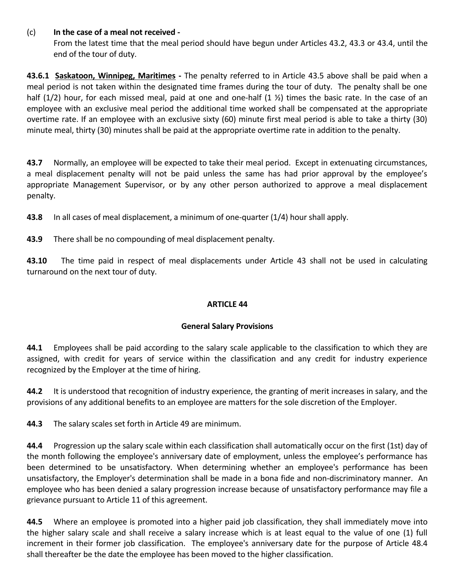# (c) **In the case of a meal not received -**

From the latest time that the meal period should have begun under Articles 43.2, 43.3 or 43.4, until the end of the tour of duty.

**43.6.1 Saskatoon, Winnipeg, Maritimes -** The penalty referred to in Article 43.5 above shall be paid when a meal period is not taken within the designated time frames during the tour of duty. The penalty shall be one half (1/2) hour, for each missed meal, paid at one and one-half (1 ½) times the basic rate. In the case of an employee with an exclusive meal period the additional time worked shall be compensated at the appropriate overtime rate. If an employee with an exclusive sixty (60) minute first meal period is able to take a thirty (30) minute meal, thirty (30) minutes shall be paid at the appropriate overtime rate in addition to the penalty.

**43.7** Normally, an employee will be expected to take their meal period. Except in extenuating circumstances, a meal displacement penalty will not be paid unless the same has had prior approval by the employee's appropriate Management Supervisor, or by any other person authorized to approve a meal displacement penalty.

**43.8** In all cases of meal displacement, a minimum of one-quarter (1/4) hour shall apply.

**43.9** There shall be no compounding of meal displacement penalty.

**43.10** The time paid in respect of meal displacements under Article 43 shall not be used in calculating turnaround on the next tour of duty.

### **ARTICLE 44**

### **General Salary Provisions**

**44.1** Employees shall be paid according to the salary scale applicable to the classification to which they are assigned, with credit for years of service within the classification and any credit for industry experience recognized by the Employer at the time of hiring.

**44.2** It is understood that recognition of industry experience, the granting of merit increases in salary, and the provisions of any additional benefits to an employee are matters for the sole discretion of the Employer.

**44.3** The salary scales set forth in Article 49 are minimum.

**44.4** Progression up the salary scale within each classification shall automatically occur on the first (1st) day of the month following the employee's anniversary date of employment, unless the employee's performance has been determined to be unsatisfactory. When determining whether an employee's performance has been unsatisfactory, the Employer's determination shall be made in a bona fide and non-discriminatory manner. An employee who has been denied a salary progression increase because of unsatisfactory performance may file a grievance pursuant to Article 11 of this agreement.

**44.5** Where an employee is promoted into a higher paid job classification, they shall immediately move into the higher salary scale and shall receive a salary increase which is at least equal to the value of one (1) full increment in their former job classification. The employee's anniversary date for the purpose of Article 48.4 shall thereafter be the date the employee has been moved to the higher classification.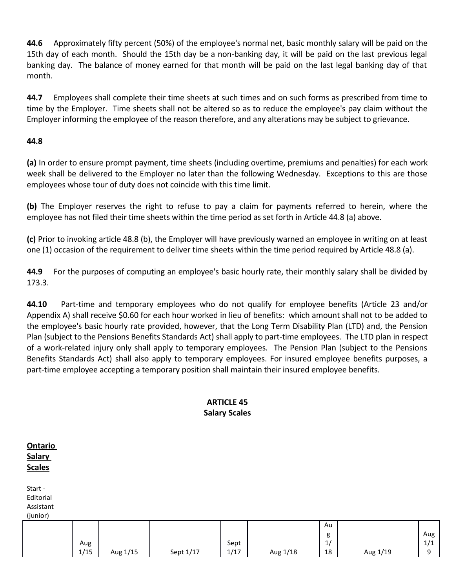**44.6** Approximately fifty percent (50%) of the employee's normal net, basic monthly salary will be paid on the 15th day of each month. Should the 15th day be a non-banking day, it will be paid on the last previous legal banking day. The balance of money earned for that month will be paid on the last legal banking day of that month.

**44.7** Employees shall complete their time sheets at such times and on such forms as prescribed from time to time by the Employer. Time sheets shall not be altered so as to reduce the employee's pay claim without the Employer informing the employee of the reason therefore, and any alterations may be subject to grievance.

# **44.8**

**(a)** In order to ensure prompt payment, time sheets (including overtime, premiums and penalties) for each work week shall be delivered to the Employer no later than the following Wednesday. Exceptions to this are those employees whose tour of duty does not coincide with this time limit.

**(b)** The Employer reserves the right to refuse to pay a claim for payments referred to herein, where the employee has not filed their time sheets within the time period as set forth in Article 44.8 (a) above.

**(c)** Prior to invoking article 48.8 (b), the Employer will have previously warned an employee in writing on at least one (1) occasion of the requirement to deliver time sheets within the time period required by Article 48.8 (a).

**44.9** For the purposes of computing an employee's basic hourly rate, their monthly salary shall be divided by 173.3.

**44.10** Part-time and temporary employees who do not qualify for employee benefits (Article 23 and/or Appendix A) shall receive \$0.60 for each hour worked in lieu of benefits: which amount shall not to be added to the employee's basic hourly rate provided, however, that the Long Term Disability Plan (LTD) and, the Pension Plan (subject to the Pensions Benefits Standards Act) shall apply to part-time employees. The LTD plan in respect of a work-related injury only shall apply to temporary employees. The Pension Plan (subject to the Pensions Benefits Standards Act) shall also apply to temporary employees. For insured employee benefits purposes, a part-time employee accepting a temporary position shall maintain their insured employee benefits.

# **ARTICLE 45 Salary Scales**

| <b>Ontario</b><br><b>Salary</b><br><b>Scales</b> |             |          |           |              |          |                     |          |                 |
|--------------------------------------------------|-------------|----------|-----------|--------------|----------|---------------------|----------|-----------------|
| Start -<br>Editorial<br>Assistant<br>(junior)    |             |          |           |              |          |                     |          |                 |
|                                                  | Aug<br>1/15 | Aug 1/15 | Sept 1/17 | Sept<br>1/17 | Aug 1/18 | Au<br>g<br>1/<br>18 | Aug 1/19 | Aug<br>1/1<br>9 |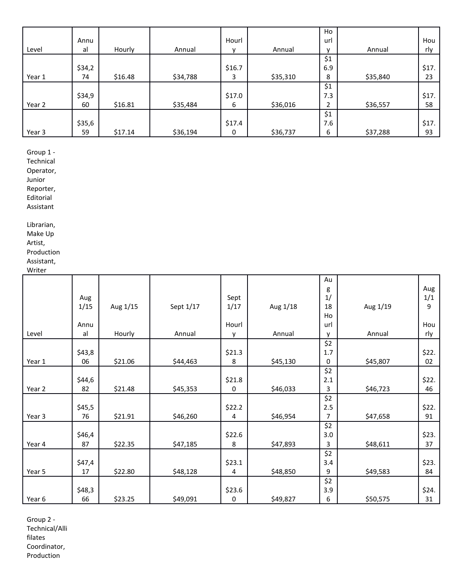|        |        |         |          |        |          | Ho             |          |       |
|--------|--------|---------|----------|--------|----------|----------------|----------|-------|
|        | Annu   |         |          | Hourl  |          | url            |          | Hou   |
| Level  | al     | Hourly  | Annual   | v      | Annual   | $\mathbf{v}$   | Annual   | rly   |
|        |        |         |          |        |          | \$1            |          |       |
|        | \$34,2 |         |          | \$16.7 |          | 6.9            |          | \$17. |
| Year 1 | 74     | \$16.48 | \$34,788 | 3      | \$35,310 | 8              | \$35,840 | 23    |
|        |        |         |          |        |          | \$1            |          |       |
|        | \$34,9 |         |          | \$17.0 |          | 7.3            |          | \$17. |
| Year 2 | 60     | \$16.81 | \$35,484 | 6      | \$36,016 | $\overline{2}$ | \$36,557 | 58    |
|        |        |         |          |        |          | \$1            |          |       |
|        | \$35,6 |         |          | \$17.4 |          | 7.6            |          | \$17. |
| Year 3 | 59     | \$17.14 | \$36,194 | 0      | \$36,737 | 6              | \$37,288 | 93    |

Group 1 -

Technical

Operator,

Junior Reporter,

Editorial

Assistant

Librarian, Make Up Artist, Production

Assistant,

Writer

|        |        |          |           |             |          | Au           |          |       |
|--------|--------|----------|-----------|-------------|----------|--------------|----------|-------|
|        |        |          |           |             |          | g            |          | Aug   |
|        | Aug    |          |           | Sept        |          | 1/           |          | 1/1   |
|        | 1/15   | Aug 1/15 | Sept 1/17 | 1/17        | Aug 1/18 | 18           | Aug 1/19 | 9     |
|        |        |          |           |             |          | Ho           |          |       |
|        | Annu   |          |           | Hourl       |          | url          |          | Hou   |
| Level  | al     | Hourly   | Annual    | v           | Annual   | $\mathsf{v}$ | Annual   | rly   |
|        |        |          |           |             |          | \$2          |          |       |
|        | \$43,8 |          |           | \$21.3      |          | 1.7          |          | \$22. |
| Year 1 | 06     | \$21.06  | \$44,463  | 8           | \$45,130 | 0            | \$45,807 | 02    |
|        |        |          |           |             |          | \$2          |          |       |
|        | \$44,6 |          |           | \$21.8      |          | 2.1          |          | \$22. |
| Year 2 | 82     | \$21.48  | \$45,353  | $\mathbf 0$ | \$46,033 | 3            | \$46,723 | 46    |
|        |        |          |           |             |          | \$2          |          |       |
|        | \$45,5 |          |           | \$22.2      |          | 2.5          |          | \$22. |
| Year 3 | 76     | \$21.91  | \$46,260  | 4           | \$46,954 | 7            | \$47,658 | 91    |
|        |        |          |           |             |          | \$2          |          |       |
|        | \$46,4 |          |           | \$22.6      |          | 3.0          |          | \$23. |
| Year 4 | 87     | \$22.35  | \$47,185  | 8           | \$47,893 | 3            | \$48,611 | 37    |
|        |        |          |           |             |          | \$2          |          |       |
|        | \$47,4 |          |           | \$23.1      |          | 3.4          |          | \$23. |
| Year 5 | 17     | \$22.80  | \$48,128  | 4           | \$48,850 | 9            | \$49,583 | 84    |
|        |        |          |           |             |          | \$2          |          |       |
|        | \$48,3 |          |           | \$23.6      |          | 3.9          |          | \$24. |
| Year 6 | 66     | \$23.25  | \$49,091  | 0           | \$49,827 | 6            | \$50,575 | 31    |

Group 2 - Technical/Alli filates Coordinator, Production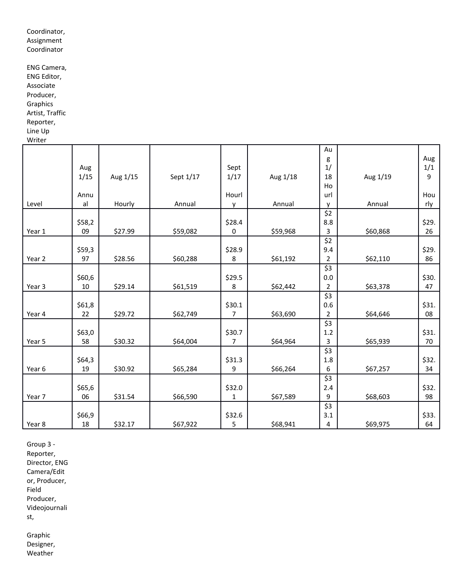Coordinator, Assignment Coordinator

ENG Camera, ENG Editor, Associate Producer, Graphics Artist, Traffic Reporter, Line Up Writer

|        |        |          |           |        |          | Au                         |          |       |
|--------|--------|----------|-----------|--------|----------|----------------------------|----------|-------|
|        |        |          |           |        |          | g                          |          | Aug   |
|        | Aug    |          |           | Sept   |          | 1/                         |          | 1/1   |
|        | 1/15   | Aug 1/15 | Sept 1/17 | 1/17   | Aug 1/18 | 18                         | Aug 1/19 | 9     |
|        |        |          |           |        |          | Ho                         |          |       |
|        | Annu   |          |           | Hourl  |          | url                        |          | Hou   |
| Level  | al     | Hourly   | Annual    | ۷      | Annual   | v                          | Annual   | rly   |
|        |        |          |           |        |          | \$2                        |          |       |
|        | \$58,2 |          |           | \$28.4 |          | 8.8                        |          | \$29. |
| Year 1 | 09     | \$27.99  | \$59,082  | 0      | \$59,968 | 3                          | \$60,868 | 26    |
|        |        |          |           |        |          | \$2                        |          |       |
|        | \$59,3 |          |           | \$28.9 |          | 9.4                        |          | \$29. |
| Year 2 | 97     | \$28.56  | \$60,288  | 8      | \$61,192 | $\overline{2}$             | \$62,110 | 86    |
|        |        |          |           |        |          | \$3                        |          |       |
|        | \$60,6 |          |           | \$29.5 |          | 0.0                        |          | \$30. |
| Year 3 | 10     | \$29.14  | \$61,519  | 8      | \$62,442 | $\overline{2}$             | \$63,378 | 47    |
|        |        |          |           |        |          | $\overline{\xi}$           |          |       |
|        | \$61,8 |          |           | \$30.1 |          | 0.6                        |          | \$31. |
| Year 4 | 22     | \$29.72  | \$62,749  | 7      | \$63,690 | $\overline{2}$             | \$64,646 | 08    |
|        |        |          |           |        |          | $\overline{\overline{53}}$ |          |       |
|        | \$63,0 |          |           | \$30.7 |          | 1.2                        |          | \$31. |
| Year 5 | 58     | \$30.32  | \$64,004  | 7      | \$64,964 | 3                          | \$65,939 | 70    |
|        |        |          |           |        |          | \$3                        |          |       |
|        | \$64,3 |          |           | \$31.3 |          | 1.8                        |          | \$32. |
| Year 6 | 19     | \$30.92  | \$65,284  | 9      | \$66,264 | 6                          | \$67,257 | 34    |
|        |        |          |           |        |          | \$3                        |          |       |
|        | \$65,6 |          |           | \$32.0 |          | 2.4                        |          | \$32. |
| Year 7 | 06     | \$31.54  | \$66,590  | 1      | \$67,589 | 9                          | \$68,603 | 98    |
|        |        |          |           |        |          | \$3                        |          |       |
|        | \$66,9 |          |           | \$32.6 |          | 3.1                        |          | \$33. |
| Year 8 | 18     | \$32.17  | \$67,922  | 5      | \$68,941 | $\overline{\mathbf{4}}$    | \$69,975 | 64    |

Group 3 - Reporter, Director, ENG Camera/Edit or, Producer, Field Producer, Videojournali

st,

Graphic Designer, Weather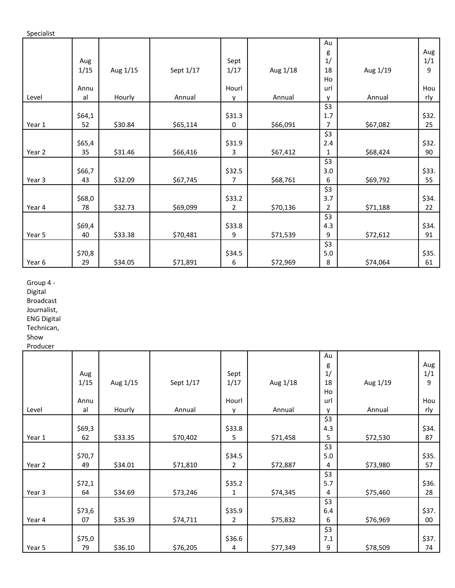Specialist

|        |        |          |           |                |          | Au             |          |       |
|--------|--------|----------|-----------|----------------|----------|----------------|----------|-------|
|        |        |          |           |                |          | g              |          | Aug   |
|        | Aug    |          |           | Sept           |          | 1/             |          | 1/1   |
|        | 1/15   | Aug 1/15 | Sept 1/17 | 1/17           | Aug 1/18 | 18             | Aug 1/19 | 9     |
|        |        |          |           |                |          | Ho             |          |       |
|        | Annu   |          |           | Hourl          |          | url            |          | Hou   |
| Level  | al     | Hourly   | Annual    | $\mathsf{v}$   | Annual   | v              | Annual   | rly   |
|        |        |          |           |                |          | \$3            |          |       |
|        | \$64,1 |          |           | \$31.3         |          | 1.7            |          | \$32. |
| Year 1 | 52     | \$30.84  | \$65,114  | 0              | \$66,091 | $\overline{7}$ | \$67,082 | 25    |
|        |        |          |           |                |          | \$3            |          |       |
|        | \$65,4 |          |           | \$31.9         |          | 2.4            |          | \$32. |
| Year 2 | 35     | \$31.46  | \$66,416  | 3              | \$67,412 | $\mathbf{1}$   | \$68,424 | 90    |
|        |        |          |           |                |          | \$3            |          |       |
|        | \$66,7 |          |           | \$32.5         |          | 3.0            |          | \$33. |
| Year 3 | 43     | \$32.09  | \$67,745  | $\overline{7}$ | \$68,761 | 6              | \$69,792 | 55    |
|        |        |          |           |                |          | \$3            |          |       |
|        | \$68,0 |          |           | \$33.2         |          | 3.7            |          | \$34. |
| Year 4 | 78     | \$32.73  | \$69,099  | $\overline{2}$ | \$70,136 | $\overline{2}$ | \$71,188 | 22    |
|        |        |          |           |                |          | \$3            |          |       |
|        | \$69,4 |          |           | \$33.8         |          | 4.3            |          | \$34. |
| Year 5 | 40     | \$33.38  | \$70,481  | 9              | \$71,539 | 9              | \$72,612 | 91    |
|        |        |          |           |                |          | \$3            |          |       |
|        | \$70,8 |          |           | \$34.5         |          | 5.0            |          | \$35. |
| Year 6 | 29     | \$34.05  | \$71,891  | 6              | \$72,969 | 8              | \$74,064 | 61    |

Group 4 -

Digital

Broadcast Journalist,

ENG Digital

Technican,

Show

Producer

|        |        |          |           |                |          | Au           |          |       |
|--------|--------|----------|-----------|----------------|----------|--------------|----------|-------|
|        |        |          |           |                |          | g            |          | Aug   |
|        | Aug    |          |           | Sept           |          | 1/           |          | 1/1   |
|        | 1/15   | Aug 1/15 | Sept 1/17 | 1/17           | Aug 1/18 | 18           | Aug 1/19 | 9     |
|        |        |          |           |                |          | Ho           |          |       |
|        | Annu   |          |           | Hourl          |          | url          |          | Hou   |
| Level  | al     | Hourly   | Annual    | v              | Annual   | $\mathsf{v}$ | Annual   | rly   |
|        |        |          |           |                |          | \$3          |          |       |
|        | \$69,3 |          |           | \$33.8         |          | 4.3          |          | \$34. |
| Year 1 | 62     | \$33.35  | \$70,402  | 5              | \$71,458 | 5            | \$72,530 | 87    |
|        |        |          |           |                |          | \$3          |          |       |
|        | \$70,7 |          |           | \$34.5         |          | 5.0          |          | \$35. |
| Year 2 | 49     | \$34.01  | \$71,810  | 2              | \$72,887 | 4            | \$73,980 | 57    |
|        |        |          |           |                |          | \$3          |          |       |
|        | \$72,1 |          |           | \$35.2         |          | 5.7          |          | \$36. |
| Year 3 | 64     | \$34.69  | \$73,246  | 1              | \$74,345 | 4            | \$75,460 | 28    |
|        |        |          |           |                |          | \$3          |          |       |
|        | \$73,6 |          |           | \$35.9         |          | 6.4          |          | \$37. |
| Year 4 | 07     | \$35.39  | \$74,711  | $\overline{2}$ | \$75,832 | 6            | \$76,969 | 00    |
|        |        |          |           |                |          | \$3          |          |       |
|        | \$75,0 |          |           | \$36.6         |          | 7.1          |          | \$37. |
| Year 5 | 79     | \$36.10  | \$76,205  | 4              | \$77,349 | 9            | \$78,509 | 74    |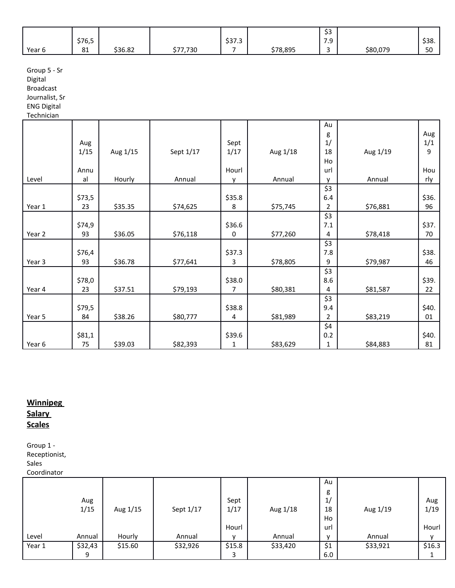|        |                     |         |          |        |          | $\sim$<br>ر ب            |          |               |
|--------|---------------------|---------|----------|--------|----------|--------------------------|----------|---------------|
|        | \$76,5              |         |          | \$37.3 |          | 70<br>.                  |          | \$38.         |
| Year 6 | O <sub>1</sub><br>ᇰ | \$36.82 | \$77,730 |        | \$78,895 | $\overline{\phantom{a}}$ | \$80,079 | $\sim$<br>้วบ |

Group 5 - Sr

Digital

Broadcast

Journalist, Sr

ENG Digital

**Technician** 

|        |        |          |           |        |          | Au             |          |       |
|--------|--------|----------|-----------|--------|----------|----------------|----------|-------|
|        |        |          |           |        |          | g              |          | Aug   |
|        | Aug    |          |           | Sept   |          | 1/             |          | 1/1   |
|        | 1/15   | Aug 1/15 | Sept 1/17 | 1/17   | Aug 1/18 | 18             | Aug 1/19 | 9     |
|        |        |          |           |        |          | Ho             |          |       |
|        | Annu   |          |           | Hourl  |          | url            |          | Hou   |
| Level  | al     | Hourly   | Annual    | v      | Annual   | $\mathsf{v}$   | Annual   | rly   |
|        |        |          |           |        |          | \$3            |          |       |
|        | \$73,5 |          |           | \$35.8 |          | 6.4            |          | \$36. |
| Year 1 | 23     | \$35.35  | \$74,625  | 8      | \$75,745 | 2              | \$76,881 | 96    |
|        |        |          |           |        |          | \$3            |          |       |
|        |        |          |           |        |          |                |          |       |
|        | \$74,9 |          |           | \$36.6 |          | 7.1            |          | \$37. |
| Year 2 | 93     | \$36.05  | \$76,118  | 0      | \$77,260 | 4              | \$78,418 | 70    |
|        |        |          |           |        |          | \$3            |          |       |
|        | \$76,4 |          |           | \$37.3 |          | 7.8            |          | \$38. |
| Year 3 | 93     | \$36.78  | \$77,641  | 3      | \$78,805 | 9              | \$79,987 | 46    |
|        |        |          |           |        |          | \$3            |          |       |
|        | \$78,0 |          |           | \$38.0 |          | 8.6            |          | \$39. |
| Year 4 | 23     | \$37.51  | \$79,193  | 7      | \$80,381 | 4              | \$81,587 | 22    |
|        |        |          |           |        |          | \$3            |          |       |
|        | \$79,5 |          |           | \$38.8 |          | 9.4            |          | \$40. |
| Year 5 | 84     | \$38.26  | \$80,777  | 4      | \$81,989 | $\overline{2}$ | \$83,219 | 01    |
|        |        |          |           |        |          | \$4            |          |       |
|        | \$81,1 |          |           | \$39.6 |          | 0.2            |          | \$40. |
| Year 6 | 75     | \$39.03  | \$82,393  | 1      | \$83,629 | $\mathbf{1}$   | \$84,883 | 81    |
|        |        |          |           |        |          |                |          |       |

# **Winnipeg Salary Scales**

Group 1 - Receptionist, Sales Coordinator

| Aug    |
|--------|
| 1/19   |
|        |
| Hourl  |
|        |
| \$16.3 |
|        |
|        |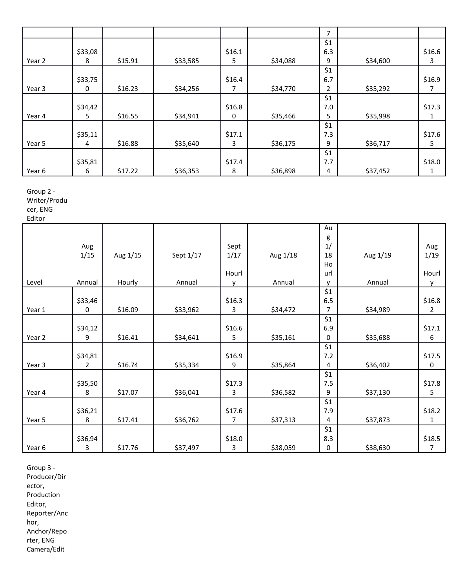|        |         |         |          |        |          | 7   |          |        |
|--------|---------|---------|----------|--------|----------|-----|----------|--------|
|        |         |         |          |        |          | \$1 |          |        |
|        | \$33,08 |         |          | \$16.1 |          | 6.3 |          | \$16.6 |
| Year 2 | 8       | \$15.91 | \$33,585 | 5      | \$34,088 | 9   | \$34,600 | 3      |
|        |         |         |          |        |          | \$1 |          |        |
|        | \$33,75 |         |          | \$16.4 |          | 6.7 |          | \$16.9 |
| Year 3 | 0       | \$16.23 | \$34,256 | 7      | \$34,770 | 2   | \$35,292 | 7      |
|        |         |         |          |        |          | \$1 |          |        |
|        | \$34,42 |         |          | \$16.8 |          | 7.0 |          | \$17.3 |
| Year 4 | 5       | \$16.55 | \$34,941 | 0      | \$35,466 | 5   | \$35,998 |        |
|        |         |         |          |        |          | \$1 |          |        |
|        | \$35,11 |         |          | \$17.1 |          | 7.3 |          | \$17.6 |
| Year 5 | 4       | \$16.88 | \$35,640 | 3      | \$36,175 | 9   | \$36,717 | 5      |
|        |         |         |          |        |          | \$1 |          |        |
|        | \$35,81 |         |          | \$17.4 |          | 7.7 |          | \$18.0 |
| Year 6 | 6       | \$17.22 | \$36,353 | 8      | \$36,898 | 4   | \$37,452 | 1      |

Group 2 - Writer/Produ

cer, ENG

Editor

|        |                |          |           |        |          | Au           |          |        |
|--------|----------------|----------|-----------|--------|----------|--------------|----------|--------|
|        |                |          |           |        |          | g            |          |        |
|        | Aug            |          |           | Sept   |          | 1/           |          | Aug    |
|        | 1/15           | Aug 1/15 | Sept 1/17 | 1/17   | Aug 1/18 | 18           | Aug 1/19 | 1/19   |
|        |                |          |           |        |          | Ho           |          |        |
|        |                |          |           | Hourl  |          | url          |          | Hourl  |
| Level  | Annual         | Hourly   | Annual    | v      | Annual   | $\mathsf{v}$ | Annual   | y      |
|        |                |          |           |        |          | \$1          |          |        |
|        | \$33,46        |          |           | \$16.3 |          | 6.5          |          | \$16.8 |
| Year 1 | 0              | \$16.09  | \$33,962  | 3      | \$34,472 | 7            | \$34,989 | 2      |
|        |                |          |           |        |          | \$1          |          |        |
|        | \$34,12        |          |           | \$16.6 |          | 6.9          |          | \$17.1 |
| Year 2 | 9              | \$16.41  | \$34,641  | 5      | \$35,161 | 0            | \$35,688 | 6      |
|        |                |          |           |        |          | \$1          |          |        |
|        | \$34,81        |          |           | \$16.9 |          | 7.2          |          | \$17.5 |
| Year 3 | $\overline{2}$ | \$16.74  | \$35,334  | 9      | \$35,864 | 4            | \$36,402 | 0      |
|        |                |          |           |        |          | \$1          |          |        |
|        | \$35,50        |          |           | \$17.3 |          | 7.5          |          | \$17.8 |
| Year 4 | 8              | \$17.07  | \$36,041  | 3      | \$36,582 | 9            | \$37,130 | 5      |
|        |                |          |           |        |          | \$1          |          |        |
|        | \$36,21        |          |           | \$17.6 |          | 7.9          |          | \$18.2 |
| Year 5 | 8              | \$17.41  | \$36,762  | 7      | \$37,313 | 4            | \$37,873 | 1      |
|        |                |          |           |        |          | \$1          |          |        |
|        | \$36,94        |          |           | \$18.0 |          | 8.3          |          | \$18.5 |
| Year 6 | 3              | \$17.76  | \$37,497  | 3      | \$38,059 | 0            | \$38,630 | 7      |

Group 3 - Producer/Dir ector, Production Editor, Reporter/Anc hor, Anchor/Repo rter, ENG Camera/Edit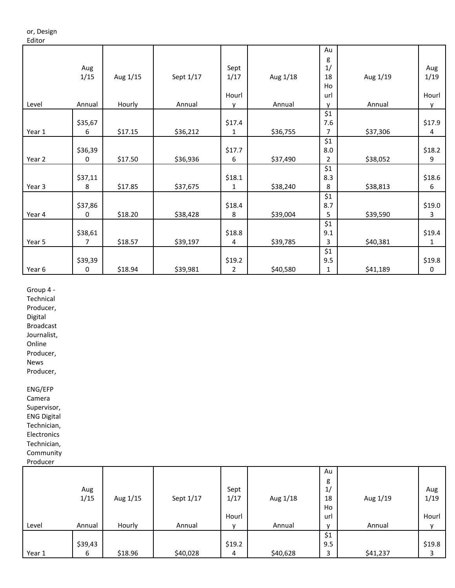#### or, Design Editor

|        |         |          |           |              |          | Au  |          |        |
|--------|---------|----------|-----------|--------------|----------|-----|----------|--------|
|        |         |          |           |              |          | g   |          |        |
|        | Aug     |          |           | Sept         |          | 1/  |          | Aug    |
|        | 1/15    | Aug 1/15 | Sept 1/17 | 1/17         | Aug 1/18 | 18  | Aug 1/19 | 1/19   |
|        |         |          |           |              |          | Ho  |          |        |
|        |         |          |           | Hourl        |          | url |          | Hourl  |
| Level  | Annual  | Hourly   | Annual    | $\mathsf{v}$ | Annual   | v   | Annual   | y      |
|        |         |          |           |              |          | \$1 |          |        |
|        | \$35,67 |          |           | \$17.4       |          | 7.6 |          | \$17.9 |
| Year 1 | 6       | \$17.15  | \$36,212  | 1            | \$36,755 | 7   | \$37,306 | 4      |
|        |         |          |           |              |          | \$1 |          |        |
|        | \$36,39 |          |           | \$17.7       |          | 8.0 |          | \$18.2 |
| Year 2 | 0       | \$17.50  | \$36,936  | 6            | \$37,490 | 2   | \$38,052 | 9      |
|        |         |          |           |              |          | \$1 |          |        |
|        | \$37,11 |          |           | \$18.1       |          | 8.3 |          | \$18.6 |
| Year 3 | 8       | \$17.85  | \$37,675  | 1            | \$38,240 | 8   | \$38,813 | 6      |
|        |         |          |           |              |          | \$1 |          |        |
|        | \$37,86 |          |           | \$18.4       |          | 8.7 |          | \$19.0 |
| Year 4 | 0       | \$18.20  | \$38,428  | 8            | \$39,004 | 5   | \$39,590 | 3      |
|        |         |          |           |              |          | \$1 |          |        |
|        | \$38,61 |          |           | \$18.8       |          | 9.1 |          | \$19.4 |
| Year 5 | 7       | \$18.57  | \$39,197  | 4            | \$39,785 | 3   | \$40,381 | 1      |
|        |         |          |           |              |          | \$1 |          |        |
|        | \$39,39 |          |           | \$19.2       |          | 9.5 |          | \$19.8 |
| Year 6 | 0       | \$18.94  | \$39,981  | 2            | \$40,580 | 1   | \$41,189 | 0      |

Group 4 -

Technical

Producer,

Digital

Broadcast Journalist,

Online

Producer,

News

Producer,

ENG/EFP

Camera Supervisor, ENG Digital Technician, Electronics

Technician, Community

Producer

| .      |         |          |           |              |          |              |          |        |
|--------|---------|----------|-----------|--------------|----------|--------------|----------|--------|
|        |         |          |           |              |          | Au           |          |        |
|        |         |          |           |              |          | g            |          |        |
|        | Aug     |          |           | Sept         |          | 1/           |          | Aug    |
|        | 1/15    | Aug 1/15 | Sept 1/17 | 1/17         | Aug 1/18 | 18           | Aug 1/19 | 1/19   |
|        |         |          |           |              |          | Ho           |          |        |
|        |         |          |           | Hourl        |          | url          |          | Hourl  |
| Level  | Annual  | Hourly   | Annual    | $\mathbf{v}$ | Annual   | $\mathbf{v}$ | Annual   |        |
|        |         |          |           |              |          | \$1          |          |        |
|        | \$39,43 |          |           | \$19.2       |          | 9.5          |          | \$19.8 |
| Year 1 | 6       | \$18.96  | \$40,028  | 4            | \$40,628 | 3            | \$41,237 | 3      |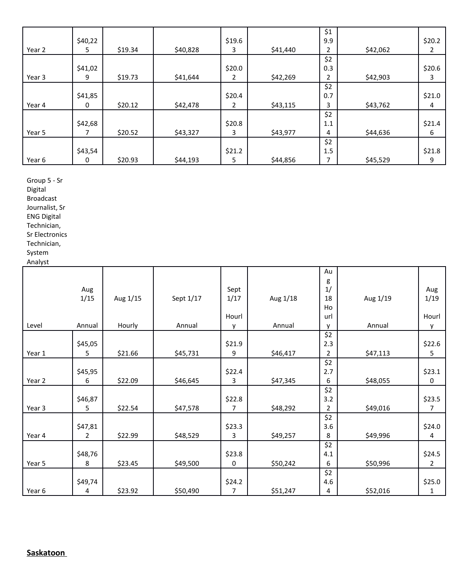|        |         |         |          |        |          | \$1 |          |          |
|--------|---------|---------|----------|--------|----------|-----|----------|----------|
|        | \$40,22 |         |          | \$19.6 |          | 9.9 |          | \$20.2\$ |
| Year 2 | 5       | \$19.34 | \$40,828 | 3      | \$41,440 | 2   | \$42,062 | 2        |
|        |         |         |          |        |          | \$2 |          |          |
|        | \$41,02 |         |          | \$20.0 |          | 0.3 |          | \$20.6   |
| Year 3 | 9       | \$19.73 | \$41,644 | 2      | \$42,269 | 2   | \$42,903 | 3        |
|        |         |         |          |        |          | \$2 |          |          |
|        | \$41,85 |         |          | \$20.4 |          | 0.7 |          | \$21.0   |
| Year 4 | 0       | \$20.12 | \$42,478 | 2      | \$43,115 | 3   | \$43,762 | 4        |
|        |         |         |          |        |          | \$2 |          |          |
|        | \$42,68 |         |          | \$20.8 |          | 1.1 |          | \$21.4   |
| Year 5 |         | \$20.52 | \$43,327 | 3      | \$43,977 | 4   | \$44,636 | 6        |
|        |         |         |          |        |          | \$2 |          |          |
|        | \$43,54 |         |          | \$21.2 |          | 1.5 |          | \$21.8   |
| Year 6 | 0       | \$20.93 | \$44,193 | 5      | \$44,856 | 7   | \$45,529 | 9        |

Group 5 - Sr

Digital

Broadcast Journalist, Sr

ENG Digital

Technician,

Sr Electronics

Technician,

System Analyst

|        |                |          |           |        |          | Au             |          |                |
|--------|----------------|----------|-----------|--------|----------|----------------|----------|----------------|
|        |                |          |           |        |          | g              |          |                |
|        | Aug            |          |           | Sept   |          | 1/             |          | Aug            |
|        | 1/15           | Aug 1/15 | Sept 1/17 | 1/17   | Aug 1/18 | 18             | Aug 1/19 | 1/19           |
|        |                |          |           |        |          | Ho             |          |                |
|        |                |          |           | Hourl  |          | url            |          | Hourl          |
| Level  | Annual         | Hourly   | Annual    | v      | Annual   | v              | Annual   | у              |
|        |                |          |           |        |          | \$2            |          |                |
|        | \$45,05        |          |           | \$21.9 |          | 2.3            |          | \$22.6         |
| Year 1 | 5              | \$21.66  | \$45,731  | 9      | \$46,417 | $\overline{2}$ | \$47,113 | 5              |
|        |                |          |           |        |          | \$2            |          |                |
|        | \$45,95        |          |           | \$22.4 |          | 2.7            |          | \$23.1         |
| Year 2 | 6              | \$22.09  | \$46,645  | 3      | \$47,345 | 6              | \$48,055 | 0              |
|        |                |          |           |        |          | \$2            |          |                |
|        | \$46,87        |          |           | \$22.8 |          | 3.2            |          | \$23.5         |
| Year 3 | 5              | \$22.54  | \$47,578  | 7      | \$48,292 | 2              | \$49,016 | 7              |
|        |                |          |           |        |          | \$2            |          |                |
|        | \$47,81        |          |           | \$23.3 |          | 3.6            |          | \$24.0         |
| Year 4 | $\overline{2}$ | \$22.99  | \$48,529  | 3      | \$49,257 | 8              | \$49,996 | 4              |
|        |                |          |           |        |          | \$2            |          |                |
|        | \$48,76        |          |           | \$23.8 |          | 4.1            |          | \$24.5         |
| Year 5 | 8              | \$23.45  | \$49,500  | 0      | \$50,242 | 6              | \$50,996 | $\overline{2}$ |
|        |                |          |           |        |          | \$2            |          |                |
|        | \$49,74        |          |           | \$24.2 |          | 4.6            |          | \$25.0         |
| Year 6 | 4              | \$23.92  | \$50,490  | 7      | \$51,247 | 4              | \$52,016 | 1              |

**Saskatoon**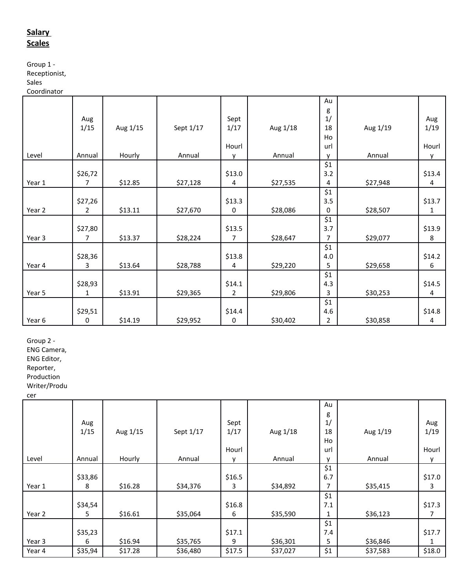# **Salary Scales**

Group 1 - Receptionist,

**Sales** 

Coordinator

|        |                |          |           |                |          | Au             |          |        |
|--------|----------------|----------|-----------|----------------|----------|----------------|----------|--------|
|        |                |          |           |                |          | g              |          |        |
|        | Aug            |          |           | Sept           |          | 1/             |          | Aug    |
|        | 1/15           | Aug 1/15 | Sept 1/17 | 1/17           | Aug 1/18 | 18             | Aug 1/19 | 1/19   |
|        |                |          |           |                |          | Ho             |          |        |
|        |                |          |           | Hourl          |          | url            |          | Hourl  |
| Level  | Annual         | Hourly   | Annual    | y              | Annual   | $\mathsf{v}$   | Annual   | y      |
|        |                |          |           |                |          | \$1            |          |        |
|        | \$26,72        |          |           | \$13.0         |          | 3.2            |          | \$13.4 |
| Year 1 | 7              | \$12.85  | \$27,128  | 4              | \$27,535 | 4              | \$27,948 | 4      |
|        |                |          |           |                |          | \$1            |          |        |
|        | \$27,26        |          |           | \$13.3         |          | 3.5            |          | \$13.7 |
| Year 2 | $\overline{2}$ | \$13.11  | \$27,670  | 0              | \$28,086 | 0              | \$28,507 | 1      |
|        |                |          |           |                |          | \$1            |          |        |
|        | \$27,80        |          |           | \$13.5         |          | 3.7            |          | \$13.9 |
| Year 3 | 7              | \$13.37  | \$28,224  | $\overline{7}$ | \$28,647 | $\overline{7}$ | \$29,077 | 8      |
|        |                |          |           |                |          | \$1            |          |        |
|        | \$28,36        |          |           | \$13.8         |          | 4.0            |          | \$14.2 |
| Year 4 | 3              | \$13.64  | \$28,788  | 4              | \$29,220 | 5              | \$29,658 | 6      |
|        |                |          |           |                |          | \$1            |          |        |
|        | \$28,93        |          |           | \$14.1         |          | 4.3            |          | \$14.5 |
| Year 5 | 1              | \$13.91  | \$29,365  | $\overline{2}$ | \$29,806 | 3              | \$30,253 | 4      |
|        |                |          |           |                |          | \$1            |          |        |
|        | \$29,51        |          |           | \$14.4         |          | 4.6            |          | \$14.8 |
| Year 6 | 0              | \$14.19  | \$29,952  | 0              | \$30,402 | 2              | \$30,858 | 4      |

Group 2 -

ENG Camera,

ENG Editor,

Reporter,

Production

Writer/Produ cer

|        |         |          |           |              |          | Au  |          |        |
|--------|---------|----------|-----------|--------------|----------|-----|----------|--------|
|        |         |          |           |              |          | g   |          |        |
|        | Aug     |          |           | Sept         |          | 1/  |          | Aug    |
|        | 1/15    | Aug 1/15 | Sept 1/17 | 1/17         | Aug 1/18 | 18  | Aug 1/19 | 1/19   |
|        |         |          |           |              |          |     |          |        |
|        |         |          |           |              |          | Ho  |          |        |
|        |         |          |           | Hourl        |          | url |          | Hourl  |
| Level  | Annual  | Hourly   | Annual    | $\mathbf{v}$ | Annual   | v   | Annual   | ۷      |
|        |         |          |           |              |          | \$1 |          |        |
|        | \$33,86 |          |           | \$16.5       |          | 6.7 |          | \$17.0 |
| Year 1 | 8       | \$16.28  | \$34,376  | 3            | \$34,892 | 7   | \$35,415 | 3      |
|        |         |          |           |              |          | \$1 |          |        |
|        | \$34,54 |          |           | \$16.8       |          | 7.1 |          | \$17.3 |
| Year 2 | 5       | \$16.61  | \$35,064  | 6            | \$35,590 | 1   | \$36,123 |        |
|        |         |          |           |              |          | \$1 |          |        |
|        | \$35,23 |          |           | \$17.1       |          | 7.4 |          | \$17.7 |
| Year 3 | 6       | \$16.94  | \$35,765  | 9            | \$36,301 | 5   | \$36,846 |        |
| Year 4 | \$35,94 | \$17.28  | \$36,480  | \$17.5       | \$37,027 | \$1 | \$37,583 | \$18.0 |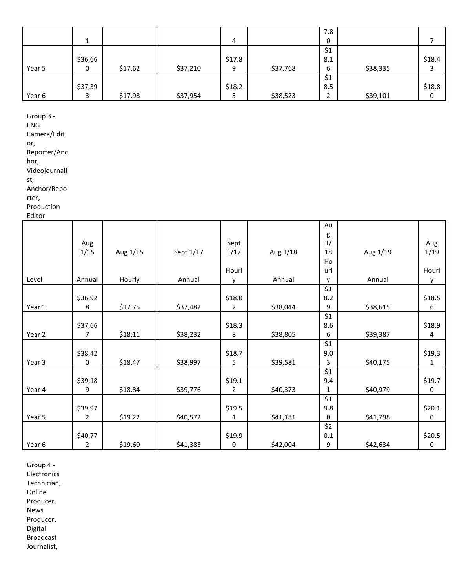|        |         |         |          |        |          | 7.8           |          |        |
|--------|---------|---------|----------|--------|----------|---------------|----------|--------|
|        |         |         |          | 4      |          | 0             |          |        |
|        |         |         |          |        |          | $\frac{1}{2}$ |          |        |
|        | \$36,66 |         |          | \$17.8 |          | 8.1           |          | \$18.4 |
| Year 5 | 0       | \$17.62 | \$37,210 | 9      | \$37,768 | 6             | \$38,335 |        |
|        |         |         |          |        |          | \$1           |          |        |
|        | \$37,39 |         |          | \$18.2 |          | 8.5           |          | \$18.8 |
| Year 6 |         | \$17.98 | \$37,954 | כ      | \$38,523 | ຳ<br>∠        | \$39,101 |        |

Group 3 -

ENG

Camera/Edit

or,

Reporter/Anc hor,

Videojournali st,

Anchor/Repo

rter,

Production

Editor

|        |         |          |           |              |          | Au           |          |              |
|--------|---------|----------|-----------|--------------|----------|--------------|----------|--------------|
|        |         |          |           |              |          | g            |          |              |
|        | Aug     |          |           | Sept         |          | 1/           |          | Aug          |
|        | 1/15    | Aug 1/15 | Sept 1/17 | 1/17         | Aug 1/18 | 18           | Aug 1/19 | 1/19         |
|        |         |          |           |              |          | Ho           |          |              |
|        |         |          |           | Hourl        |          | url          |          | Hourl        |
| Level  | Annual  | Hourly   | Annual    | $\mathsf{v}$ | Annual   | $\mathsf{v}$ | Annual   | $\mathsf{v}$ |
|        |         |          |           |              |          | \$1          |          |              |
|        | \$36,92 |          |           | \$18.0       |          | 8.2          |          | \$18.5       |
| Year 1 | 8       | \$17.75  | \$37,482  | 2            | \$38,044 | 9            | \$38,615 | 6            |
|        |         |          |           |              |          | \$1          |          |              |
|        | \$37,66 |          |           | \$18.3       |          | 8.6          |          | \$18.9       |
| Year 2 | 7       | \$18.11  | \$38,232  | 8            | \$38,805 | 6            | \$39,387 | 4            |
|        |         |          |           |              |          | \$1          |          |              |
|        | \$38,42 |          |           | \$18.7       |          | 9.0          |          | \$19.3       |
| Year 3 | 0       | \$18.47  | \$38,997  | 5            | \$39,581 | 3            | \$40,175 | 1            |
|        |         |          |           |              |          | \$1          |          |              |
|        | \$39,18 |          |           | \$19.1       |          | 9.4          |          | \$19.7       |
| Year 4 | 9       | \$18.84  | \$39,776  | 2            | \$40,373 | 1            | \$40,979 | 0            |
|        |         |          |           |              |          | \$1          |          |              |
|        | \$39,97 |          |           | \$19.5       |          | 9.8          |          | \$20.1       |
| Year 5 | 2       | \$19.22  | \$40,572  | 1            | \$41,181 | 0            | \$41,798 | 0            |
|        |         |          |           |              |          | \$2          |          |              |
|        | \$40,77 |          |           | \$19.9       |          | 0.1          |          | \$20.5       |
| Year 6 | 2       | \$19.60  | \$41,383  | 0            | \$42,004 | 9            | \$42,634 | 0            |
|        |         |          |           |              |          |              |          |              |

Group 4 - Electronics Technician, Online Producer, News Producer, Digital Broadcast Journalist,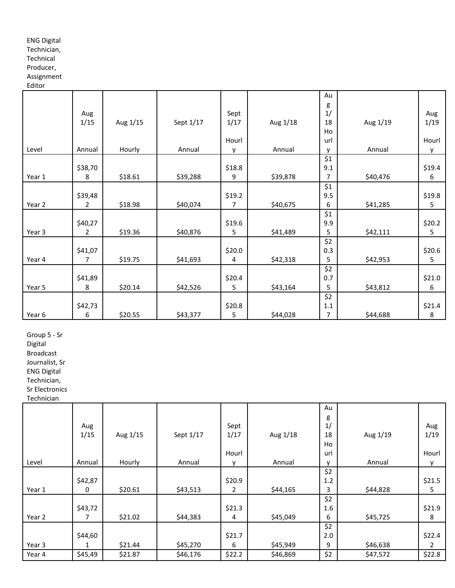### ENG Digital

# Technician,

# Technical

# Producer,

Assignment Editor

|        |                |          |           |              |          | Au           |          |          |
|--------|----------------|----------|-----------|--------------|----------|--------------|----------|----------|
|        |                |          |           |              |          | g            |          |          |
|        | Aug            |          |           | Sept         |          | 1/           |          | Aug      |
|        | 1/15           | Aug 1/15 | Sept 1/17 | 1/17         | Aug 1/18 | 18           | Aug 1/19 | 1/19     |
|        |                |          |           |              |          | Ho           |          |          |
|        |                |          |           | Hourl        |          | url          |          | Hourl    |
| Level  | Annual         | Hourly   | Annual    | $\mathsf{v}$ | Annual   | $\mathsf{v}$ | Annual   | v        |
|        |                |          |           |              |          | \$1          |          |          |
|        | \$38,70        |          |           | \$18.8       |          | 9.1          |          | \$19.4   |
| Year 1 | 8              | \$18.61  | \$39,288  | 9            | \$39,878 | 7            | \$40,476 | 6        |
|        |                |          |           |              |          | \$1          |          |          |
|        | \$39,48        |          |           | \$19.2       |          | 9.5          |          | \$19.8   |
| Year 2 | $\overline{2}$ | \$18.98  | \$40,074  | 7            | \$40,675 | 6            | \$41,285 | 5        |
|        |                |          |           |              |          | \$1          |          |          |
|        | \$40,27        |          |           | \$19.6       |          | 9.9          |          | \$20.2\$ |
| Year 3 | $\overline{2}$ | \$19.36  | \$40,876  | 5            | \$41,489 | 5            | \$42,111 | 5        |
|        |                |          |           |              |          | \$2          |          |          |
|        | \$41,07        |          |           | \$20.0       |          | 0.3          |          | \$20.6   |
| Year 4 | 7              | \$19.75  | \$41,693  | 4            | \$42,318 | 5            | \$42,953 | 5        |
|        |                |          |           |              |          | \$2          |          |          |
|        | \$41,89        |          |           | \$20.4       |          | 0.7          |          | \$21.0   |
| Year 5 | 8              | \$20.14  | \$42,526  | 5            | \$43,164 | 5            | \$43,812 | 6        |
|        |                |          |           |              |          | \$2          |          |          |
|        | \$42,73        |          |           | \$20.8       |          | $1.1\,$      |          | \$21.4   |
| Year 6 | 6              | \$20.55  | \$43,377  | 5            | \$44,028 | 7            | \$44,688 | 8        |

Group 5 - Sr

Digital

Broadcast

Journalist, Sr ENG Digital

Technician,

Sr Electronics

Technician

|        |         |          |           |             |          | Au           |          |               |
|--------|---------|----------|-----------|-------------|----------|--------------|----------|---------------|
|        |         |          |           |             |          | g            |          |               |
|        | Aug     |          |           | Sept        |          | 1/           |          | Aug           |
|        | 1/15    | Aug 1/15 | Sept 1/17 | 1/17        | Aug 1/18 | 18           | Aug 1/19 | 1/19          |
|        |         |          |           |             |          | Ho           |          |               |
|        |         |          |           | Hourl       |          | url          |          | Hourl         |
| Level  | Annual  | Hourly   | Annual    | $\mathbf v$ | Annual   | $\mathsf{v}$ | Annual   | v             |
|        |         |          |           |             |          | \$2          |          |               |
|        | \$42,87 |          |           | \$20.9      |          | 1.2          |          | \$21.5        |
| Year 1 | 0       | \$20.61  | \$43,513  | 2           | \$44,165 | 3            | \$44,828 | 5             |
|        |         |          |           |             |          | \$2          |          |               |
|        | \$43,72 |          |           | \$21.3      |          | 1.6          |          | \$21.9        |
| Year 2 | 7       | \$21.02  | \$44,383  | 4           | \$45,049 | 6            | \$45,725 | 8             |
|        |         |          |           |             |          | \$2          |          |               |
|        | \$44,60 |          |           | \$21.7      |          | 2.0          |          | \$22.4        |
| Year 3 | 1       | \$21.44  | \$45,270  | 6           | \$45,949 | 9            | \$46,638 | $\mathcal{P}$ |
| Year 4 | \$45,49 | \$21.87  | \$46,176  | \$22.2      | \$46,869 | \$2          | \$47,572 | \$22.8        |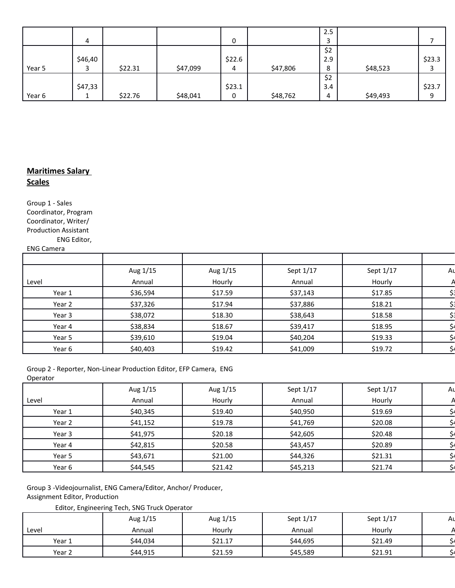|        |               |         |          |        |          | 2.5 |          |        |
|--------|---------------|---------|----------|--------|----------|-----|----------|--------|
|        | 4             |         |          | 0      |          | З   |          |        |
|        |               |         |          |        |          | \$2 |          |        |
|        | \$46,40       |         |          | \$22.6 |          | 2.9 |          | \$23.3 |
| Year 5 |               | \$22.31 | \$47,099 | 4      | \$47,806 | 8   | \$48,523 |        |
|        |               |         |          |        |          | \$2 |          |        |
|        | \$47,33       |         |          | \$23.1 |          | 3.4 |          | \$23.7 |
| Year 6 | <u>. на с</u> | \$22.76 | \$48,041 | 0      | \$48,762 | 4   | \$49,493 | 9      |

# **Maritimes Salary Scales**

Group 1 - Sales Coordinator, Program Coordinator, Writer/ Production Assistant ENG Editor,

#### ENG Camera

| Aug 1/15 | Aug 1/15 | Sept 1/17 | Sept 1/17 | Aι |
|----------|----------|-----------|-----------|----|
| Annual   | Hourly   | Annual    | Hourly    |    |
| \$36,594 | \$17.59  | \$37,143  | \$17.85   |    |
| \$37,326 | \$17.94  | \$37,886  | \$18.21   |    |
| \$38,072 | \$18.30  | \$38,643  | \$18.58   |    |
| \$38,834 | \$18.67  | \$39,417  | \$18.95   |    |
| \$39,610 | \$19.04  | \$40,204  | \$19.33   |    |
| \$40,403 | \$19.42  | \$41,009  | \$19.72   |    |
|          |          |           |           |    |

Group 2 - Reporter, Non-Linear Production Editor, EFP Camera, ENG Operator

|        | Aug 1/15 | Aug 1/15 | Sept 1/17 | Sept 1/17 | Αı |
|--------|----------|----------|-----------|-----------|----|
| Level  | Annual   | Hourly   | Annual    | Hourly    |    |
| Year 1 | \$40,345 | \$19.40  | \$40,950  | \$19.69   |    |
| Year 2 | \$41,152 | \$19.78  | \$41,769  | \$20.08   |    |
| Year 3 | \$41,975 | \$20.18  | \$42,605  | \$20.48   |    |
| Year 4 | \$42,815 | \$20.58  | \$43,457  | \$20.89   |    |
| Year 5 | \$43,671 | \$21.00  | \$44,326  | \$21.31   |    |
| Year 6 | \$44,545 | \$21.42  | \$45,213  | \$21.74   |    |

Group 3 -Videojournalist, ENG Camera/Editor, Anchor/ Producer, Assignment Editor, Production

Editor, Engineering Tech, SNG Truck Operator

|        | Aug 1/15 | Aug 1/15 | Sept 1/17 | Sept 1/17 | Aι |
|--------|----------|----------|-----------|-----------|----|
| Level  | Annual   | Hourly   | Annual    | Hourly    |    |
| Year 1 | \$44,034 | \$21.17  | \$44,695  | \$21.49   |    |
| Year 2 | \$44,915 | \$21.59  | \$45,589  | \$21.91   |    |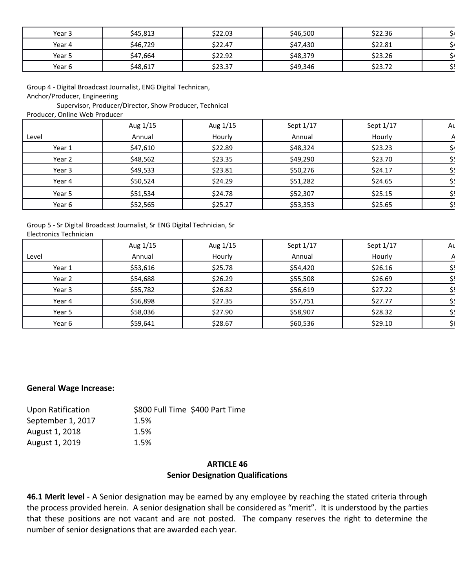| Year 3 | \$45,813 | \$22.03 | \$46,500 | \$22.36 |  |
|--------|----------|---------|----------|---------|--|
| Year 4 | \$46,729 | \$22.47 | \$47,430 | \$22.81 |  |
| Year 5 | \$47,664 | \$22.92 | \$48,379 | \$23.26 |  |
| Year 6 | \$48,617 | \$23.37 | \$49,346 | \$23.72 |  |

Group 4 - Digital Broadcast Journalist, ENG Digital Technican, Anchor/Producer, Engineering

Supervisor, Producer/Director, Show Producer, Technical

Producer, Online Web Producer

|        | Aug 1/15 | Aug 1/15 | Sept 1/17 | Sept 1/17 | Aι |
|--------|----------|----------|-----------|-----------|----|
| Level  | Annual   | Hourly   | Annual    | Hourly    |    |
| Year 1 | \$47,610 | \$22.89  | \$48,324  | \$23.23   |    |
| Year 2 | \$48,562 | \$23.35  | \$49,290  | \$23.70   |    |
| Year 3 | \$49,533 | \$23.81  | \$50,276  | \$24.17   |    |
| Year 4 | \$50,524 | \$24.29  | \$51,282  | \$24.65   |    |
| Year 5 | \$51,534 | \$24.78  | \$52,307  | \$25.15   |    |
| Year 6 | \$52,565 | \$25.27  | \$53,353  | \$25.65   |    |
|        |          |          |           |           |    |

Group 5 - Sr Digital Broadcast Journalist, Sr ENG Digital Technician, Sr Electronics Technician

|        | Aug 1/15 | Aug 1/15 | Sept 1/17 | Sept 1/17 | Αı |
|--------|----------|----------|-----------|-----------|----|
| Level  | Annual   | Hourly   | Annual    | Hourly    |    |
| Year 1 | \$53,616 | \$25.78  | \$54,420  | \$26.16   |    |
| Year 2 | \$54,688 | \$26.29  | \$55,508  | \$26.69   |    |
| Year 3 | \$55,782 | \$26.82  | \$56,619  | \$27.22   |    |
| Year 4 | \$56,898 | \$27.35  | \$57,751  | \$27.77   |    |
| Year 5 | \$58,036 | \$27.90  | \$58,907  | \$28.32   |    |
| Year 6 | \$59,641 | \$28.67  | \$60,536  | \$29.10   |    |
|        |          |          |           |           |    |

#### **General Wage Increase:**

| \$800 Full Time \$400 Part Time |
|---------------------------------|
| 1.5%                            |
| 1.5%                            |
| 1.5%                            |
|                                 |

#### **ARTICLE 46 Senior Designation Qualifications**

**46.1 Merit level -** A Senior designation may be earned by any employee by reaching the stated criteria through the process provided herein. A senior designation shall be considered as "merit". It is understood by the parties that these positions are not vacant and are not posted. The company reserves the right to determine the number of senior designations that are awarded each year.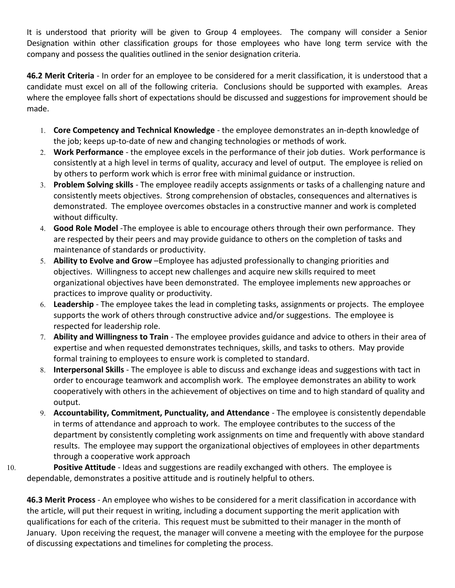It is understood that priority will be given to Group 4 employees. The company will consider a Senior Designation within other classification groups for those employees who have long term service with the company and possess the qualities outlined in the senior designation criteria.

**46.2 Merit Criteria** - In order for an employee to be considered for a merit classification, it is understood that a candidate must excel on all of the following criteria. Conclusions should be supported with examples. Areas where the employee falls short of expectations should be discussed and suggestions for improvement should be made.

- 1. **Core Competency and Technical Knowledge** the employee demonstrates an in-depth knowledge of the job; keeps up-to-date of new and changing technologies or methods of work.
- 2. **Work Performance** the employee excels in the performance of their job duties. Work performance is consistently at a high level in terms of quality, accuracy and level of output. The employee is relied on by others to perform work which is error free with minimal guidance or instruction.
- 3. **Problem Solving skills** The employee readily accepts assignments or tasks of a challenging nature and consistently meets objectives. Strong comprehension of obstacles, consequences and alternatives is demonstrated. The employee overcomes obstacles in a constructive manner and work is completed without difficulty.
- 4. **Good Role Model** -The employee is able to encourage others through their own performance. They are respected by their peers and may provide guidance to others on the completion of tasks and maintenance of standards or productivity.
- 5. **Ability to Evolve and Grow** –Employee has adjusted professionally to changing priorities and objectives. Willingness to accept new challenges and acquire new skills required to meet organizational objectives have been demonstrated. The employee implements new approaches or practices to improve quality or productivity.
- 6. **Leadership** The employee takes the lead in completing tasks, assignments or projects. The employee supports the work of others through constructive advice and/or suggestions. The employee is respected for leadership role.
- 7. **Ability and Willingness to Train**  The employee provides guidance and advice to others in their area of expertise and when requested demonstrates techniques, skills, and tasks to others. May provide formal training to employees to ensure work is completed to standard.
- 8. **Interpersonal Skills** The employee is able to discuss and exchange ideas and suggestions with tact in order to encourage teamwork and accomplish work. The employee demonstrates an ability to work cooperatively with others in the achievement of objectives on time and to high standard of quality and output.
- 9. **Accountability, Commitment, Punctuality, and Attendance**  The employee is consistently dependable in terms of attendance and approach to work. The employee contributes to the success of the department by consistently completing work assignments on time and frequently with above standard results. The employee may support the organizational objectives of employees in other departments through a cooperative work approach
- 10. **Positive Attitude** Ideas and suggestions are readily exchanged with others. The employee is dependable, demonstrates a positive attitude and is routinely helpful to others.

**46.3 Merit Process** - An employee who wishes to be considered for a merit classification in accordance with the article, will put their request in writing, including a document supporting the merit application with qualifications for each of the criteria. This request must be submitted to their manager in the month of January. Upon receiving the request, the manager will convene a meeting with the employee for the purpose of discussing expectations and timelines for completing the process.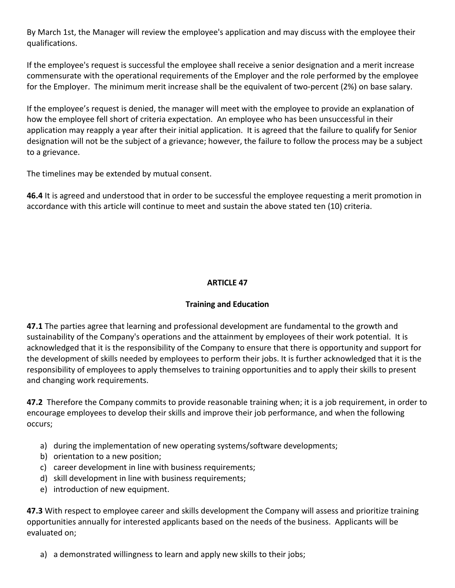By March 1st, the Manager will review the employee's application and may discuss with the employee their qualifications.

If the employee's request is successful the employee shall receive a senior designation and a merit increase commensurate with the operational requirements of the Employer and the role performed by the employee for the Employer. The minimum merit increase shall be the equivalent of two-percent (2%) on base salary.

If the employee's request is denied, the manager will meet with the employee to provide an explanation of how the employee fell short of criteria expectation. An employee who has been unsuccessful in their application may reapply a year after their initial application. It is agreed that the failure to qualify for Senior designation will not be the subject of a grievance; however, the failure to follow the process may be a subject to a grievance.

The timelines may be extended by mutual consent.

**46.4** It is agreed and understood that in order to be successful the employee requesting a merit promotion in accordance with this article will continue to meet and sustain the above stated ten (10) criteria.

# **ARTICLE 47**

# **Training and Education**

**47.1** The parties agree that learning and professional development are fundamental to the growth and sustainability of the Company's operations and the attainment by employees of their work potential. It is acknowledged that it is the responsibility of the Company to ensure that there is opportunity and support for the development of skills needed by employees to perform their jobs. It is further acknowledged that it is the responsibility of employees to apply themselves to training opportunities and to apply their skills to present and changing work requirements.

**47.2** Therefore the Company commits to provide reasonable training when; it is a job requirement, in order to encourage employees to develop their skills and improve their job performance, and when the following occurs;

- a) during the implementation of new operating systems/software developments;
- b) orientation to a new position;
- c) career development in line with business requirements;
- d) skill development in line with business requirements;
- e) introduction of new equipment.

**47.3** With respect to employee career and skills development the Company will assess and prioritize training opportunities annually for interested applicants based on the needs of the business. Applicants will be evaluated on;

a) a demonstrated willingness to learn and apply new skills to their jobs;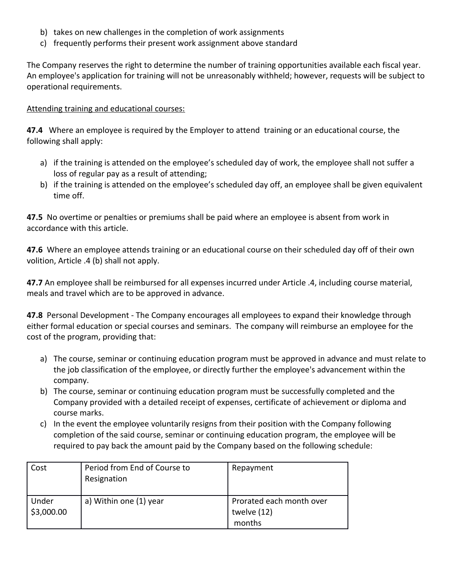- b) takes on new challenges in the completion of work assignments
- c) frequently performs their present work assignment above standard

The Company reserves the right to determine the number of training opportunities available each fiscal year. An employee's application for training will not be unreasonably withheld; however, requests will be subject to operational requirements.

## Attending training and educational courses:

**47.4** Where an employee is required by the Employer to attend training or an educational course, the following shall apply:

- a) if the training is attended on the employee's scheduled day of work, the employee shall not suffer a loss of regular pay as a result of attending;
- b) if the training is attended on the employee's scheduled day off, an employee shall be given equivalent time off.

**47.5** No overtime or penalties or premiums shall be paid where an employee is absent from work in accordance with this article.

**47.6** Where an employee attends training or an educational course on their scheduled day off of their own volition, Article .4 (b) shall not apply.

**47.7** An employee shall be reimbursed for all expenses incurred under Article .4, including course material, meals and travel which are to be approved in advance.

**47.8** Personal Development - The Company encourages all employees to expand their knowledge through either formal education or special courses and seminars. The company will reimburse an employee for the cost of the program, providing that:

- a) The course, seminar or continuing education program must be approved in advance and must relate to the job classification of the employee, or directly further the employee's advancement within the company.
- b) The course, seminar or continuing education program must be successfully completed and the Company provided with a detailed receipt of expenses, certificate of achievement or diploma and course marks.
- c) In the event the employee voluntarily resigns from their position with the Company following completion of the said course, seminar or continuing education program, the employee will be required to pay back the amount paid by the Company based on the following schedule:

| Cost               | Period from End of Course to<br>Resignation | Repayment                                         |
|--------------------|---------------------------------------------|---------------------------------------------------|
| Under<br>53,000.00 | a) Within one (1) year                      | Prorated each month over<br>twelve (12)<br>months |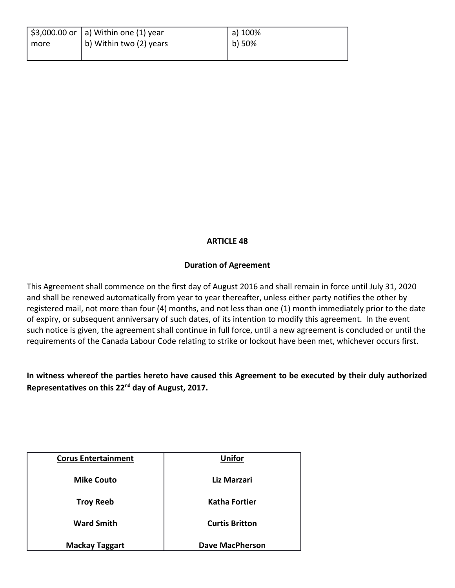|        | $\vert$ \$3,000.00 or $\vert$ a) Within one (1) year | a) 100% |
|--------|------------------------------------------------------|---------|
| I more | b) Within two (2) years                              | b) 50%  |
|        |                                                      |         |

# **ARTICLE 48**

### **Duration of Agreement**

This Agreement shall commence on the first day of August 2016 and shall remain in force until July 31, 2020 and shall be renewed automatically from year to year thereafter, unless either party notifies the other by registered mail, not more than four (4) months, and not less than one (1) month immediately prior to the date of expiry, or subsequent anniversary of such dates, of its intention to modify this agreement. In the event such notice is given, the agreement shall continue in full force, until a new agreement is concluded or until the requirements of the Canada Labour Code relating to strike or lockout have been met, whichever occurs first.

# **In witness whereof the parties hereto have caused this Agreement to be executed by their duly authorized Representatives on this 22nd day of August, 2017.**

| <b>Corus Entertainment</b> | <b>Unifor</b>          |
|----------------------------|------------------------|
| <b>Mike Couto</b>          | Liz Marzari            |
| <b>Troy Reeb</b>           | <b>Katha Fortier</b>   |
| <b>Ward Smith</b>          | <b>Curtis Britton</b>  |
| <b>Mackay Taggart</b>      | <b>Dave MacPherson</b> |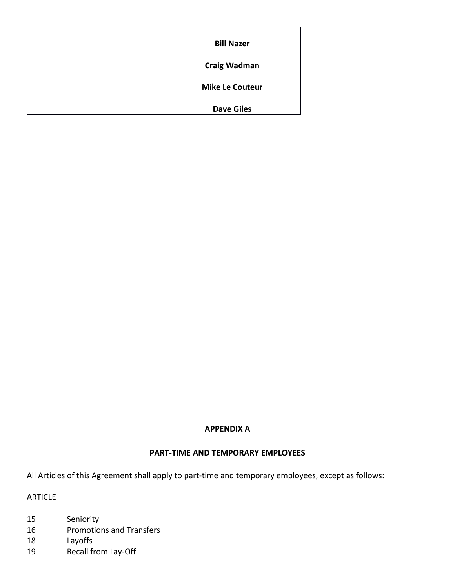| <b>Bill Nazer</b>      |
|------------------------|
| <b>Craig Wadman</b>    |
| <b>Mike Le Couteur</b> |
| <b>Dave Giles</b>      |

#### **APPENDIX A**

#### **PART-TIME AND TEMPORARY EMPLOYEES**

All Articles of this Agreement shall apply to part-time and temporary employees, except as follows:

ARTICLE

- 15 Seniority
- 16 Promotions and Transfers
- 18 Layoffs
- 19 Recall from Lay-Off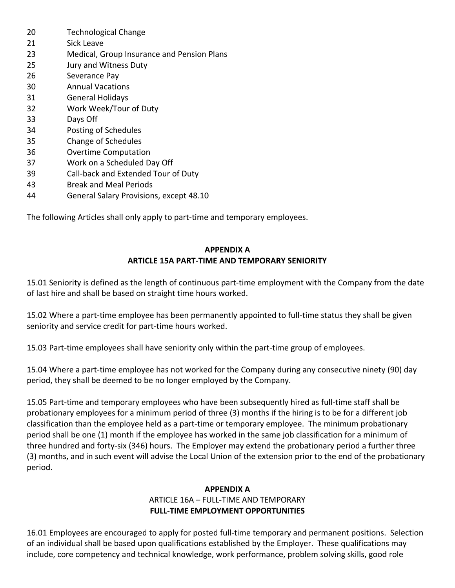- 20 Technological Change
- 21 Sick Leave
- 23 Medical, Group Insurance and Pension Plans
- 25 Jury and Witness Duty
- 26 Severance Pay
- 30 Annual Vacations
- 31 General Holidays
- 32 Work Week/Tour of Duty
- 33 Days Off
- 34 Posting of Schedules
- 35 Change of Schedules
- 36 Overtime Computation
- 37 Work on a Scheduled Day Off
- 39 Call-back and Extended Tour of Duty
- 43 Break and Meal Periods
- 44 General Salary Provisions, except 48.10

The following Articles shall only apply to part-time and temporary employees.

### **APPENDIX A ARTICLE 15A PART-TIME AND TEMPORARY SENIORITY**

15.01 Seniority is defined as the length of continuous part-time employment with the Company from the date of last hire and shall be based on straight time hours worked.

15.02 Where a part-time employee has been permanently appointed to full-time status they shall be given seniority and service credit for part-time hours worked.

15.03 Part-time employees shall have seniority only within the part-time group of employees.

15.04 Where a part-time employee has not worked for the Company during any consecutive ninety (90) day period, they shall be deemed to be no longer employed by the Company.

15.05 Part-time and temporary employees who have been subsequently hired as full-time staff shall be probationary employees for a minimum period of three (3) months if the hiring is to be for a different job classification than the employee held as a part-time or temporary employee. The minimum probationary period shall be one (1) month if the employee has worked in the same job classification for a minimum of three hundred and forty-six (346) hours. The Employer may extend the probationary period a further three (3) months, and in such event will advise the Local Union of the extension prior to the end of the probationary period.

#### **APPENDIX A**

#### ARTICLE 16A – FULL-TIME AND TEMPORARY **FULL-TIME EMPLOYMENT OPPORTUNITIES**

16.01 Employees are encouraged to apply for posted full-time temporary and permanent positions. Selection of an individual shall be based upon qualifications established by the Employer. These qualifications may include, core competency and technical knowledge, work performance, problem solving skills, good role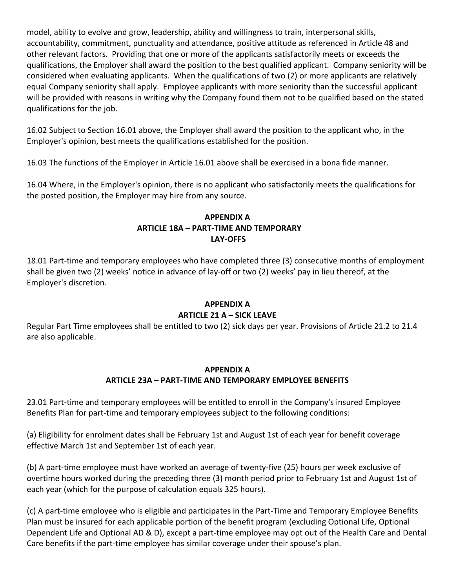model, ability to evolve and grow, leadership, ability and willingness to train, interpersonal skills, accountability, commitment, punctuality and attendance, positive attitude as referenced in Article 48 and other relevant factors. Providing that one or more of the applicants satisfactorily meets or exceeds the qualifications, the Employer shall award the position to the best qualified applicant. Company seniority will be considered when evaluating applicants. When the qualifications of two (2) or more applicants are relatively equal Company seniority shall apply. Employee applicants with more seniority than the successful applicant will be provided with reasons in writing why the Company found them not to be qualified based on the stated qualifications for the job.

16.02 Subject to Section 16.01 above, the Employer shall award the position to the applicant who, in the Employer's opinion, best meets the qualifications established for the position.

16.03 The functions of the Employer in Article 16.01 above shall be exercised in a bona fide manner.

16.04 Where, in the Employer's opinion, there is no applicant who satisfactorily meets the qualifications for the posted position, the Employer may hire from any source.

# **APPENDIX A ARTICLE 18A – PART-TIME AND TEMPORARY LAY-OFFS**

18.01 Part-time and temporary employees who have completed three (3) consecutive months of employment shall be given two (2) weeks' notice in advance of lay-off or two (2) weeks' pay in lieu thereof, at the Employer's discretion.

### **APPENDIX A**

### **ARTICLE 21 A – SICK LEAVE**

Regular Part Time employees shall be entitled to two (2) sick days per year. Provisions of Article 21.2 to 21.4 are also applicable.

### **APPENDIX A ARTICLE 23A – PART-TIME AND TEMPORARY EMPLOYEE BENEFITS**

23.01 Part-time and temporary employees will be entitled to enroll in the Company's insured Employee Benefits Plan for part-time and temporary employees subject to the following conditions:

(a) Eligibility for enrolment dates shall be February 1st and August 1st of each year for benefit coverage effective March 1st and September 1st of each year.

(b) A part-time employee must have worked an average of twenty-five (25) hours per week exclusive of overtime hours worked during the preceding three (3) month period prior to February 1st and August 1st of each year (which for the purpose of calculation equals 325 hours).

(c) A part-time employee who is eligible and participates in the Part-Time and Temporary Employee Benefits Plan must be insured for each applicable portion of the benefit program (excluding Optional Life, Optional Dependent Life and Optional AD & D), except a part-time employee may opt out of the Health Care and Dental Care benefits if the part-time employee has similar coverage under their spouse's plan.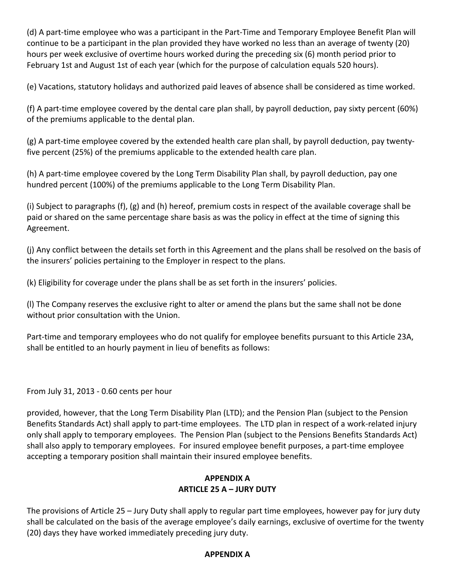(d) A part-time employee who was a participant in the Part-Time and Temporary Employee Benefit Plan will continue to be a participant in the plan provided they have worked no less than an average of twenty (20) hours per week exclusive of overtime hours worked during the preceding six (6) month period prior to February 1st and August 1st of each year (which for the purpose of calculation equals 520 hours).

(e) Vacations, statutory holidays and authorized paid leaves of absence shall be considered as time worked.

(f) A part-time employee covered by the dental care plan shall, by payroll deduction, pay sixty percent (60%) of the premiums applicable to the dental plan.

(g) A part-time employee covered by the extended health care plan shall, by payroll deduction, pay twentyfive percent (25%) of the premiums applicable to the extended health care plan.

(h) A part-time employee covered by the Long Term Disability Plan shall, by payroll deduction, pay one hundred percent (100%) of the premiums applicable to the Long Term Disability Plan.

(i) Subject to paragraphs (f), (g) and (h) hereof, premium costs in respect of the available coverage shall be paid or shared on the same percentage share basis as was the policy in effect at the time of signing this Agreement.

(j) Any conflict between the details set forth in this Agreement and the plans shall be resolved on the basis of the insurers' policies pertaining to the Employer in respect to the plans.

(k) Eligibility for coverage under the plans shall be as set forth in the insurers' policies.

(l) The Company reserves the exclusive right to alter or amend the plans but the same shall not be done without prior consultation with the Union.

Part-time and temporary employees who do not qualify for employee benefits pursuant to this Article 23A, shall be entitled to an hourly payment in lieu of benefits as follows:

From July 31, 2013 - 0.60 cents per hour

provided, however, that the Long Term Disability Plan (LTD); and the Pension Plan (subject to the Pension Benefits Standards Act) shall apply to part-time employees. The LTD plan in respect of a work-related injury only shall apply to temporary employees. The Pension Plan (subject to the Pensions Benefits Standards Act) shall also apply to temporary employees. For insured employee benefit purposes, a part-time employee accepting a temporary position shall maintain their insured employee benefits.

# **APPENDIX A ARTICLE 25 A – JURY DUTY**

The provisions of Article 25 – Jury Duty shall apply to regular part time employees, however pay for jury duty shall be calculated on the basis of the average employee's daily earnings, exclusive of overtime for the twenty (20) days they have worked immediately preceding jury duty.

### **APPENDIX A**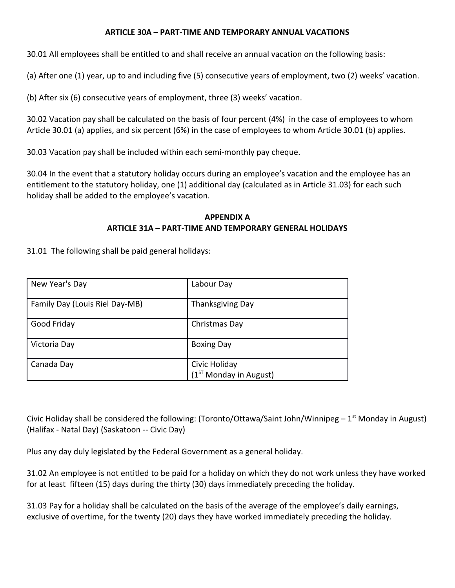### **ARTICLE 30A – PART-TIME AND TEMPORARY ANNUAL VACATIONS**

30.01 All employees shall be entitled to and shall receive an annual vacation on the following basis:

(a) After one (1) year, up to and including five (5) consecutive years of employment, two (2) weeks' vacation.

(b) After six (6) consecutive years of employment, three (3) weeks' vacation.

30.02 Vacation pay shall be calculated on the basis of four percent (4%) in the case of employees to whom Article 30.01 (a) applies, and six percent (6%) in the case of employees to whom Article 30.01 (b) applies.

30.03 Vacation pay shall be included within each semi-monthly pay cheque.

30.04 In the event that a statutory holiday occurs during an employee's vacation and the employee has an entitlement to the statutory holiday, one (1) additional day (calculated as in Article 31.03) for each such holiday shall be added to the employee's vacation.

### **APPENDIX A ARTICLE 31A – PART-TIME AND TEMPORARY GENERAL HOLIDAYS**

31.01 The following shall be paid general holidays:

| New Year's Day                 | Labour Day                                |
|--------------------------------|-------------------------------------------|
| Family Day (Louis Riel Day-MB) | <b>Thanksgiving Day</b>                   |
| Good Friday                    | Christmas Day                             |
| Victoria Day                   | <b>Boxing Day</b>                         |
| Canada Day                     | Civic Holiday<br>$(1ST$ Monday in August) |

Civic Holiday shall be considered the following: (Toronto/Ottawa/Saint John/Winnipeg  $-1<sup>st</sup>$  Monday in August) (Halifax - Natal Day) (Saskatoon -- Civic Day)

Plus any day duly legislated by the Federal Government as a general holiday.

31.02 An employee is not entitled to be paid for a holiday on which they do not work unless they have worked for at least fifteen (15) days during the thirty (30) days immediately preceding the holiday.

31.03 Pay for a holiday shall be calculated on the basis of the average of the employee's daily earnings, exclusive of overtime, for the twenty (20) days they have worked immediately preceding the holiday.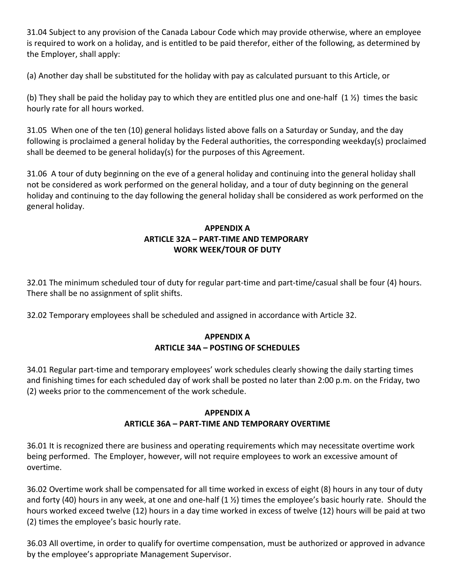31.04 Subject to any provision of the Canada Labour Code which may provide otherwise, where an employee is required to work on a holiday, and is entitled to be paid therefor, either of the following, as determined by the Employer, shall apply:

(a) Another day shall be substituted for the holiday with pay as calculated pursuant to this Article, or

(b) They shall be paid the holiday pay to which they are entitled plus one and one-half (1 ½) times the basic hourly rate for all hours worked.

31.05 When one of the ten (10) general holidays listed above falls on a Saturday or Sunday, and the day following is proclaimed a general holiday by the Federal authorities, the corresponding weekday(s) proclaimed shall be deemed to be general holiday(s) for the purposes of this Agreement.

31.06 A tour of duty beginning on the eve of a general holiday and continuing into the general holiday shall not be considered as work performed on the general holiday, and a tour of duty beginning on the general holiday and continuing to the day following the general holiday shall be considered as work performed on the general holiday.

## **APPENDIX A ARTICLE 32A – PART-TIME AND TEMPORARY WORK WEEK/TOUR OF DUTY**

32.01 The minimum scheduled tour of duty for regular part-time and part-time/casual shall be four (4) hours. There shall be no assignment of split shifts.

32.02 Temporary employees shall be scheduled and assigned in accordance with Article 32.

### **APPENDIX A ARTICLE 34A – POSTING OF SCHEDULES**

34.01 Regular part-time and temporary employees' work schedules clearly showing the daily starting times and finishing times for each scheduled day of work shall be posted no later than 2:00 p.m. on the Friday, two (2) weeks prior to the commencement of the work schedule.

#### **APPENDIX A**

### **ARTICLE 36A – PART-TIME AND TEMPORARY OVERTIME**

36.01 It is recognized there are business and operating requirements which may necessitate overtime work being performed. The Employer, however, will not require employees to work an excessive amount of overtime.

36.02 Overtime work shall be compensated for all time worked in excess of eight (8) hours in any tour of duty and forty (40) hours in any week, at one and one-half  $(1 \frac{1}{2})$  times the employee's basic hourly rate. Should the hours worked exceed twelve (12) hours in a day time worked in excess of twelve (12) hours will be paid at two (2) times the employee's basic hourly rate.

36.03 All overtime, in order to qualify for overtime compensation, must be authorized or approved in advance by the employee's appropriate Management Supervisor.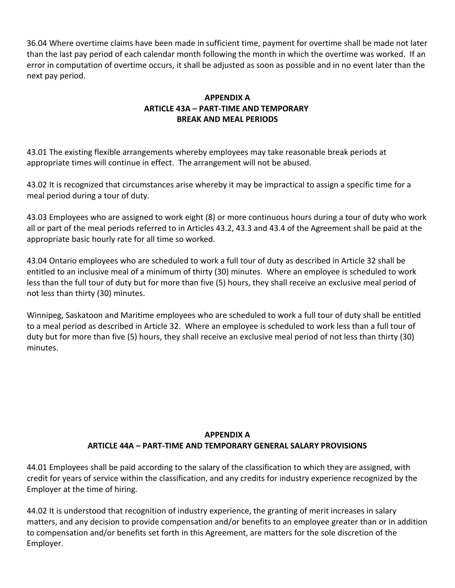36.04 Where overtime claims have been made in sufficient time, payment for overtime shall be made not later than the last pay period of each calendar month following the month in which the overtime was worked. If an error in computation of overtime occurs, it shall be adjusted as soon as possible and in no event later than the next pay period.

## **APPENDIX A ARTICLE 43A – PART-TIME AND TEMPORARY BREAK AND MEAL PERIODS**

43.01 The existing flexible arrangements whereby employees may take reasonable break periods at appropriate times will continue in effect. The arrangement will not be abused.

43.02 It is recognized that circumstances arise whereby it may be impractical to assign a specific time for a meal period during a tour of duty.

43.03 Employees who are assigned to work eight (8) or more continuous hours during a tour of duty who work all or part of the meal periods referred to in Articles 43.2, 43.3 and 43.4 of the Agreement shall be paid at the appropriate basic hourly rate for all time so worked.

43.04 Ontario employees who are scheduled to work a full tour of duty as described in Article 32 shall be entitled to an inclusive meal of a minimum of thirty (30) minutes. Where an employee is scheduled to work less than the full tour of duty but for more than five (5) hours, they shall receive an exclusive meal period of not less than thirty (30) minutes.

Winnipeg, Saskatoon and Maritime employees who are scheduled to work a full tour of duty shall be entitled to a meal period as described in Article 32. Where an employee is scheduled to work less than a full tour of duty but for more than five (5) hours, they shall receive an exclusive meal period of not less than thirty (30) minutes.

# **APPENDIX A ARTICLE 44A – PART-TIME AND TEMPORARY GENERAL SALARY PROVISIONS**

44.01 Employees shall be paid according to the salary of the classification to which they are assigned, with credit for years of service within the classification, and any credits for industry experience recognized by the Employer at the time of hiring.

44.02 It is understood that recognition of industry experience, the granting of merit increases in salary matters, and any decision to provide compensation and/or benefits to an employee greater than or in addition to compensation and/or benefits set forth in this Agreement, are matters for the sole discretion of the Employer.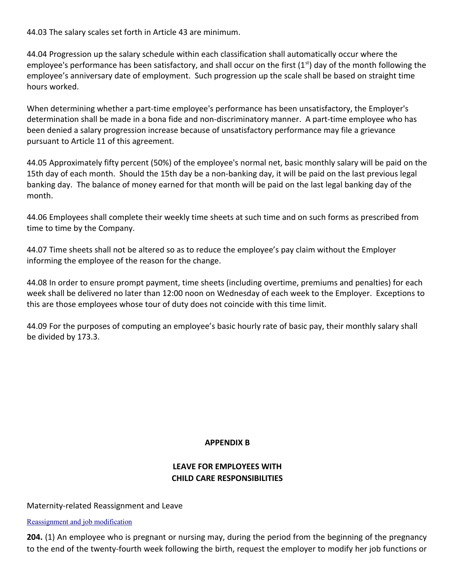44.03 The salary scales set forth in Article 43 are minimum.

44.04 Progression up the salary schedule within each classification shall automatically occur where the employee's performance has been satisfactory, and shall occur on the first  $(1<sup>st</sup>)$  day of the month following the employee's anniversary date of employment. Such progression up the scale shall be based on straight time hours worked.

When determining whether a part-time employee's performance has been unsatisfactory, the Employer's determination shall be made in a bona fide and non-discriminatory manner. A part-time employee who has been denied a salary progression increase because of unsatisfactory performance may file a grievance pursuant to Article 11 of this agreement.

44.05 Approximately fifty percent (50%) of the employee's normal net, basic monthly salary will be paid on the 15th day of each month. Should the 15th day be a non-banking day, it will be paid on the last previous legal banking day. The balance of money earned for that month will be paid on the last legal banking day of the month.

44.06 Employees shall complete their weekly time sheets at such time and on such forms as prescribed from time to time by the Company.

44.07 Time sheets shall not be altered so as to reduce the employee's pay claim without the Employer informing the employee of the reason for the change.

44.08 In order to ensure prompt payment, time sheets (including overtime, premiums and penalties) for each week shall be delivered no later than 12:00 noon on Wednesday of each week to the Employer. Exceptions to this are those employees whose tour of duty does not coincide with this time limit.

44.09 For the purposes of computing an employee's basic hourly rate of basic pay, their monthly salary shall be divided by 173.3.

#### **APPENDIX B**

# **LEAVE FOR EMPLOYEES WITH CHILD CARE RESPONSIBILITIES**

#### Maternity-related Reassignment and Leave

[Reassignment and job modification](http://laws.justice.gc.ca/fr/L-2/17196.html)

**204.** (1) An employee who is pregnant or nursing may, during the period from the beginning of the pregnancy to the end of the twenty-fourth week following the birth, request the employer to modify her job functions or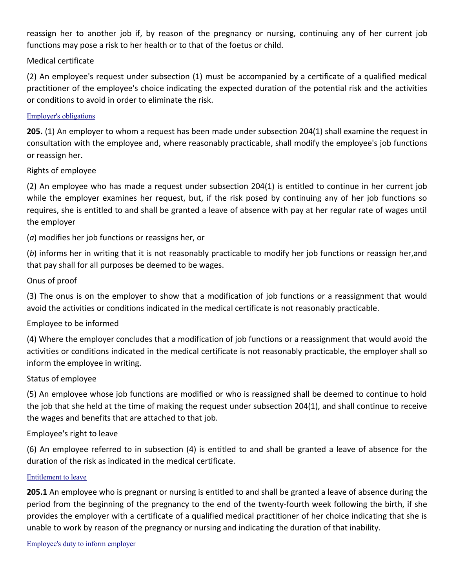reassign her to another job if, by reason of the pregnancy or nursing, continuing any of her current job functions may pose a risk to her health or to that of the foetus or child.

### Medical certificate

(2) An employee's request under subsection (1) must be accompanied by a certificate of a qualified medical practitioner of the employee's choice indicating the expected duration of the potential risk and the activities or conditions to avoid in order to eliminate the risk.

#### [Employer's obligations](http://laws.justice.gc.ca/fr/L-2/17196.html)

**205.** (1) An employer to whom a request has been made under subsection 204(1) shall examine the request in consultation with the employee and, where reasonably practicable, shall modify the employee's job functions or reassign her.

#### Rights of employee

(2) An employee who has made a request under subsection 204(1) is entitled to continue in her current job while the employer examines her request, but, if the risk posed by continuing any of her job functions so requires, she is entitled to and shall be granted a leave of absence with pay at her regular rate of wages until the employer

(*a*) modifies her job functions or reassigns her, or

(*b*) informs her in writing that it is not reasonably practicable to modify her job functions or reassign her,and that pay shall for all purposes be deemed to be wages.

### Onus of proof

(3) The onus is on the employer to show that a modification of job functions or a reassignment that would avoid the activities or conditions indicated in the medical certificate is not reasonably practicable.

#### Employee to be informed

(4) Where the employer concludes that a modification of job functions or a reassignment that would avoid the activities or conditions indicated in the medical certificate is not reasonably practicable, the employer shall so inform the employee in writing.

#### Status of employee

(5) An employee whose job functions are modified or who is reassigned shall be deemed to continue to hold the job that she held at the time of making the request under subsection 204(1), and shall continue to receive the wages and benefits that are attached to that job.

#### Employee's right to leave

(6) An employee referred to in subsection (4) is entitled to and shall be granted a leave of absence for the duration of the risk as indicated in the medical certificate.

#### [Entitlement to leave](http://laws.justice.gc.ca/fr/L-2/17196.html)

**205.1** An employee who is pregnant or nursing is entitled to and shall be granted a leave of absence during the period from the beginning of the pregnancy to the end of the twenty-fourth week following the birth, if she provides the employer with a certificate of a qualified medical practitioner of her choice indicating that she is unable to work by reason of the pregnancy or nursing and indicating the duration of that inability.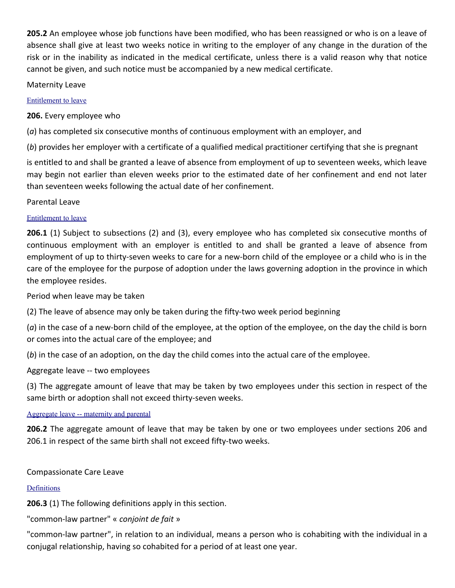**205.2** An employee whose job functions have been modified, who has been reassigned or who is on a leave of absence shall give at least two weeks notice in writing to the employer of any change in the duration of the risk or in the inability as indicated in the medical certificate, unless there is a valid reason why that notice cannot be given, and such notice must be accompanied by a new medical certificate.

Maternity Leave

#### [Entitlement to leave](http://laws.justice.gc.ca/fr/L-2/17196.html)

**206.** Every employee who

(*a*) has completed six consecutive months of continuous employment with an employer, and

(*b*) provides her employer with a certificate of a qualified medical practitioner certifying that she is pregnant

is entitled to and shall be granted a leave of absence from employment of up to seventeen weeks, which leave may begin not earlier than eleven weeks prior to the estimated date of her confinement and end not later than seventeen weeks following the actual date of her confinement.

Parental Leave

### [Entitlement to leave](http://laws.justice.gc.ca/fr/L-2/17196.html)

**206.1** (1) Subject to subsections (2) and (3), every employee who has completed six consecutive months of continuous employment with an employer is entitled to and shall be granted a leave of absence from employment of up to thirty-seven weeks to care for a new-born child of the employee or a child who is in the care of the employee for the purpose of adoption under the laws governing adoption in the province in which the employee resides.

Period when leave may be taken

(2) The leave of absence may only be taken during the fifty-two week period beginning

(*a*) in the case of a new-born child of the employee, at the option of the employee, on the day the child is born or comes into the actual care of the employee; and

(*b*) in the case of an adoption, on the day the child comes into the actual care of the employee.

Aggregate leave -- two employees

(3) The aggregate amount of leave that may be taken by two employees under this section in respect of the same birth or adoption shall not exceed thirty-seven weeks.

### [Aggregate leave -- maternity and parental](http://laws.justice.gc.ca/fr/L-2/17196.html)

**206.2** The aggregate amount of leave that may be taken by one or two employees under sections 206 and 206.1 in respect of the same birth shall not exceed fifty-two weeks.

### Compassionate Care Leave

### [Definitions](http://laws.justice.gc.ca/fr/L-2/17196.html)

**206.3** (1) The following definitions apply in this section.

"common-law partner" « *conjoint de fait* »

"common-law partner", in relation to an individual, means a person who is cohabiting with the individual in a conjugal relationship, having so cohabited for a period of at least one year.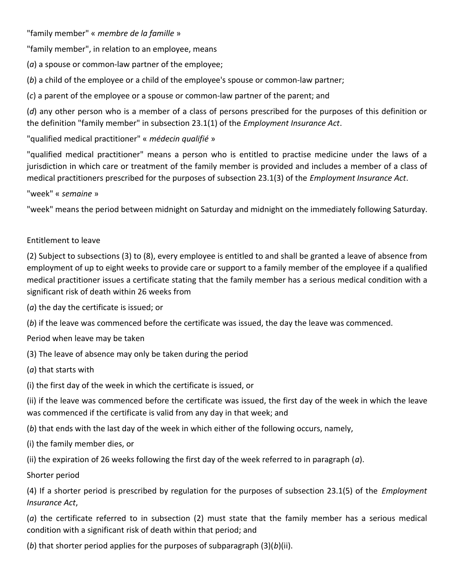"family member" « *membre de la famille* »

"family member", in relation to an employee, means

(*a*) a spouse or common-law partner of the employee;

(*b*) a child of the employee or a child of the employee's spouse or common-law partner;

(*c*) a parent of the employee or a spouse or common-law partner of the parent; and

(*d*) any other person who is a member of a class of persons prescribed for the purposes of this definition or the definition "family member" in subsection 23.1(1) of the *Employment Insurance Act*.

"qualified medical practitioner" « *médecin qualifié* »

"qualified medical practitioner" means a person who is entitled to practise medicine under the laws of a jurisdiction in which care or treatment of the family member is provided and includes a member of a class of medical practitioners prescribed for the purposes of subsection 23.1(3) of the *Employment Insurance Act*.

### "week" « *semaine* »

"week" means the period between midnight on Saturday and midnight on the immediately following Saturday.

### Entitlement to leave

(2) Subject to subsections (3) to (8), every employee is entitled to and shall be granted a leave of absence from employment of up to eight weeks to provide care or support to a family member of the employee if a qualified medical practitioner issues a certificate stating that the family member has a serious medical condition with a significant risk of death within 26 weeks from

(*a*) the day the certificate is issued; or

(*b*) if the leave was commenced before the certificate was issued, the day the leave was commenced.

Period when leave may be taken

(3) The leave of absence may only be taken during the period

(*a*) that starts with

(i) the first day of the week in which the certificate is issued, or

(ii) if the leave was commenced before the certificate was issued, the first day of the week in which the leave was commenced if the certificate is valid from any day in that week; and

(*b*) that ends with the last day of the week in which either of the following occurs, namely,

(i) the family member dies, or

(ii) the expiration of 26 weeks following the first day of the week referred to in paragraph (*a*).

Shorter period

(4) If a shorter period is prescribed by regulation for the purposes of subsection 23.1(5) of the *Employment Insurance Act*,

(*a*) the certificate referred to in subsection (2) must state that the family member has a serious medical condition with a significant risk of death within that period; and

(*b*) that shorter period applies for the purposes of subparagraph (3)(*b*)(ii).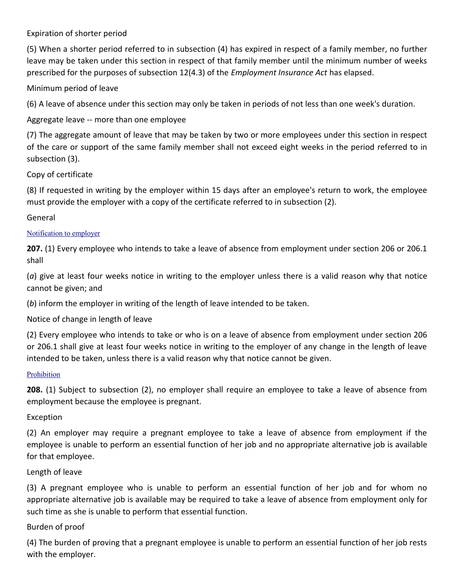Expiration of shorter period

(5) When a shorter period referred to in subsection (4) has expired in respect of a family member, no further leave may be taken under this section in respect of that family member until the minimum number of weeks prescribed for the purposes of subsection 12(4.3) of the *Employment Insurance Act* has elapsed.

Minimum period of leave

(6) A leave of absence under this section may only be taken in periods of not less than one week's duration.

Aggregate leave -- more than one employee

(7) The aggregate amount of leave that may be taken by two or more employees under this section in respect of the care or support of the same family member shall not exceed eight weeks in the period referred to in subsection (3).

Copy of certificate

(8) If requested in writing by the employer within 15 days after an employee's return to work, the employee must provide the employer with a copy of the certificate referred to in subsection (2).

General

### [Notification to employer](http://laws.justice.gc.ca/fr/L-2/17196.html)

**207.** (1) Every employee who intends to take a leave of absence from employment under section 206 or 206.1 shall

(*a*) give at least four weeks notice in writing to the employer unless there is a valid reason why that notice cannot be given; and

(*b*) inform the employer in writing of the length of leave intended to be taken.

Notice of change in length of leave

(2) Every employee who intends to take or who is on a leave of absence from employment under section 206 or 206.1 shall give at least four weeks notice in writing to the employer of any change in the length of leave intended to be taken, unless there is a valid reason why that notice cannot be given.

#### [Prohibition](http://laws.justice.gc.ca/fr/L-2/17196.html)

**208.** (1) Subject to subsection (2), no employer shall require an employee to take a leave of absence from employment because the employee is pregnant.

Exception

(2) An employer may require a pregnant employee to take a leave of absence from employment if the employee is unable to perform an essential function of her job and no appropriate alternative job is available for that employee.

Length of leave

(3) A pregnant employee who is unable to perform an essential function of her job and for whom no appropriate alternative job is available may be required to take a leave of absence from employment only for such time as she is unable to perform that essential function.

### Burden of proof

(4) The burden of proving that a pregnant employee is unable to perform an essential function of her job rests with the employer.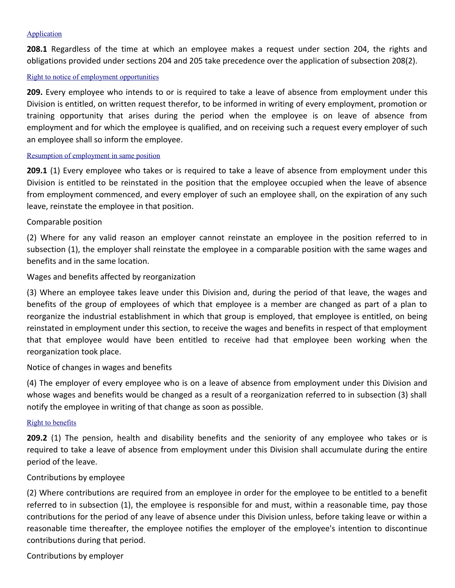#### [Application](http://laws.justice.gc.ca/fr/L-2/17196.html)

**208.1** Regardless of the time at which an employee makes a request under section 204, the rights and obligations provided under sections 204 and 205 take precedence over the application of subsection 208(2).

#### [Right to notice of employment opportunities](http://laws.justice.gc.ca/fr/L-2/17196.html)

**209.** Every employee who intends to or is required to take a leave of absence from employment under this Division is entitled, on written request therefor, to be informed in writing of every employment, promotion or training opportunity that arises during the period when the employee is on leave of absence from employment and for which the employee is qualified, and on receiving such a request every employer of such an employee shall so inform the employee.

#### [Resumption of employment in same position](http://laws.justice.gc.ca/fr/L-2/17196.html)

**209.1** (1) Every employee who takes or is required to take a leave of absence from employment under this Division is entitled to be reinstated in the position that the employee occupied when the leave of absence from employment commenced, and every employer of such an employee shall, on the expiration of any such leave, reinstate the employee in that position.

#### Comparable position

(2) Where for any valid reason an employer cannot reinstate an employee in the position referred to in subsection (1), the employer shall reinstate the employee in a comparable position with the same wages and benefits and in the same location.

#### Wages and benefits affected by reorganization

(3) Where an employee takes leave under this Division and, during the period of that leave, the wages and benefits of the group of employees of which that employee is a member are changed as part of a plan to reorganize the industrial establishment in which that group is employed, that employee is entitled, on being reinstated in employment under this section, to receive the wages and benefits in respect of that employment that that employee would have been entitled to receive had that employee been working when the reorganization took place.

#### Notice of changes in wages and benefits

(4) The employer of every employee who is on a leave of absence from employment under this Division and whose wages and benefits would be changed as a result of a reorganization referred to in subsection (3) shall notify the employee in writing of that change as soon as possible.

#### [Right to benefits](http://laws.justice.gc.ca/fr/L-2/17196.html)

**209.2** (1) The pension, health and disability benefits and the seniority of any employee who takes or is required to take a leave of absence from employment under this Division shall accumulate during the entire period of the leave.

#### Contributions by employee

(2) Where contributions are required from an employee in order for the employee to be entitled to a benefit referred to in subsection (1), the employee is responsible for and must, within a reasonable time, pay those contributions for the period of any leave of absence under this Division unless, before taking leave or within a reasonable time thereafter, the employee notifies the employer of the employee's intention to discontinue contributions during that period.

Contributions by employer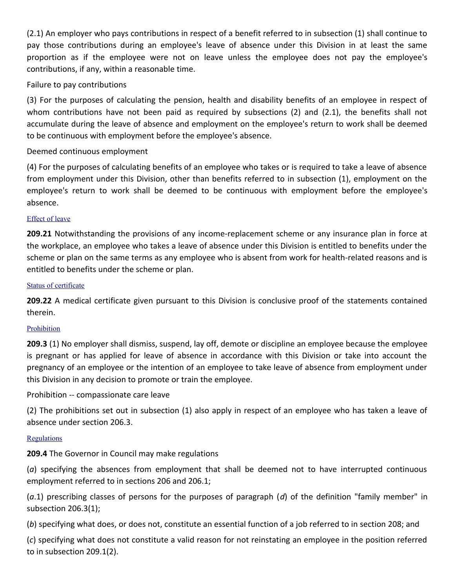(2.1) An employer who pays contributions in respect of a benefit referred to in subsection (1) shall continue to pay those contributions during an employee's leave of absence under this Division in at least the same proportion as if the employee were not on leave unless the employee does not pay the employee's contributions, if any, within a reasonable time.

### Failure to pay contributions

(3) For the purposes of calculating the pension, health and disability benefits of an employee in respect of whom contributions have not been paid as required by subsections (2) and (2.1), the benefits shall not accumulate during the leave of absence and employment on the employee's return to work shall be deemed to be continuous with employment before the employee's absence.

### Deemed continuous employment

(4) For the purposes of calculating benefits of an employee who takes or is required to take a leave of absence from employment under this Division, other than benefits referred to in subsection (1), employment on the employee's return to work shall be deemed to be continuous with employment before the employee's absence.

#### [Effect of leave](http://laws.justice.gc.ca/fr/L-2/17196.html)

**209.21** Notwithstanding the provisions of any income-replacement scheme or any insurance plan in force at the workplace, an employee who takes a leave of absence under this Division is entitled to benefits under the scheme or plan on the same terms as any employee who is absent from work for health-related reasons and is entitled to benefits under the scheme or plan.

#### [Status of certificate](http://laws.justice.gc.ca/fr/L-2/17196.html)

**209.22** A medical certificate given pursuant to this Division is conclusive proof of the statements contained therein.

#### [Prohibition](http://laws.justice.gc.ca/fr/L-2/17196.html)

**209.3** (1) No employer shall dismiss, suspend, lay off, demote or discipline an employee because the employee is pregnant or has applied for leave of absence in accordance with this Division or take into account the pregnancy of an employee or the intention of an employee to take leave of absence from employment under this Division in any decision to promote or train the employee.

Prohibition -- compassionate care leave

(2) The prohibitions set out in subsection (1) also apply in respect of an employee who has taken a leave of absence under section 206.3.

#### **[Regulations](http://laws.justice.gc.ca/fr/L-2/17196.html)**

**209.4** The Governor in Council may make regulations

(*a*) specifying the absences from employment that shall be deemed not to have interrupted continuous employment referred to in sections 206 and 206.1;

(*a*.1) prescribing classes of persons for the purposes of paragraph (*d*) of the definition "family member" in subsection 206.3(1);

(*b*) specifying what does, or does not, constitute an essential function of a job referred to in section 208; and

(*c*) specifying what does not constitute a valid reason for not reinstating an employee in the position referred to in subsection 209.1(2).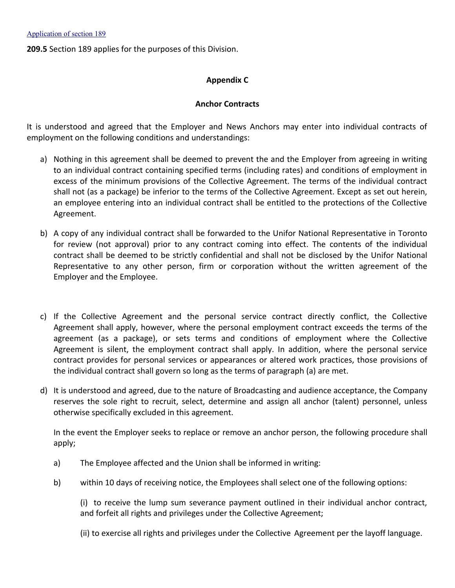**209.5** Section 189 applies for the purposes of this Division.

#### **Appendix C**

#### **Anchor Contracts**

It is understood and agreed that the Employer and News Anchors may enter into individual contracts of employment on the following conditions and understandings:

- a) Nothing in this agreement shall be deemed to prevent the and the Employer from agreeing in writing to an individual contract containing specified terms (including rates) and conditions of employment in excess of the minimum provisions of the Collective Agreement. The terms of the individual contract shall not (as a package) be inferior to the terms of the Collective Agreement. Except as set out herein, an employee entering into an individual contract shall be entitled to the protections of the Collective Agreement.
- b) A copy of any individual contract shall be forwarded to the Unifor National Representative in Toronto for review (not approval) prior to any contract coming into effect. The contents of the individual contract shall be deemed to be strictly confidential and shall not be disclosed by the Unifor National Representative to any other person, firm or corporation without the written agreement of the Employer and the Employee.
- c) If the Collective Agreement and the personal service contract directly conflict, the Collective Agreement shall apply, however, where the personal employment contract exceeds the terms of the agreement (as a package), or sets terms and conditions of employment where the Collective Agreement is silent, the employment contract shall apply. In addition, where the personal service contract provides for personal services or appearances or altered work practices, those provisions of the individual contract shall govern so long as the terms of paragraph (a) are met.
- d) It is understood and agreed, due to the nature of Broadcasting and audience acceptance, the Company reserves the sole right to recruit, select, determine and assign all anchor (talent) personnel, unless otherwise specifically excluded in this agreement.

In the event the Employer seeks to replace or remove an anchor person, the following procedure shall apply;

- a) The Employee affected and the Union shall be informed in writing:
- b) within 10 days of receiving notice, the Employees shall select one of the following options:

(i) to receive the lump sum severance payment outlined in their individual anchor contract, and forfeit all rights and privileges under the Collective Agreement;

(ii) to exercise all rights and privileges under the Collective Agreement per the layoff language.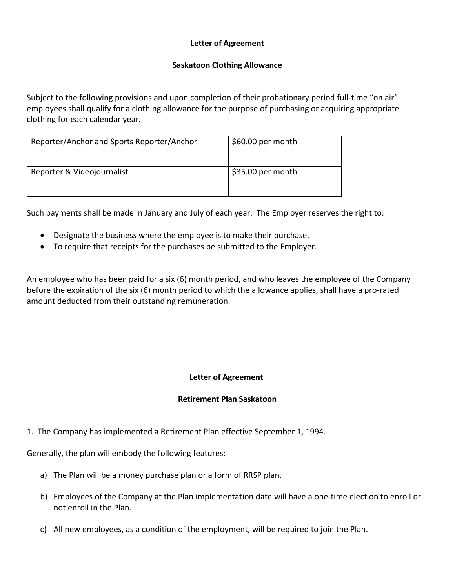# **Letter of Agreement**

#### **Saskatoon Clothing Allowance**

Subject to the following provisions and upon completion of their probationary period full-time "on air" employees shall qualify for a clothing allowance for the purpose of purchasing or acquiring appropriate clothing for each calendar year.

| Reporter/Anchor and Sports Reporter/Anchor | \$60.00 per month |
|--------------------------------------------|-------------------|
| Reporter & Videojournalist                 | \$35.00 per month |

Such payments shall be made in January and July of each year. The Employer reserves the right to:

- Designate the business where the employee is to make their purchase.
- To require that receipts for the purchases be submitted to the Employer.

An employee who has been paid for a six (6) month period, and who leaves the employee of the Company before the expiration of the six (6) month period to which the allowance applies, shall have a pro-rated amount deducted from their outstanding remuneration.

# **Letter of Agreement**

#### **Retirement Plan Saskatoon**

1. The Company has implemented a Retirement Plan effective September 1, 1994.

Generally, the plan will embody the following features:

- a) The Plan will be a money purchase plan or a form of RRSP plan.
- b) Employees of the Company at the Plan implementation date will have a one-time election to enroll or not enroll in the Plan.
- c) All new employees, as a condition of the employment, will be required to join the Plan.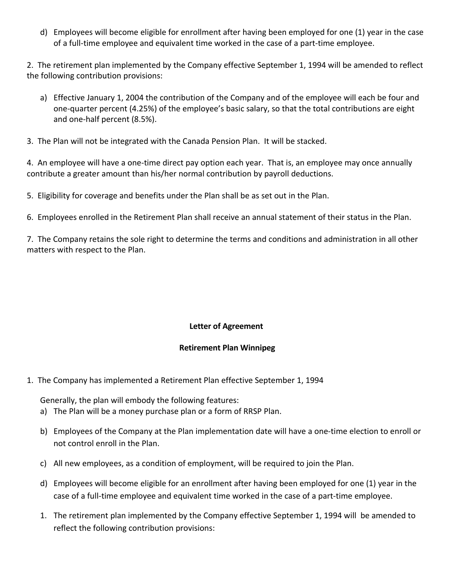d) Employees will become eligible for enrollment after having been employed for one (1) year in the case of a full-time employee and equivalent time worked in the case of a part-time employee.

2. The retirement plan implemented by the Company effective September 1, 1994 will be amended to reflect the following contribution provisions:

- a) Effective January 1, 2004 the contribution of the Company and of the employee will each be four and one-quarter percent (4.25%) of the employee's basic salary, so that the total contributions are eight and one-half percent (8.5%).
- 3. The Plan will not be integrated with the Canada Pension Plan. It will be stacked.

4. An employee will have a one-time direct pay option each year. That is, an employee may once annually contribute a greater amount than his/her normal contribution by payroll deductions.

5. Eligibility for coverage and benefits under the Plan shall be as set out in the Plan.

6. Employees enrolled in the Retirement Plan shall receive an annual statement of their status in the Plan.

7. The Company retains the sole right to determine the terms and conditions and administration in all other matters with respect to the Plan.

# **Letter of Agreement**

#### **Retirement Plan Winnipeg**

1. The Company has implemented a Retirement Plan effective September 1, 1994

Generally, the plan will embody the following features:

- a) The Plan will be a money purchase plan or a form of RRSP Plan.
- b) Employees of the Company at the Plan implementation date will have a one-time election to enroll or not control enroll in the Plan.
- c) All new employees, as a condition of employment, will be required to join the Plan.
- d) Employees will become eligible for an enrollment after having been employed for one (1) year in the case of a full-time employee and equivalent time worked in the case of a part-time employee.
- 1. The retirement plan implemented by the Company effective September 1, 1994 will be amended to reflect the following contribution provisions: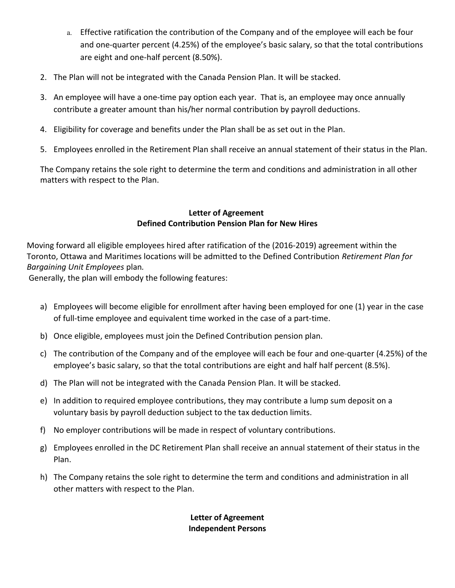- a. Effective ratification the contribution of the Company and of the employee will each be four and one-quarter percent (4.25%) of the employee's basic salary, so that the total contributions are eight and one-half percent (8.50%).
- 2. The Plan will not be integrated with the Canada Pension Plan. It will be stacked.
- 3. An employee will have a one-time pay option each year. That is, an employee may once annually contribute a greater amount than his/her normal contribution by payroll deductions.
- 4. Eligibility for coverage and benefits under the Plan shall be as set out in the Plan.
- 5. Employees enrolled in the Retirement Plan shall receive an annual statement of their status in the Plan.

The Company retains the sole right to determine the term and conditions and administration in all other matters with respect to the Plan.

# **Letter of Agreement Defined Contribution Pension Plan for New Hires**

Moving forward all eligible employees hired after ratification of the (2016-2019) agreement within the Toronto, Ottawa and Maritimes locations will be admitted to the Defined Contribution *Retirement Plan for Bargaining Unit Employees* plan*.*

Generally, the plan will embody the following features:

- a) Employees will become eligible for enrollment after having been employed for one (1) year in the case of full-time employee and equivalent time worked in the case of a part-time.
- b) Once eligible, employees must join the Defined Contribution pension plan.
- c) The contribution of the Company and of the employee will each be four and one-quarter (4.25%) of the employee's basic salary, so that the total contributions are eight and half half percent (8.5%).
- d) The Plan will not be integrated with the Canada Pension Plan. It will be stacked.
- e) In addition to required employee contributions, they may contribute a lump sum deposit on a voluntary basis by payroll deduction subject to the tax deduction limits.
- f) No employer contributions will be made in respect of voluntary contributions.
- g) Employees enrolled in the DC Retirement Plan shall receive an annual statement of their status in the Plan.
- h) The Company retains the sole right to determine the term and conditions and administration in all other matters with respect to the Plan.

# **Letter of Agreement Independent Persons**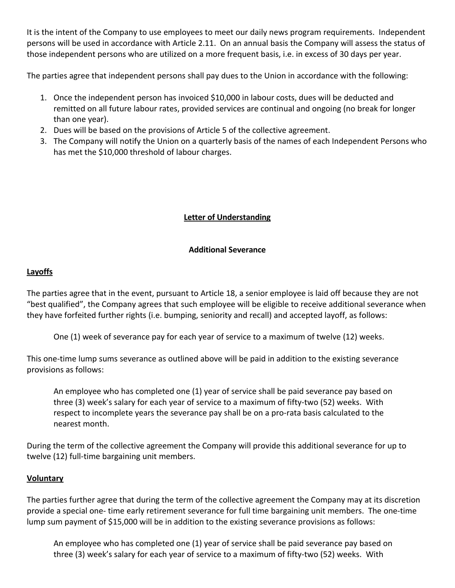It is the intent of the Company to use employees to meet our daily news program requirements. Independent persons will be used in accordance with Article 2.11. On an annual basis the Company will assess the status of those independent persons who are utilized on a more frequent basis, i.e. in excess of 30 days per year.

The parties agree that independent persons shall pay dues to the Union in accordance with the following:

- 1. Once the independent person has invoiced \$10,000 in labour costs, dues will be deducted and remitted on all future labour rates, provided services are continual and ongoing (no break for longer than one year).
- 2. Dues will be based on the provisions of Article 5 of the collective agreement.
- 3. The Company will notify the Union on a quarterly basis of the names of each Independent Persons who has met the \$10,000 threshold of labour charges.

# **Letter of Understanding**

#### **Additional Severance**

# **Layoffs**

The parties agree that in the event, pursuant to Article 18, a senior employee is laid off because they are not "best qualified", the Company agrees that such employee will be eligible to receive additional severance when they have forfeited further rights (i.e. bumping, seniority and recall) and accepted layoff, as follows:

One (1) week of severance pay for each year of service to a maximum of twelve (12) weeks.

This one-time lump sums severance as outlined above will be paid in addition to the existing severance provisions as follows:

An employee who has completed one (1) year of service shall be paid severance pay based on three (3) week's salary for each year of service to a maximum of fifty-two (52) weeks. With respect to incomplete years the severance pay shall be on a pro-rata basis calculated to the nearest month.

During the term of the collective agreement the Company will provide this additional severance for up to twelve (12) full-time bargaining unit members.

# **Voluntary**

The parties further agree that during the term of the collective agreement the Company may at its discretion provide a special one- time early retirement severance for full time bargaining unit members. The one-time lump sum payment of \$15,000 will be in addition to the existing severance provisions as follows:

An employee who has completed one (1) year of service shall be paid severance pay based on three (3) week's salary for each year of service to a maximum of fifty-two (52) weeks. With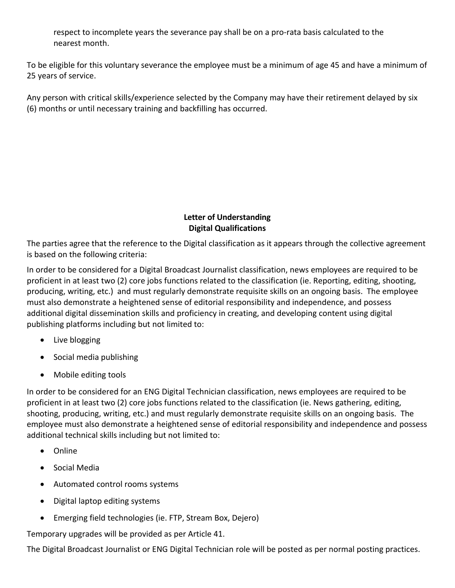respect to incomplete years the severance pay shall be on a pro-rata basis calculated to the nearest month.

To be eligible for this voluntary severance the employee must be a minimum of age 45 and have a minimum of 25 years of service.

Any person with critical skills/experience selected by the Company may have their retirement delayed by six (6) months or until necessary training and backfilling has occurred.

# **Letter of Understanding Digital Qualifications**

The parties agree that the reference to the Digital classification as it appears through the collective agreement is based on the following criteria:

In order to be considered for a Digital Broadcast Journalist classification, news employees are required to be proficient in at least two (2) core jobs functions related to the classification (ie. Reporting, editing, shooting, producing, writing, etc.) and must regularly demonstrate requisite skills on an ongoing basis. The employee must also demonstrate a heightened sense of editorial responsibility and independence, and possess additional digital dissemination skills and proficiency in creating, and developing content using digital publishing platforms including but not limited to:

- Live blogging
- Social media publishing
- Mobile editing tools

In order to be considered for an ENG Digital Technician classification, news employees are required to be proficient in at least two (2) core jobs functions related to the classification (ie. News gathering, editing, shooting, producing, writing, etc.) and must regularly demonstrate requisite skills on an ongoing basis. The employee must also demonstrate a heightened sense of editorial responsibility and independence and possess additional technical skills including but not limited to:

- Online
- Social Media
- Automated control rooms systems
- Digital laptop editing systems
- Emerging field technologies (ie. FTP, Stream Box, Dejero)

Temporary upgrades will be provided as per Article 41.

The Digital Broadcast Journalist or ENG Digital Technician role will be posted as per normal posting practices.